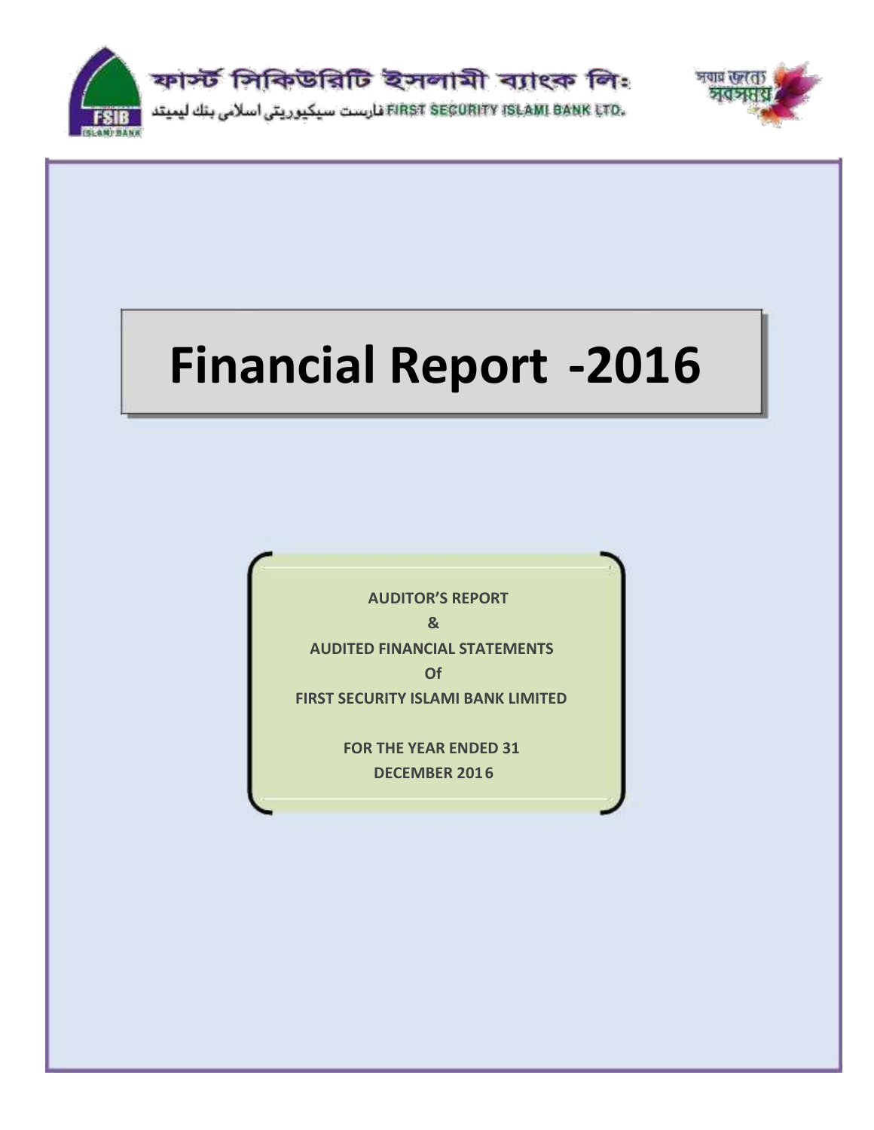



# **Financial Report -2016**

**AUDITOR'S REPORT & AUDITED FINANCIAL STATEMENTS Of FIRST SECURITY ISLAMI BANK LIMITED FOR THE YEAR ENDED 31**

**DECEMBER 2016**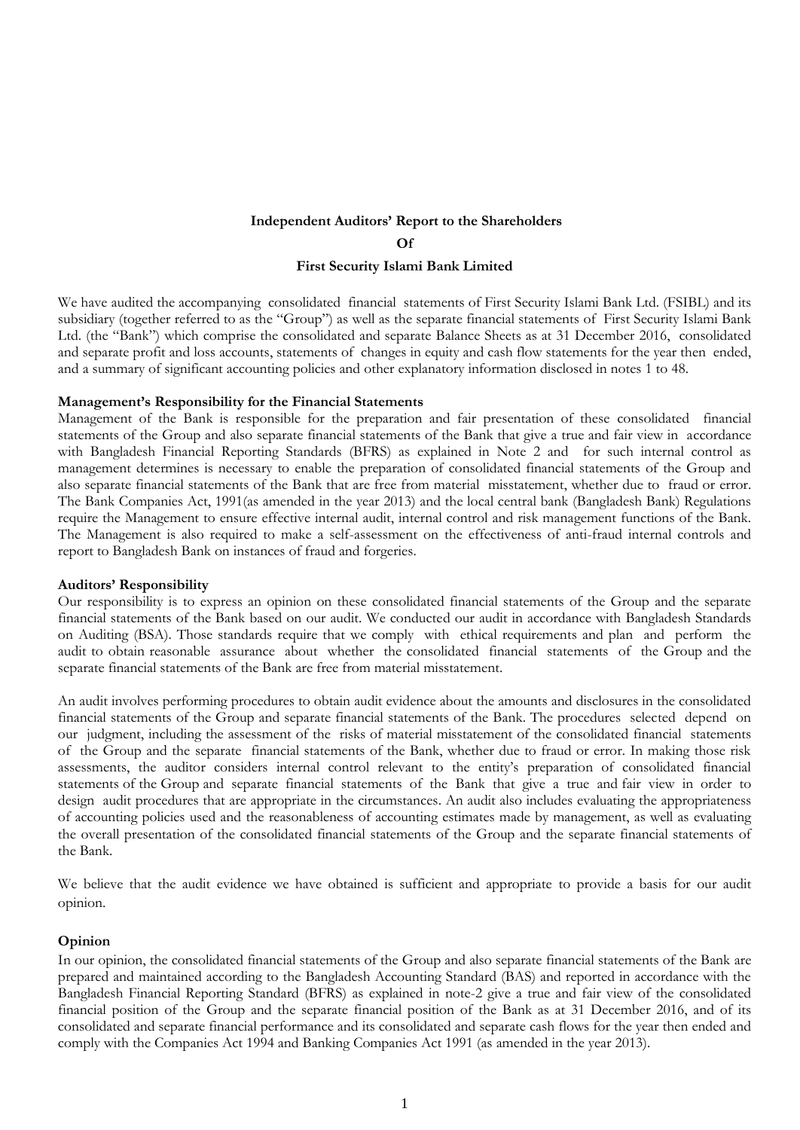# **Independent Auditors' Report to the Shareholders Of**

#### **First Security Islami Bank Limited**

We have audited the accompanying consolidated financial statements of First Security Islami Bank Ltd. (FSIBL) and its subsidiary (together referred to as the "Group") as well as the separate financial statements of First Security Islami Bank Ltd. (the "Bank") which comprise the consolidated and separate Balance Sheets as at 31 December 2016, consolidated and separate profit and loss accounts, statements of changes in equity and cash flow statements for the year then ended, and a summary of significant accounting policies and other explanatory information disclosed in notes 1 to 48.

#### **Management's Responsibility for the Financial Statements**

Management of the Bank is responsible for the preparation and fair presentation of these consolidated financial statements of the Group and also separate financial statements of the Bank that give a true and fair view in accordance with Bangladesh Financial Reporting Standards (BFRS) as explained in Note 2 and for such internal control as management determines is necessary to enable the preparation of consolidated financial statements of the Group and also separate financial statements of the Bank that are free from material misstatement, whether due to fraud or error. The Bank Companies Act, 1991(as amended in the year 2013) and the local central bank (Bangladesh Bank) Regulations require the Management to ensure effective internal audit, internal control and risk management functions of the Bank. The Management is also required to make a self-assessment on the effectiveness of anti-fraud internal controls and report to Bangladesh Bank on instances of fraud and forgeries.

#### **Auditors' Responsibility**

Our responsibility is to express an opinion on these consolidated financial statements of the Group and the separate financial statements of the Bank based on our audit. We conducted our audit in accordance with Bangladesh Standards on Auditing (BSA). Those standards require that we comply with ethical requirements and plan and perform the audit to obtain reasonable assurance about whether the consolidated financial statements of the Group and the separate financial statements of the Bank are free from material misstatement.

An audit involves performing procedures to obtain audit evidence about the amounts and disclosures in the consolidated financial statements of the Group and separate financial statements of the Bank. The procedures selected depend on our judgment, including the assessment of the risks of material misstatement of the consolidated financial statements of the Group and the separate financial statements of the Bank, whether due to fraud or error. In making those risk assessments, the auditor considers internal control relevant to the entity's preparation of consolidated financial statements of the Group and separate financial statements of the Bank that give a true and fair view in order to design audit procedures that are appropriate in the circumstances. An audit also includes evaluating the appropriateness of accounting policies used and the reasonableness of accounting estimates made by management, as well as evaluating the overall presentation of the consolidated financial statements of the Group and the separate financial statements of the Bank.

We believe that the audit evidence we have obtained is sufficient and appropriate to provide a basis for our audit opinion.

#### **Opinion**

In our opinion, the consolidated financial statements of the Group and also separate financial statements of the Bank are prepared and maintained according to the Bangladesh Accounting Standard (BAS) and reported in accordance with the Bangladesh Financial Reporting Standard (BFRS) as explained in note-2 give a true and fair view of the consolidated financial position of the Group and the separate financial position of the Bank as at 31 December 2016, and of its consolidated and separate financial performance and its consolidated and separate cash flows for the year then ended and comply with the Companies Act 1994 and Banking Companies Act 1991 (as amended in the year 2013).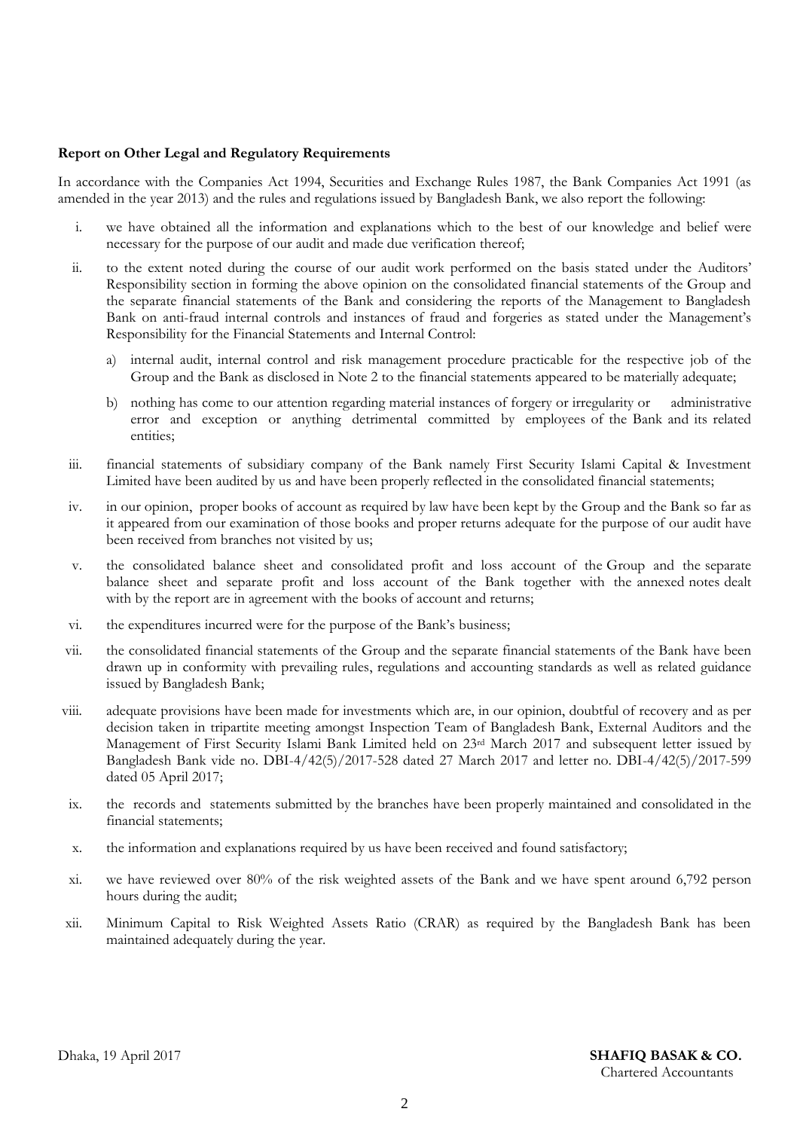#### **Report on Other Legal and Regulatory Requirements**

In accordance with the Companies Act 1994, Securities and Exchange Rules 1987, the Bank Companies Act 1991 (as amended in the year 2013) and the rules and regulations issued by Bangladesh Bank, we also report the following:

- i. we have obtained all the information and explanations which to the best of our knowledge and belief were necessary for the purpose of our audit and made due verification thereof;
- ii. to the extent noted during the course of our audit work performed on the basis stated under the Auditors' Responsibility section in forming the above opinion on the consolidated financial statements of the Group and the separate financial statements of the Bank and considering the reports of the Management to Bangladesh Bank on anti-fraud internal controls and instances of fraud and forgeries as stated under the Management's Responsibility for the Financial Statements and Internal Control:
	- a) internal audit, internal control and risk management procedure practicable for the respective job of the Group and the Bank as disclosed in Note 2 to the financial statements appeared to be materially adequate;
	- b) nothing has come to our attention regarding material instances of forgery or irregularity or administrative error and exception or anything detrimental committed by employees of the Bank and its related entities;
- iii. financial statements of subsidiary company of the Bank namely First Security Islami Capital & Investment Limited have been audited by us and have been properly reflected in the consolidated financial statements;
- iv. in our opinion, proper books of account as required by law have been kept by the Group and the Bank so far as it appeared from our examination of those books and proper returns adequate for the purpose of our audit have been received from branches not visited by us;
- v. the consolidated balance sheet and consolidated profit and loss account of the Group and the separate balance sheet and separate profit and loss account of the Bank together with the annexed notes dealt with by the report are in agreement with the books of account and returns;
- vi. the expenditures incurred were for the purpose of the Bank's business;
- vii. the consolidated financial statements of the Group and the separate financial statements of the Bank have been drawn up in conformity with prevailing rules, regulations and accounting standards as well as related guidance issued by Bangladesh Bank;
- viii. adequate provisions have been made for investments which are, in our opinion, doubtful of recovery and as per decision taken in tripartite meeting amongst Inspection Team of Bangladesh Bank, External Auditors and the Management of First Security Islami Bank Limited held on 23rd March 2017 and subsequent letter issued by Bangladesh Bank vide no. DBI-4/42(5)/2017-528 dated 27 March 2017 and letter no. DBI-4/42(5)/2017-599 dated 05 April 2017;
- ix. the records and statements submitted by the branches have been properly maintained and consolidated in the financial statements;
- x. the information and explanations required by us have been received and found satisfactory;
- xi. we have reviewed over 80% of the risk weighted assets of the Bank and we have spent around 6,792 person hours during the audit;
- xii. Minimum Capital to Risk Weighted Assets Ratio (CRAR) as required by the Bangladesh Bank has been maintained adequately during the year.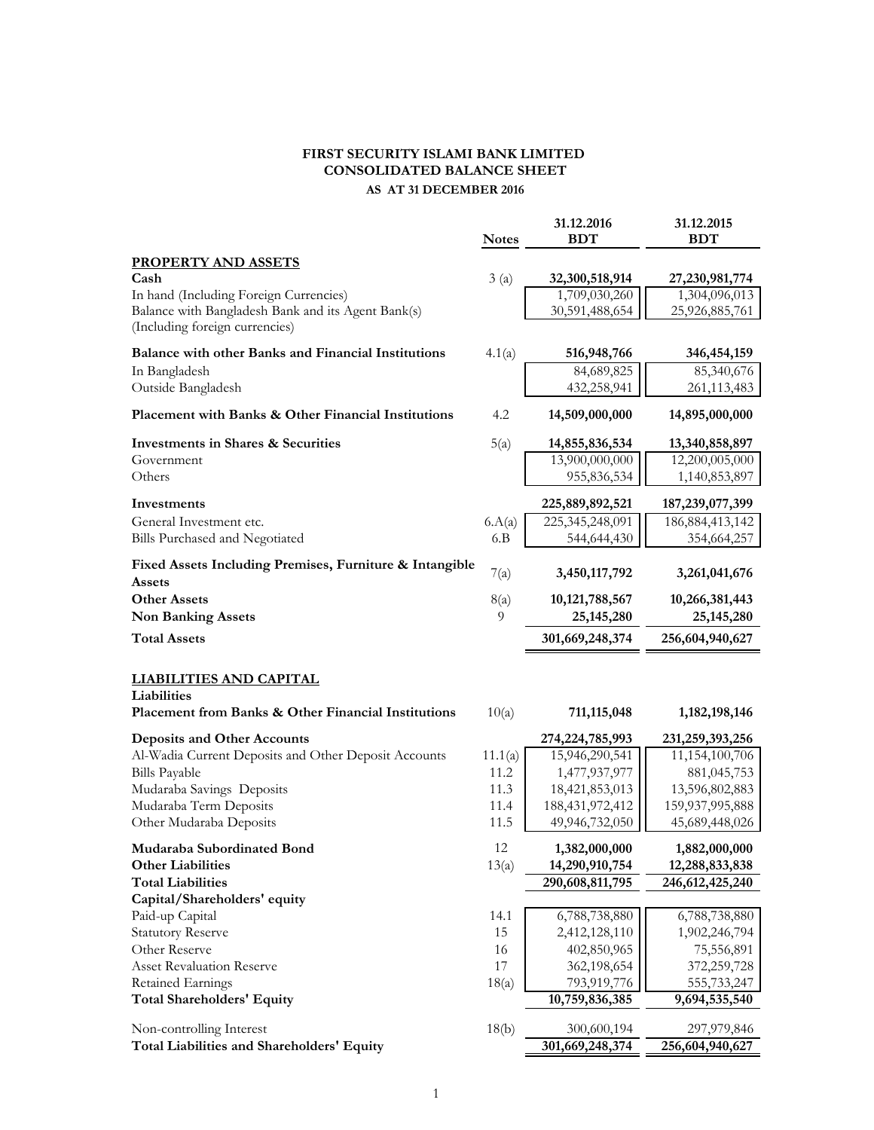#### **FIRST SECURITY ISLAMI BANK LIMITED CONSOLIDATED BALANCE SHEET AS AT 31 DECEMBER 2016**

|                                                                                                      | <b>Notes</b> | 31.12.2016<br><b>BDT</b>       | 31.12.2015<br><b>BDT</b>       |
|------------------------------------------------------------------------------------------------------|--------------|--------------------------------|--------------------------------|
| <b>PROPERTY AND ASSETS</b>                                                                           |              |                                |                                |
| Cash                                                                                                 | 3(a)         | 32,300,518,914                 | 27,230,981,774                 |
| In hand (Including Foreign Currencies)                                                               |              | 1,709,030,260                  | 1,304,096,013                  |
| Balance with Bangladesh Bank and its Agent Bank(s)<br>(Including foreign currencies)                 |              | 30,591,488,654                 | 25,926,885,761                 |
| Balance with other Banks and Financial Institutions                                                  | 4.1(a)       | 516,948,766                    | 346, 454, 159                  |
| In Bangladesh                                                                                        |              | 84,689,825                     | 85,340,676                     |
| Outside Bangladesh                                                                                   |              | 432,258,941                    | 261, 113, 483                  |
| Placement with Banks & Other Financial Institutions                                                  | 4.2          | 14,509,000,000                 | 14,895,000,000                 |
| <b>Investments in Shares &amp; Securities</b>                                                        | 5(a)         | 14,855,836,534                 | 13,340,858,897                 |
| Government                                                                                           |              | 13,900,000,000                 | 12,200,005,000                 |
| Others                                                                                               |              | 955,836,534                    | 1,140,853,897                  |
| Investments                                                                                          |              | 225,889,892,521                | 187,239,077,399                |
| General Investment etc.                                                                              | 6.A(a)       | 225,345,248,091                | 186, 884, 413, 142             |
| Bills Purchased and Negotiated                                                                       | 6.B          | 544,644,430                    | 354,664,257                    |
| Fixed Assets Including Premises, Furniture & Intangible<br>Assets                                    | 7(a)         | 3,450,117,792                  | 3,261,041,676                  |
| <b>Other Assets</b>                                                                                  | 8(a)         | 10, 121, 788, 567              | 10,266,381,443                 |
| <b>Non Banking Assets</b>                                                                            | 9            | 25, 145, 280                   | 25, 145, 280                   |
| <b>Total Assets</b>                                                                                  |              | 301,669,248,374                | 256,604,940,627                |
| <b>LIABILITIES AND CAPITAL</b><br>Liabilities<br>Placement from Banks & Other Financial Institutions | 10(a)        | 711, 115, 048                  | 1, 182, 198, 146               |
| <b>Deposits and Other Accounts</b>                                                                   |              | 274, 224, 785, 993             | 231,259,393,256                |
| Al-Wadia Current Deposits and Other Deposit Accounts                                                 | 11.1(a)      | 15,946,290,541                 | 11,154,100,706                 |
| <b>Bills Payable</b>                                                                                 | 11.2         | 1,477,937,977                  | 881,045,753                    |
| Mudaraba Savings Deposits                                                                            | 11.3         | 18,421,853,013                 | 13,596,802,883                 |
| Mudaraba Term Deposits                                                                               | 11.4         | 188, 431, 972, 412             | 159,937,995,888                |
| Other Mudaraba Deposits                                                                              | 11.5         | 49,946,732,050                 | 45,689,448,026                 |
| Mudaraba Subordinated Bond                                                                           | 12           | 1,382,000,000                  | 1,882,000,000                  |
| <b>Other Liabilities</b>                                                                             | 13(a)        | 14,290,910,754                 | 12,288,833,838                 |
| <b>Total Liabilities</b>                                                                             |              | 290,608,811,795                | 246, 612, 425, 240             |
| Capital/Shareholders' equity                                                                         |              |                                |                                |
| Paid-up Capital                                                                                      | 14.1         | 6,788,738,880                  | 6,788,738,880                  |
| <b>Statutory Reserve</b>                                                                             | 15           | 2,412,128,110                  | 1,902,246,794                  |
| Other Reserve<br><b>Asset Revaluation Reserve</b>                                                    | 16<br>17     | 402,850,965                    | 75,556,891                     |
| Retained Earnings                                                                                    | 18(a)        | 362,198,654<br>793,919,776     | 372,259,728<br>555,733,247     |
| <b>Total Shareholders' Equity</b>                                                                    |              | 10,759,836,385                 | 9,694,535,540                  |
|                                                                                                      |              |                                |                                |
| Non-controlling Interest<br>Total Liabilities and Shareholders' Equity                               | 18(b)        | 300,600,194<br>301,669,248,374 | 297,979,846<br>256,604,940,627 |
|                                                                                                      |              |                                |                                |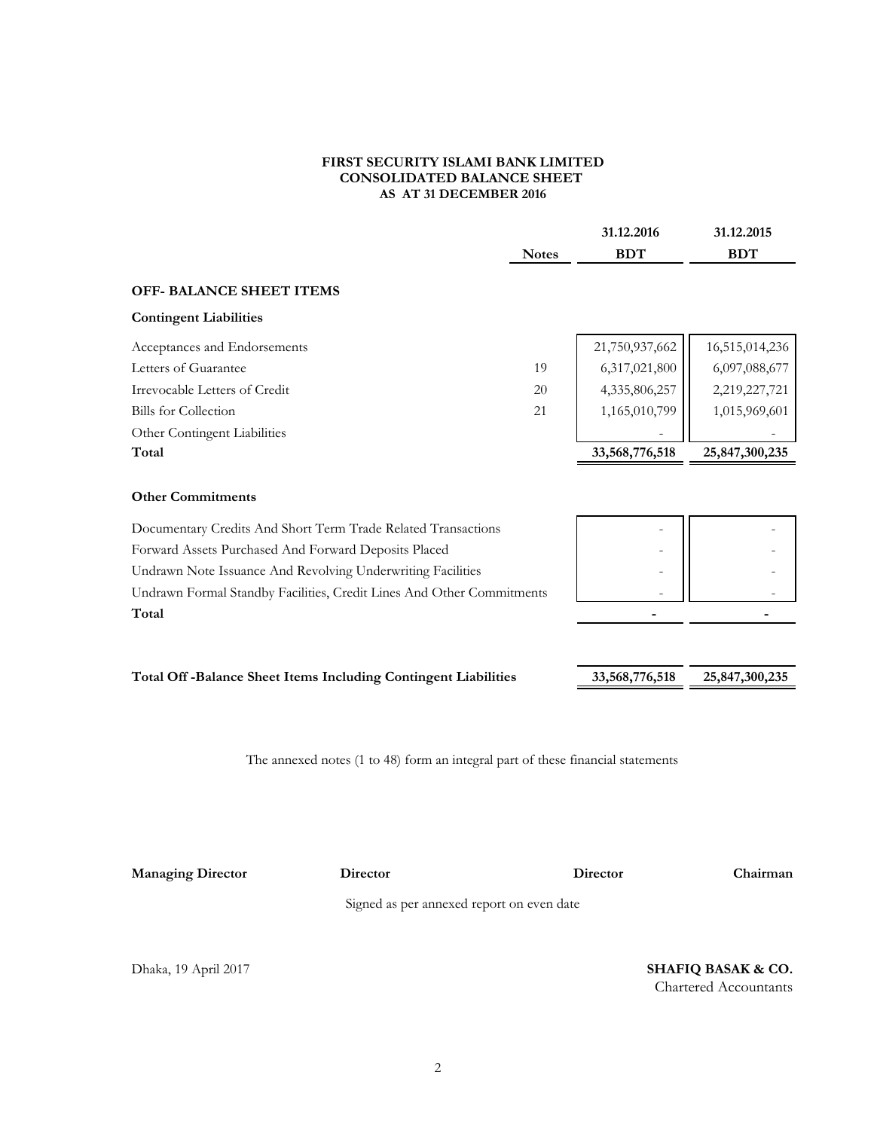#### **FIRST SECURITY ISLAMI BANK LIMITED CONSOLIDATED BALANCE SHEET AS AT 31 DECEMBER 2016**

|                                                                                           |              | 31.12.2016     | 31.12.2015     |
|-------------------------------------------------------------------------------------------|--------------|----------------|----------------|
|                                                                                           | <b>Notes</b> | <b>BDT</b>     | <b>BDT</b>     |
| <b>OFF- BALANCE SHEET ITEMS</b>                                                           |              |                |                |
| <b>Contingent Liabilities</b>                                                             |              |                |                |
| Acceptances and Endorsements                                                              |              | 21,750,937,662 | 16,515,014,236 |
| Letters of Guarantee                                                                      | 19           | 6,317,021,800  | 6,097,088,677  |
| Irrevocable Letters of Credit                                                             | 20           | 4,335,806,257  | 2,219,227,721  |
| <b>Bills</b> for Collection                                                               | 21           | 1,165,010,799  | 1,015,969,601  |
| Other Contingent Liabilities                                                              |              |                |                |
| Total                                                                                     |              | 33,568,776,518 | 25,847,300,235 |
| <b>Other Commitments</b><br>Documentary Credits And Short Term Trade Related Transactions |              |                |                |
| Forward Assets Purchased And Forward Deposits Placed                                      |              |                |                |
| Undrawn Note Issuance And Revolving Underwriting Facilities                               |              |                |                |
| Undrawn Formal Standby Facilities, Credit Lines And Other Commitments                     |              |                |                |
| Total                                                                                     |              |                |                |
|                                                                                           |              |                |                |
| Total Off-Balance Sheet Items Including Contingent Liabilities                            |              | 33,568,776,518 | 25,847,300,235 |
|                                                                                           |              |                |                |
|                                                                                           |              |                |                |

The annexed notes (1 to 48) form an integral part of these financial statements

**Managing Director Director**

**Director Chairman**

Signed as per annexed report on even date

Dhaka, 19 April 2017 **SHAFIQ BASAK & CO.** Chartered Accountants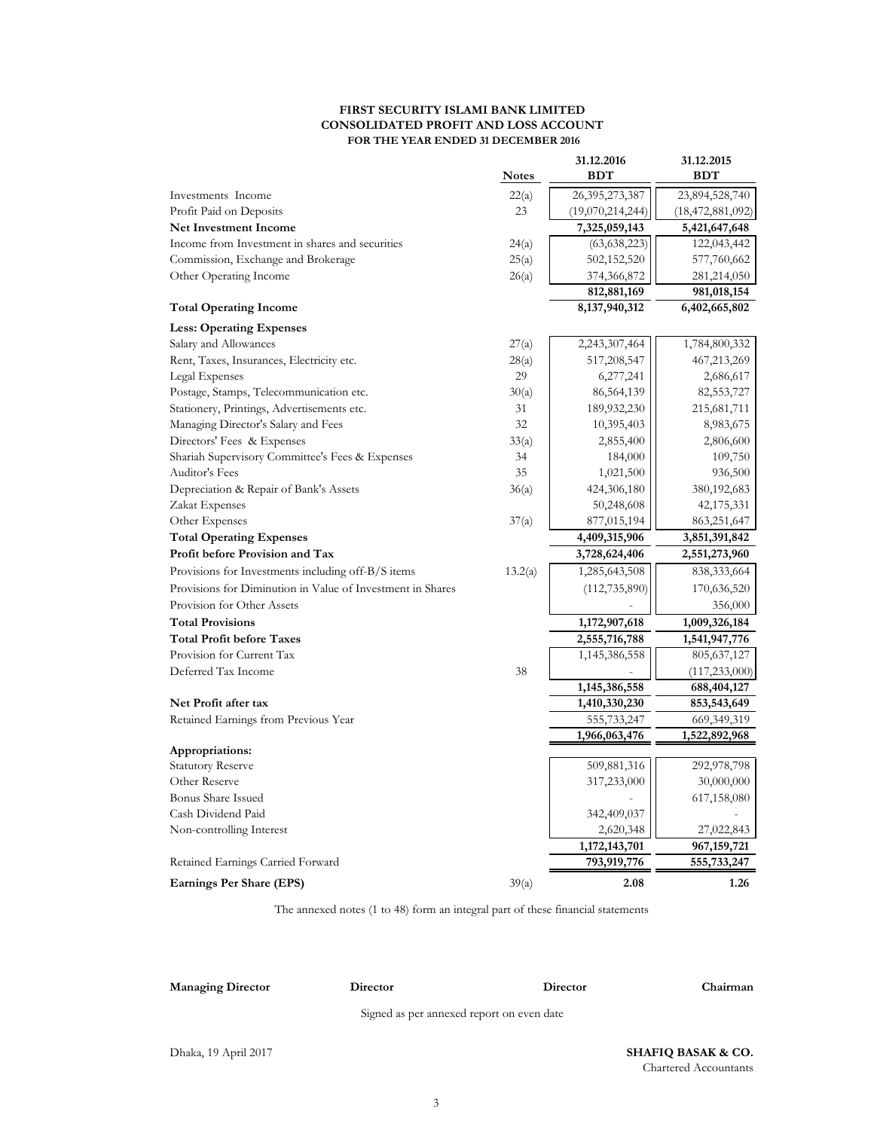#### **FIRST SECURITY ISLAMI BANK LIMITED CONSOLIDATED PROFIT AND LOSS ACCOUNT FOR THE YEAR ENDED 31 DECEMBER 2016**

|                                                            |              | 31.12.2016       | 31.12.2015          |
|------------------------------------------------------------|--------------|------------------|---------------------|
|                                                            | <b>Notes</b> | <b>BDT</b>       | <b>BDT</b>          |
| Investments Income                                         | 22(a)        | 26,395,273,387   | 23,894,528,740      |
| Profit Paid on Deposits                                    | 23           | (19,070,214,244) | (18, 472, 881, 092) |
| <b>Net Investment Income</b>                               |              | 7,325,059,143    | 5,421,647,648       |
| Income from Investment in shares and securities            | 24(a)        | (63, 638, 223)   | 122,043,442         |
| Commission, Exchange and Brokerage                         | 25(a)        | 502,152,520      | 577,760,662         |
| Other Operating Income                                     | 26(a)        | 374,366,872      | 281,214,050         |
|                                                            |              | 812,881,169      | 981,018,154         |
| <b>Total Operating Income</b>                              |              | 8, 137, 940, 312 | 6,402,665,802       |
| <b>Less: Operating Expenses</b>                            |              |                  |                     |
| Salary and Allowances                                      | 27(a)        | 2,243,307,464    | 1,784,800,332       |
| Rent, Taxes, Insurances, Electricity etc.                  | 28(a)        | 517,208,547      | 467,213,269         |
| Legal Expenses                                             | 29           | 6,277,241        | 2,686,617           |
| Postage, Stamps, Telecommunication etc.                    | 30(a)        | 86,564,139       | 82,553,727          |
| Stationery, Printings, Advertisements etc.                 | 31           | 189,932,230      | 215,681,711         |
| Managing Director's Salary and Fees                        | $32\,$       | 10,395,403       | 8,983,675           |
| Directors' Fees & Expenses                                 | 33(a)        | 2,855,400        | 2,806,600           |
| Shariah Supervisory Committee's Fees & Expenses            | 34           | 184,000          | 109,750             |
| Auditor's Fees                                             | 35           | 1,021,500        | 936,500             |
| Depreciation & Repair of Bank's Assets                     | 36(a)        | 424,306,180      | 380,192,683         |
| Zakat Expenses                                             |              | 50,248,608       | 42,175,331          |
| Other Expenses                                             | 37(a)        | 877,015,194      | 863,251,647         |
| <b>Total Operating Expenses</b>                            |              | 4,409,315,906    | 3,851,391,842       |
| Profit before Provision and Tax                            |              | 3,728,624,406    | 2,551,273,960       |
| Provisions for Investments including off-B/S items         | 13.2(a)      | 1,285,643,508    | 838, 333, 664       |
| Provisions for Diminution in Value of Investment in Shares |              | (112, 735, 890)  | 170,636,520         |
| Provision for Other Assets                                 |              |                  | 356,000             |
| <b>Total Provisions</b>                                    |              | 1,172,907,618    | 1,009,326,184       |
| <b>Total Profit before Taxes</b>                           |              | 2,555,716,788    | 1,541,947,776       |
| Provision for Current Tax                                  |              | 1,145,386,558    | 805, 637, 127       |
| Deferred Tax Income                                        | 38           |                  | (117, 233, 000)     |
|                                                            |              | 1,145,386,558    | 688,404,127         |
| Net Profit after tax                                       |              | 1,410,330,230    | 853,543,649         |
| Retained Earnings from Previous Year                       |              | 555,733,247      | 669, 349, 319       |
|                                                            |              | 1,966,063,476    | 1,522,892,968       |
| Appropriations:                                            |              |                  |                     |
| <b>Statutory Reserve</b>                                   |              | 509,881,316      | 292,978,798         |
| Other Reserve                                              |              | 317,233,000      | 30,000,000          |
| <b>Bonus Share Issued</b>                                  |              |                  | 617,158,080         |
| Cash Dividend Paid                                         |              | 342,409,037      |                     |
| Non-controlling Interest                                   |              | 2,620,348        | 27,022,843          |
|                                                            |              | 1,172,143,701    | 967, 159, 721       |
| Retained Earnings Carried Forward                          |              | 793,919,776      | 555,733,247         |
| Earnings Per Share (EPS)                                   | 39(a)        | 2.08             | 1.26                |

The annexed notes (1 to 48) form an integral part of these financial statements

**Managing Director Director**

**Director Chairman**

Signed as per annexed report on even date

Dhaka, 19 April 2017 **SHAFIQ BASAK & CO.** Chartered Accountants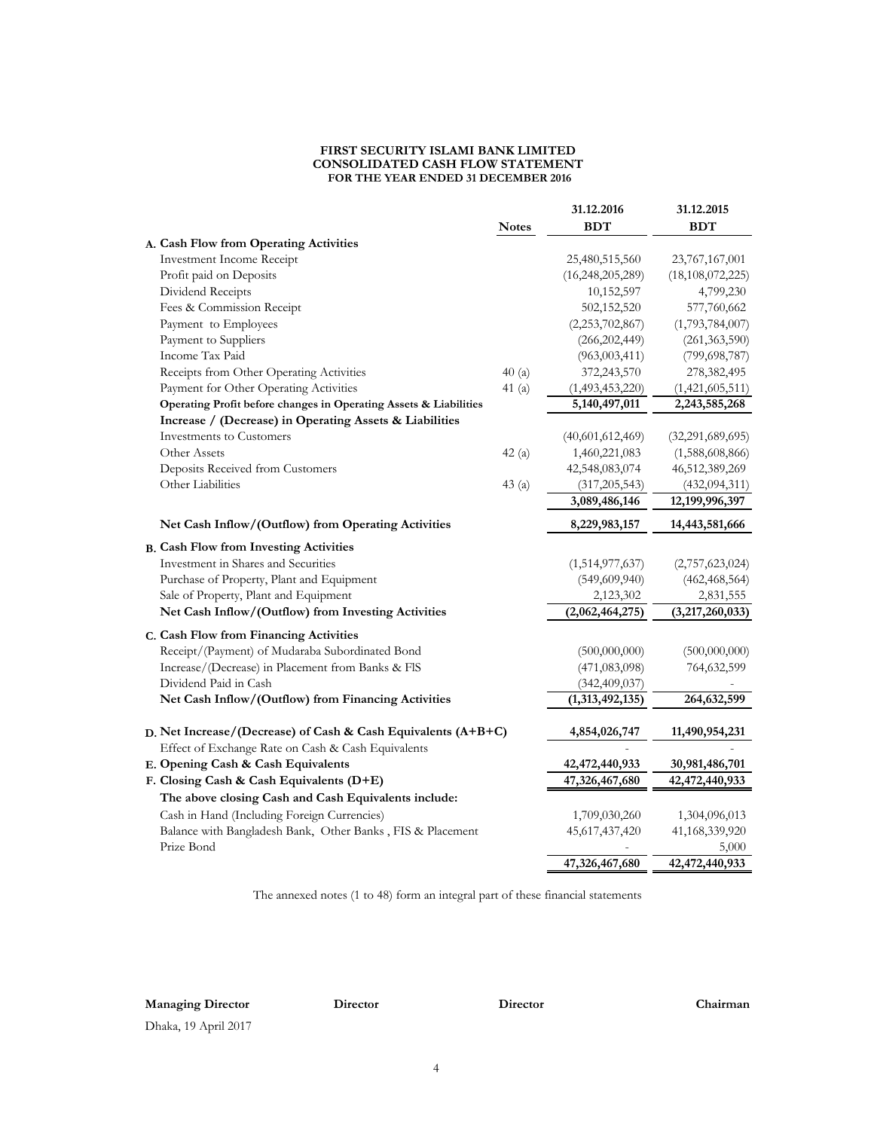#### **FIRST SECURITY ISLAMI BANK LIMITED CONSOLIDATED CASH FLOW STATEMENT FOR THE YEAR ENDED 31 DECEMBER 2016**

|                                                                   | <b>Notes</b> | 31.12.2016<br><b>BDT</b> | 31.12.2015<br><b>BDT</b>        |
|-------------------------------------------------------------------|--------------|--------------------------|---------------------------------|
| A. Cash Flow from Operating Activities                            |              |                          |                                 |
| Investment Income Receipt                                         |              | 25,480,515,560           | 23,767,167,001                  |
| Profit paid on Deposits                                           |              | (16, 248, 205, 289)      | (18, 108, 072, 225)             |
| Dividend Receipts                                                 |              | 10,152,597               | 4,799,230                       |
| Fees & Commission Receipt                                         |              | 502,152,520              | 577,760,662                     |
| Payment to Employees                                              |              | (2,253,702,867)          | (1,793,784,007)                 |
| Payment to Suppliers                                              |              | (266, 202, 449)          | (261, 363, 590)                 |
| Income Tax Paid                                                   |              | (963,003,411)            | (799, 698, 787)                 |
| Receipts from Other Operating Activities                          | 40(a)        | 372,243,570              | 278,382,495                     |
| Payment for Other Operating Activities                            | 41(a)        | (1,493,453,220)          | (1,421,605,511)                 |
| Operating Profit before changes in Operating Assets & Liabilities |              | 5,140,497,011            | 2,243,585,268                   |
| Increase / (Decrease) in Operating Assets & Liabilities           |              |                          |                                 |
| Investments to Customers                                          |              | (40,601,612,469)         | (32,291,689,695)                |
| Other Assets                                                      | 42(a)        | 1,460,221,083            | (1,588,608,866)                 |
| Deposits Received from Customers                                  |              | 42,548,083,074           | 46,512,389,269                  |
| Other Liabilities                                                 | 43(a)        | (317, 205, 543)          | (432, 094, 311)                 |
|                                                                   |              | 3,089,486,146            | $\overline{12}$ , 199, 996, 397 |
| Net Cash Inflow/(Outflow) from Operating Activities               |              | 8,229,983,157            | 14,443,581,666                  |
| <b>B.</b> Cash Flow from Investing Activities                     |              |                          |                                 |
| Investment in Shares and Securities                               |              | (1,514,977,637)          | (2,757,623,024)                 |
| Purchase of Property, Plant and Equipment                         |              | (549, 609, 940)          | (462, 468, 564)                 |
| Sale of Property, Plant and Equipment                             |              | 2,123,302                | 2,831,555                       |
| Net Cash Inflow/(Outflow) from Investing Activities               |              | (2,062,464,275)          | (3,217,260,033)                 |
| C. Cash Flow from Financing Activities                            |              |                          |                                 |
| Receipt/(Payment) of Mudaraba Subordinated Bond                   |              | (500,000,000)            | (500,000,000)                   |
| Increase/(Decrease) in Placement from Banks & FIS                 |              | (471,083,098)            | 764,632,599                     |
| Dividend Paid in Cash                                             |              | (342, 409, 037)          |                                 |
| Net Cash Inflow/(Outflow) from Financing Activities               |              | (1,313,492,135)          | 264,632,599                     |
|                                                                   |              |                          |                                 |
| D. Net Increase/(Decrease) of Cash & Cash Equivalents (A+B+C)     |              | 4,854,026,747            | 11,490,954,231                  |
| Effect of Exchange Rate on Cash & Cash Equivalents                |              |                          |                                 |
| E. Opening Cash & Cash Equivalents                                |              | 42,472,440,933           | 30,981,486,701                  |
| F. Closing Cash & Cash Equivalents (D+E)                          |              | 47,326,467,680           | 42,472,440,933                  |
| The above closing Cash and Cash Equivalents include:              |              |                          |                                 |
| Cash in Hand (Including Foreign Currencies)                       |              | 1,709,030,260            | 1,304,096,013                   |
| Balance with Bangladesh Bank, Other Banks, FIS & Placement        |              | 45,617,437,420           | 41,168,339,920                  |
| Prize Bond                                                        |              |                          | 5,000                           |
|                                                                   |              | 47,326,467,680           | 42, 472, 440, 933               |

The annexed notes (1 to 48) form an integral part of these financial statements

**Managing Director Director**

**Director Chairman**

Dhaka, 19 April 2017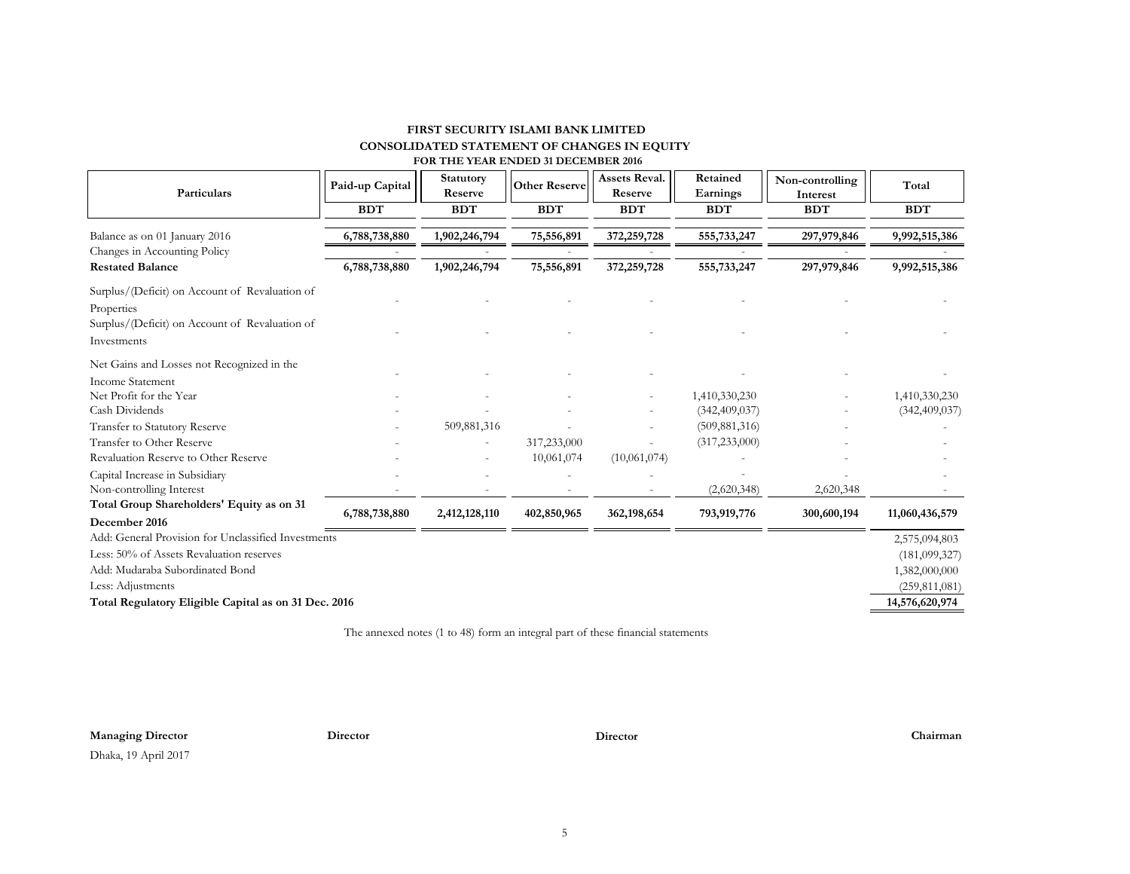#### **FIRST SECURITY ISLAMI BANK LIMITED CONSOLIDATED STATEMENT OF CHANGES IN EQUITY FOR THE YEAR ENDED 31 DECEMBER 2016**

| Particulars                                                           | Paid-up Capital | Statutory<br>Reserve | <b>Other Reserve</b> | <b>Assets Reval.</b><br>Reserve | Retained<br>Earnings | Non-controlling<br>Interest | Total                          |  |
|-----------------------------------------------------------------------|-----------------|----------------------|----------------------|---------------------------------|----------------------|-----------------------------|--------------------------------|--|
|                                                                       | <b>BDT</b>      | <b>BDT</b>           | <b>BDT</b>           | <b>BDT</b>                      | <b>BDT</b>           | <b>BDT</b>                  | <b>BDT</b>                     |  |
| Balance as on 01 January 2016                                         | 6,788,738,880   | 1,902,246,794        | 75,556,891           | 372,259,728                     | 555,733,247          | 297,979,846                 | 9,992,515,386                  |  |
| Changes in Accounting Policy                                          |                 |                      |                      |                                 |                      |                             |                                |  |
| <b>Restated Balance</b>                                               | 6,788,738,880   | 1,902,246,794        | 75,556,891           | 372,259,728                     | 555,733,247          | 297,979,846                 | 9,992,515,386                  |  |
| Surplus/(Deficit) on Account of Revaluation of<br>Properties          |                 |                      |                      |                                 |                      |                             |                                |  |
| Surplus/(Deficit) on Account of Revaluation of<br>Investments         |                 |                      |                      |                                 |                      |                             |                                |  |
| Net Gains and Losses not Recognized in the<br><b>Income Statement</b> |                 |                      |                      |                                 |                      |                             |                                |  |
| Net Profit for the Year                                               |                 |                      |                      |                                 | 1,410,330,230        |                             | 1,410,330,230                  |  |
| Cash Dividends                                                        |                 |                      |                      |                                 | (342, 409, 037)      |                             | (342, 409, 037)                |  |
| Transfer to Statutory Reserve                                         |                 | 509,881,316          |                      |                                 | (509, 881, 316)      |                             |                                |  |
| Transfer to Other Reserve                                             |                 |                      | 317,233,000          |                                 | (317, 233, 000)      |                             |                                |  |
| Revaluation Reserve to Other Reserve                                  |                 |                      | 10,061,074           | (10,061,074)                    |                      |                             |                                |  |
| Capital Increase in Subsidiary                                        |                 |                      |                      |                                 |                      |                             |                                |  |
| Non-controlling Interest                                              |                 |                      |                      |                                 | (2,620,348)          | 2,620,348                   |                                |  |
| Total Group Shareholders' Equity as on 31                             | 6,788,738,880   | 2,412,128,110        | 402,850,965          | 362,198,654                     | 793,919,776          | 300,600,194                 | 11,060,436,579                 |  |
| December 2016                                                         |                 |                      |                      |                                 |                      |                             |                                |  |
| Add: General Provision for Unclassified Investments                   |                 |                      |                      |                                 |                      |                             | 2,575,094,803                  |  |
| Less: 50% of Assets Revaluation reserves                              |                 |                      |                      |                                 |                      |                             | (181,099,327)<br>1,382,000,000 |  |
| Add: Mudaraba Subordinated Bond                                       |                 |                      |                      |                                 |                      |                             |                                |  |
| Less: Adjustments<br>(259, 811, 081)                                  |                 |                      |                      |                                 |                      |                             |                                |  |
| Total Regulatory Eligible Capital as on 31 Dec. 2016                  |                 |                      |                      |                                 |                      |                             |                                |  |

The annexed notes (1 to 48) form an integral part of these financial statements

**Managing Director Director Director Chairman**

Dhaka, 19 April 2017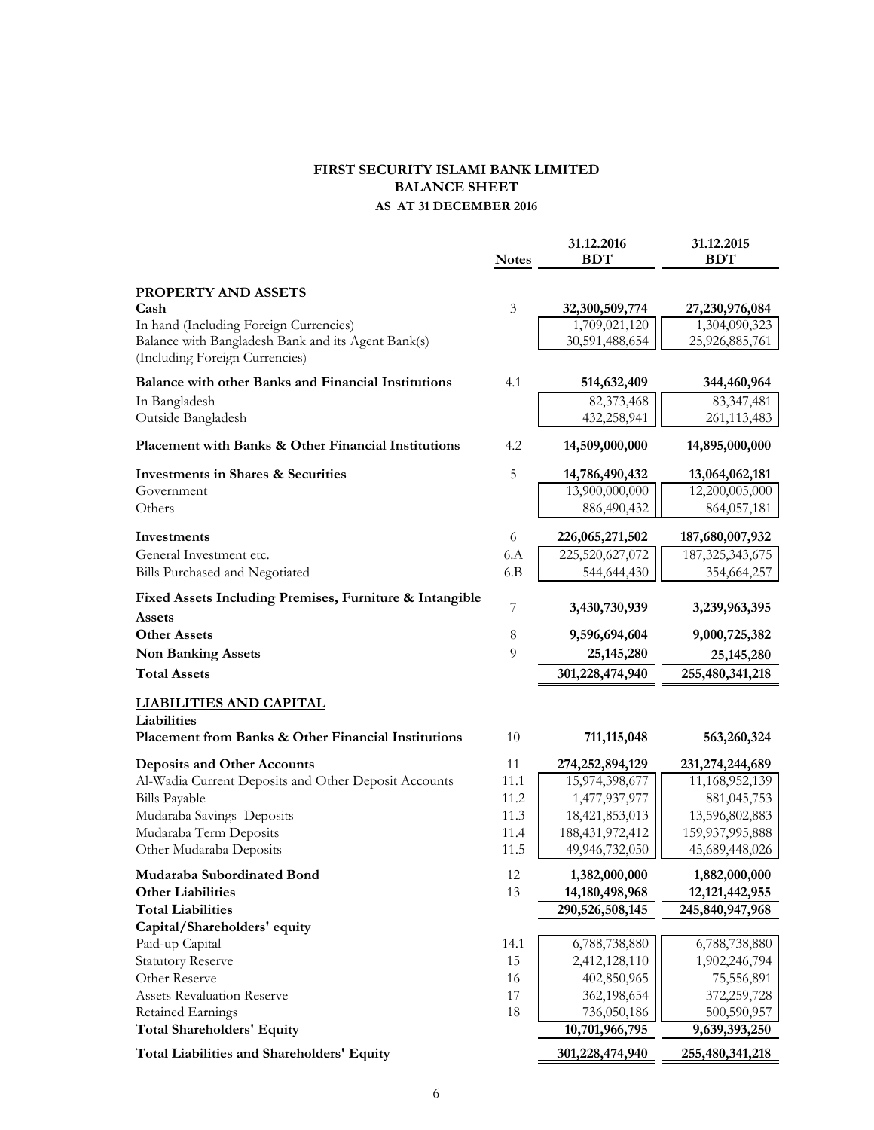#### **FIRST SECURITY ISLAMI BANK LIMITED BALANCE SHEET AS AT 31 DECEMBER 2016**

|                                                                    | <b>Notes</b>   | 31.12.2016<br><b>BDT</b>       | 31.12.2015<br><b>BDT</b>       |
|--------------------------------------------------------------------|----------------|--------------------------------|--------------------------------|
| <b>PROPERTY AND ASSETS</b>                                         |                |                                |                                |
| Cash                                                               | $\mathfrak{Z}$ | 32,300,509,774                 | 27,230,976,084                 |
| In hand (Including Foreign Currencies)                             |                | 1,709,021,120                  | 1,304,090,323                  |
| Balance with Bangladesh Bank and its Agent Bank(s)                 |                | 30,591,488,654                 | 25,926,885,761                 |
| (Including Foreign Currencies)                                     |                |                                |                                |
| <b>Balance with other Banks and Financial Institutions</b>         | 4.1            | 514,632,409                    | 344,460,964                    |
| In Bangladesh                                                      |                | 82,373,468                     | 83, 347, 481                   |
| Outside Bangladesh                                                 |                | 432,258,941                    | 261,113,483                    |
| Placement with Banks & Other Financial Institutions                | 4.2            | 14,509,000,000                 | 14,895,000,000                 |
| <b>Investments in Shares &amp; Securities</b>                      | 5              | 14,786,490,432                 | 13,064,062,181                 |
| Government                                                         |                | 13,900,000,000                 | 12,200,005,000                 |
| Others                                                             |                | 886,490,432                    | 864,057,181                    |
| Investments                                                        | 6              | 226,065,271,502                | 187,680,007,932                |
| General Investment etc.                                            | 6.A            | 225,520,627,072                | 187, 325, 343, 675             |
| Bills Purchased and Negotiated                                     | 6.B            | 544,644,430                    | 354,664,257                    |
| Fixed Assets Including Premises, Furniture & Intangible<br>Assets  | 7              | 3,430,730,939                  | 3,239,963,395                  |
| <b>Other Assets</b>                                                | $\,8\,$        | 9,596,694,604                  | 9,000,725,382                  |
| <b>Non Banking Assets</b>                                          | 9              | 25, 145, 280                   | 25, 145, 280                   |
| <b>Total Assets</b>                                                |                | 301,228,474,940                | 255,480,341,218                |
| <b>LIABILITIES AND CAPITAL</b>                                     |                |                                |                                |
| Liabilities<br>Placement from Banks & Other Financial Institutions | 10             | 711,115,048                    | 563,260,324                    |
| <b>Deposits and Other Accounts</b>                                 | 11             | 274,252,894,129                | 231,274,244,689                |
| Al-Wadia Current Deposits and Other Deposit Accounts               | 11.1           | 15,974,398,677                 | 11,168,952,139                 |
| <b>Bills Payable</b>                                               | 11.2           | 1,477,937,977                  | 881,045,753                    |
| Mudaraba Savings Deposits                                          | 11.3           | 18,421,853,013                 | 13,596,802,883                 |
| Mudaraba Term Deposits                                             | 11.4           | 188,431,972,412                | 159,937,995,888                |
| Other Mudaraba Deposits                                            | 11.5           | 49,946,732,050                 | 45,689,448,026                 |
| Mudaraba Subordinated Bond                                         | 12             | 1,382,000,000                  | 1,882,000,000                  |
| <b>Other Liabilities</b>                                           | 13             | 14,180,498,968                 | 12, 121, 442, 955              |
| <b>Total Liabilities</b>                                           |                | 290,526,508,145                | 245,840,947,968                |
| Capital/Shareholders' equity                                       |                |                                |                                |
| Paid-up Capital<br><b>Statutory Reserve</b>                        | 14.1<br>15     | 6,788,738,880<br>2,412,128,110 | 6,788,738,880<br>1,902,246,794 |
| Other Reserve                                                      | 16             | 402,850,965                    | 75,556,891                     |
| <b>Assets Revaluation Reserve</b>                                  | 17             | 362,198,654                    | 372,259,728                    |
| <b>Retained Earnings</b>                                           | 18             | 736,050,186                    | 500,590,957                    |
| <b>Total Shareholders' Equity</b>                                  |                | 10,701,966,795                 | 9,639,393,250                  |
| Total Liabilities and Shareholders' Equity                         |                | 301,228,474,940                | 255,480,341,218                |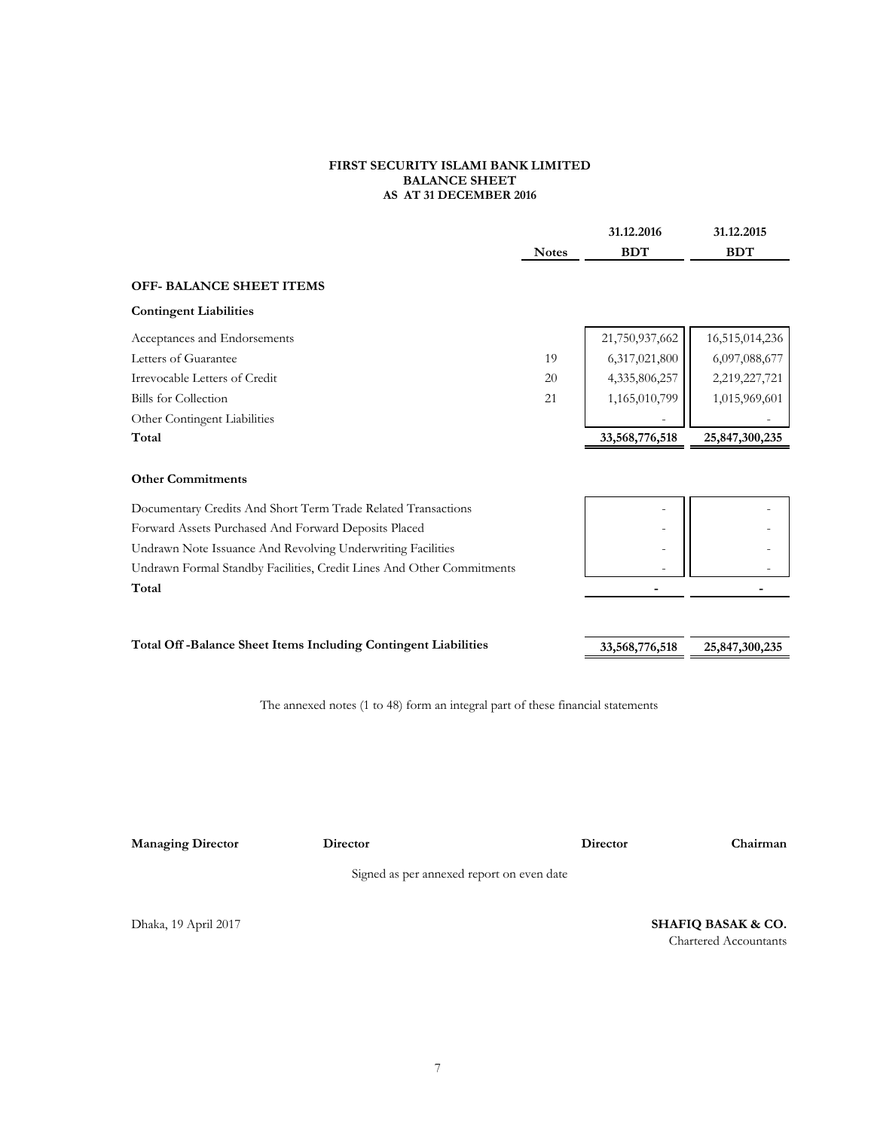#### **FIRST SECURITY ISLAMI BANK LIMITED BALANCE SHEET AS AT 31 DECEMBER 2016**

|                                                                                 |              | 31.12.2016      | 31.12.2015                    |
|---------------------------------------------------------------------------------|--------------|-----------------|-------------------------------|
|                                                                                 | <b>Notes</b> | <b>BDT</b>      | <b>BDT</b>                    |
| <b>OFF- BALANCE SHEET ITEMS</b>                                                 |              |                 |                               |
| <b>Contingent Liabilities</b>                                                   |              |                 |                               |
| Acceptances and Endorsements                                                    |              | 21,750,937,662  | 16,515,014,236                |
| Letters of Guarantee                                                            | 19           | 6,317,021,800   | 6,097,088,677                 |
| Irrevocable Letters of Credit                                                   | 20           | 4,335,806,257   | 2,219,227,721                 |
| <b>Bills</b> for Collection                                                     | 21           | 1,165,010,799   | 1,015,969,601                 |
| Other Contingent Liabilities                                                    |              |                 |                               |
| Total                                                                           |              | 33,568,776,518  | 25,847,300,235                |
|                                                                                 |              |                 |                               |
| <b>Other Commitments</b>                                                        |              |                 |                               |
| Documentary Credits And Short Term Trade Related Transactions                   |              |                 |                               |
| Forward Assets Purchased And Forward Deposits Placed                            |              |                 |                               |
| Undrawn Note Issuance And Revolving Underwriting Facilities                     |              |                 |                               |
| Undrawn Formal Standby Facilities, Credit Lines And Other Commitments           |              |                 |                               |
| Total                                                                           |              | $\overline{a}$  | $\overline{\phantom{0}}$      |
|                                                                                 |              |                 |                               |
|                                                                                 |              |                 |                               |
| Total Off-Balance Sheet Items Including Contingent Liabilities                  |              | 33,568,776,518  | 25,847,300,235                |
|                                                                                 |              |                 |                               |
| The annexed notes (1 to 48) form an integral part of these financial statements |              |                 |                               |
|                                                                                 |              |                 |                               |
|                                                                                 |              |                 |                               |
|                                                                                 |              |                 |                               |
|                                                                                 |              |                 |                               |
|                                                                                 |              |                 |                               |
| <b>Managing Director</b><br>Director                                            |              | <b>Director</b> | Chairman                      |
| Signed as per annexed report on even date                                       |              |                 |                               |
|                                                                                 |              |                 |                               |
| Dhaka, 19 April 2017                                                            |              |                 | <b>SHAFIQ BASAK &amp; CO.</b> |

Chartered Accountants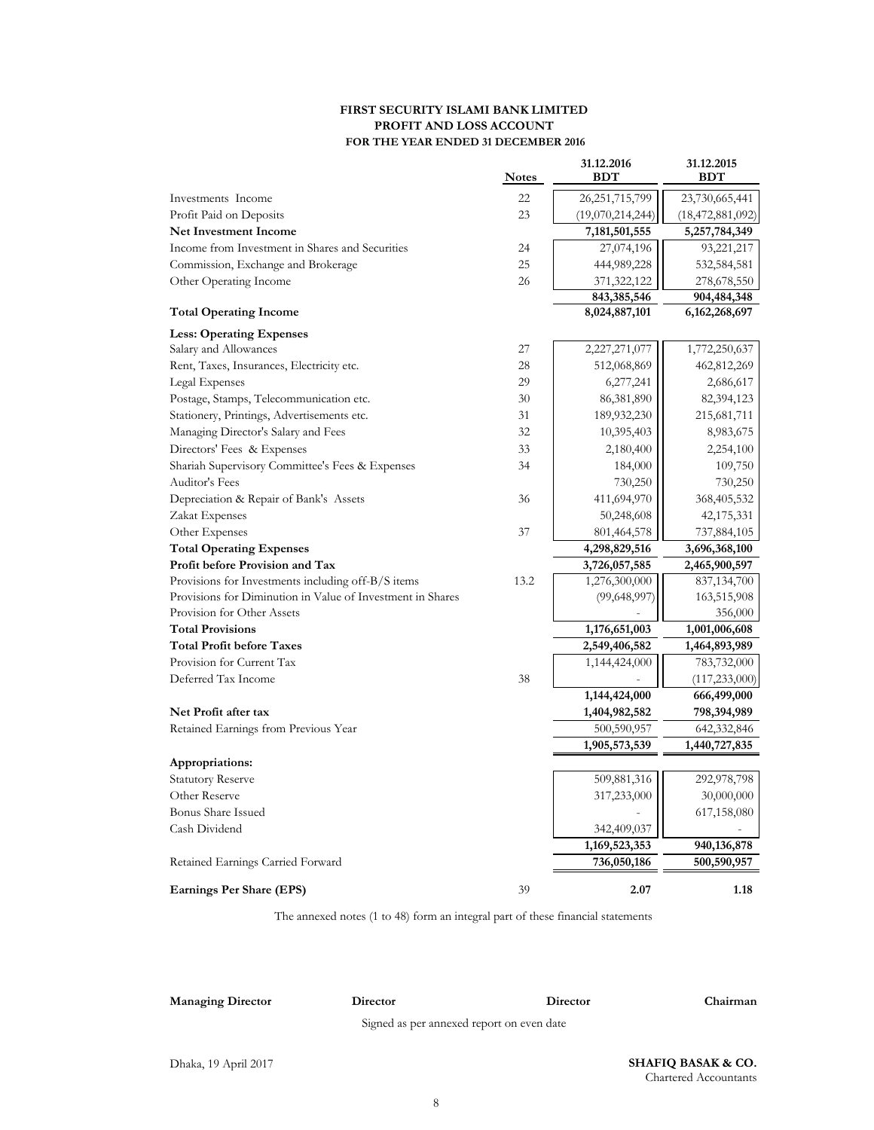#### **FIRST SECURITY ISLAMI BANK LIMITED PROFIT AND LOSS ACCOUNT FOR THE YEAR ENDED 31 DECEMBER 2016**

|                                                            | <b>Notes</b> | 31.12.2016<br><b>BDT</b> | 31.12.2015<br><b>BDT</b> |
|------------------------------------------------------------|--------------|--------------------------|--------------------------|
| Investments Income                                         | 22           | 26, 251, 715, 799        | 23,730,665,441           |
| Profit Paid on Deposits                                    | 23           | (19,070,214,244)         | (18, 472, 881, 092)      |
| <b>Net Investment Income</b>                               |              | 7,181,501,555            | 5,257,784,349            |
| Income from Investment in Shares and Securities            | 24           | 27,074,196               | 93,221,217               |
| Commission, Exchange and Brokerage                         | 25           | 444,989,228              | 532,584,581              |
| Other Operating Income                                     | 26           | 371,322,122              | 278,678,550              |
|                                                            |              | 843,385,546              | 904,484,348              |
| <b>Total Operating Income</b>                              |              | 8,024,887,101            | 6, 162, 268, 697         |
| <b>Less: Operating Expenses</b>                            |              |                          |                          |
| Salary and Allowances                                      | 27           | 2,227,271,077            | 1,772,250,637            |
| Rent, Taxes, Insurances, Electricity etc.                  | 28           | 512,068,869              | 462,812,269              |
| Legal Expenses                                             | 29           | 6,277,241                | 2,686,617                |
| Postage, Stamps, Telecommunication etc.                    | 30           | 86,381,890               | 82,394,123               |
| Stationery, Printings, Advertisements etc.                 | 31           | 189, 932, 230            | 215,681,711              |
| Managing Director's Salary and Fees                        | 32           | 10,395,403               | 8,983,675                |
| Directors' Fees & Expenses                                 | 33           | 2,180,400                | 2,254,100                |
| Shariah Supervisory Committee's Fees & Expenses            | 34           | 184,000                  | 109,750                  |
| Auditor's Fees                                             |              | 730,250                  | 730,250                  |
| Depreciation & Repair of Bank's Assets                     | 36           | 411,694,970              | 368,405,532              |
| Zakat Expenses                                             |              | 50,248,608               | 42,175,331               |
| Other Expenses                                             | 37           | 801,464,578              | 737,884,105              |
| <b>Total Operating Expenses</b>                            |              | 4,298,829,516            | 3,696,368,100            |
| Profit before Provision and Tax                            |              | 3,726,057,585            | 2,465,900,597            |
| Provisions for Investments including off-B/S items         | 13.2         | 1,276,300,000            | 837,134,700              |
| Provisions for Diminution in Value of Investment in Shares |              | (99, 648, 997)           | 163,515,908              |
| Provision for Other Assets                                 |              |                          | 356,000                  |
| <b>Total Provisions</b>                                    |              | 1,176,651,003            | 1,001,006,608            |
| <b>Total Profit before Taxes</b>                           |              | 2,549,406,582            | 1,464,893,989            |
| Provision for Current Tax                                  |              | 1,144,424,000            | 783,732,000              |
| Deferred Tax Income                                        | 38           |                          | (117, 233, 000)          |
|                                                            |              | 1,144,424,000            | 666,499,000              |
| Net Profit after tax                                       |              | 1,404,982,582            | 798,394,989              |
| Retained Earnings from Previous Year                       |              | 500,590,957              | 642,332,846              |
|                                                            |              | 1,905,573,539            | 1,440,727,835            |
| Appropriations:                                            |              |                          |                          |
| <b>Statutory Reserve</b>                                   |              | 509,881,316              | 292,978,798              |
| Other Reserve                                              |              | 317,233,000              | 30,000,000               |
| <b>Bonus Share Issued</b>                                  |              |                          | 617,158,080              |
| Cash Dividend                                              |              | 342,409,037              |                          |
|                                                            |              | 1,169,523,353            | 940,136,878              |
| Retained Earnings Carried Forward                          |              | 736,050,186              | 500,590,957              |
| <b>Earnings Per Share (EPS)</b>                            | 39           | 2.07                     | 1.18                     |

The annexed notes (1 to 48) form an integral part of these financial statements

**Managing Director Director**

Signed as per annexed report on even date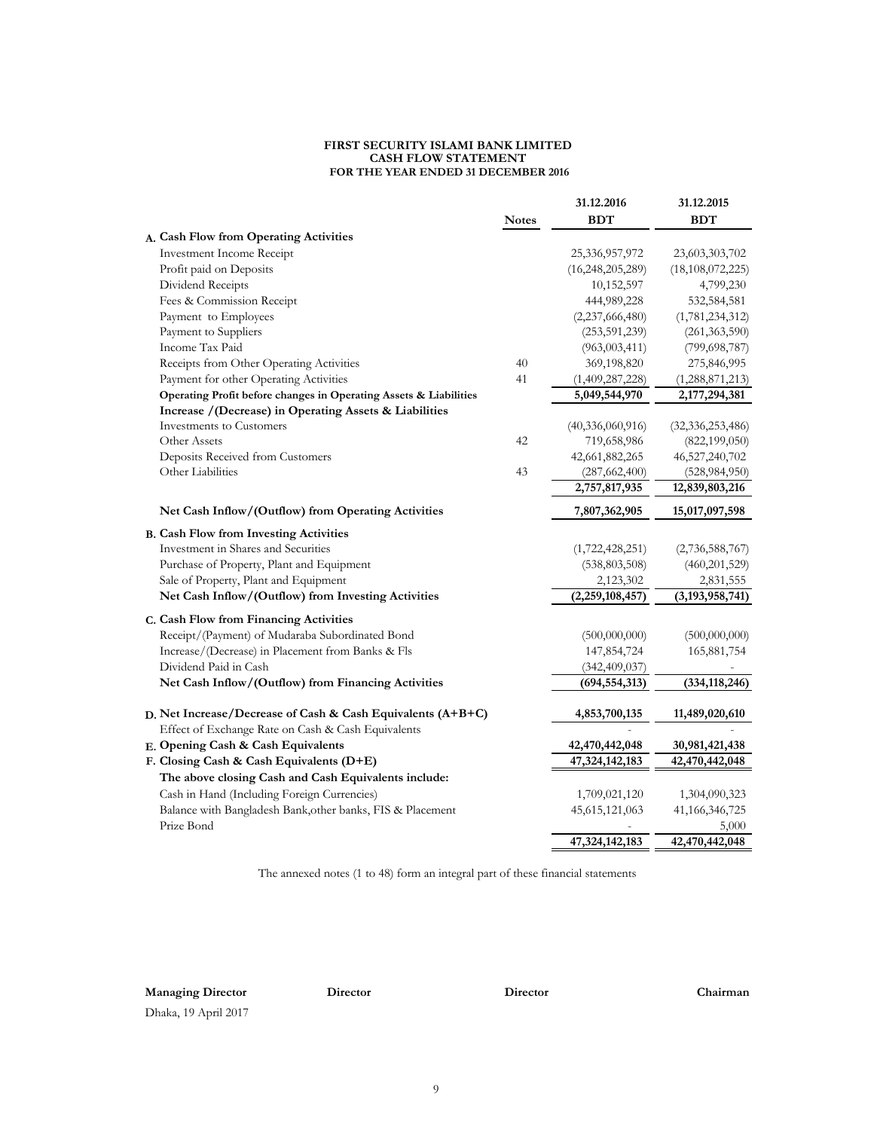#### **FIRST SECURITY ISLAMI BANK LIMITED CASH FLOW STATEMENT FOR THE YEAR ENDED 31 DECEMBER 2016**

|                                                                   |              | 31.12.2016          | 31.12.2015          |
|-------------------------------------------------------------------|--------------|---------------------|---------------------|
|                                                                   | <b>Notes</b> | <b>BDT</b>          | <b>BDT</b>          |
| A. Cash Flow from Operating Activities                            |              |                     |                     |
| <b>Investment Income Receipt</b>                                  |              | 25,336,957,972      | 23,603,303,702      |
| Profit paid on Deposits                                           |              | (16, 248, 205, 289) | (18, 108, 072, 225) |
| Dividend Receipts                                                 |              | 10,152,597          | 4,799,230           |
| Fees & Commission Receipt                                         |              | 444,989,228         | 532,584,581         |
| Payment to Employees                                              |              | (2,237,666,480)     | (1,781,234,312)     |
| Payment to Suppliers                                              |              | (253, 591, 239)     | (261, 363, 590)     |
| Income Tax Paid                                                   |              | (963, 003, 411)     | (799, 698, 787)     |
| Receipts from Other Operating Activities                          | 40           | 369,198,820         | 275,846,995         |
| Payment for other Operating Activities                            | 41           | (1,409,287,228)     | (1,288,871,213)     |
| Operating Profit before changes in Operating Assets & Liabilities |              | 5,049,544,970       | 2,177,294,381       |
| Increase / (Decrease) in Operating Assets & Liabilities           |              |                     |                     |
| <b>Investments to Customers</b>                                   |              | (40,336,060,916)    | (32, 336, 253, 486) |
| Other Assets                                                      | 42           | 719,658,986         | (822, 199, 050)     |
| Deposits Received from Customers                                  |              | 42,661,882,265      | 46,527,240,702      |
| Other Liabilities                                                 | 43           | (287, 662, 400)     | (528, 984, 950)     |
|                                                                   |              | 2,757,817,935       | 12,839,803,216      |
| Net Cash Inflow/(Outflow) from Operating Activities               |              | 7,807,362,905       | 15,017,097,598      |
| <b>B. Cash Flow from Investing Activities</b>                     |              |                     |                     |
| Investment in Shares and Securities                               |              | (1,722,428,251)     | (2,736,588,767)     |
| Purchase of Property, Plant and Equipment                         |              | (538, 803, 508)     | (460, 201, 529)     |
| Sale of Property, Plant and Equipment                             |              | 2,123,302           | 2,831,555           |
| Net Cash Inflow/(Outflow) from Investing Activities               |              | (2,259,108,457)     | (3, 193, 958, 741)  |
| C. Cash Flow from Financing Activities                            |              |                     |                     |
| Receipt/(Payment) of Mudaraba Subordinated Bond                   |              | (500,000,000)       | (500,000,000)       |
| Increase/(Decrease) in Placement from Banks & Fls                 |              | 147,854,724         | 165,881,754         |
| Dividend Paid in Cash                                             |              | (342, 409, 037)     |                     |
| Net Cash Inflow/(Outflow) from Financing Activities               |              | (694, 554, 313)     | (334, 118, 246)     |
|                                                                   |              |                     |                     |
| D. Net Increase/Decrease of Cash & Cash Equivalents (A+B+C)       |              | 4,853,700,135       | 11,489,020,610      |
| Effect of Exchange Rate on Cash & Cash Equivalents                |              |                     |                     |
| E. Opening Cash & Cash Equivalents                                |              | 42,470,442,048      | 30,981,421,438      |
| F. Closing Cash & Cash Equivalents (D+E)                          |              | 47,324,142,183      | 42,470,442,048      |
| The above closing Cash and Cash Equivalents include:              |              |                     |                     |
| Cash in Hand (Including Foreign Currencies)                       |              | 1,709,021,120       | 1,304,090,323       |
| Balance with Bangladesh Bank, other banks, FIS & Placement        |              | 45,615,121,063      | 41,166,346,725      |
| Prize Bond                                                        |              |                     | 5,000               |
|                                                                   |              | 47,324,142,183      | 42,470,442,048      |

The annexed notes (1 to 48) form an integral part of these financial statements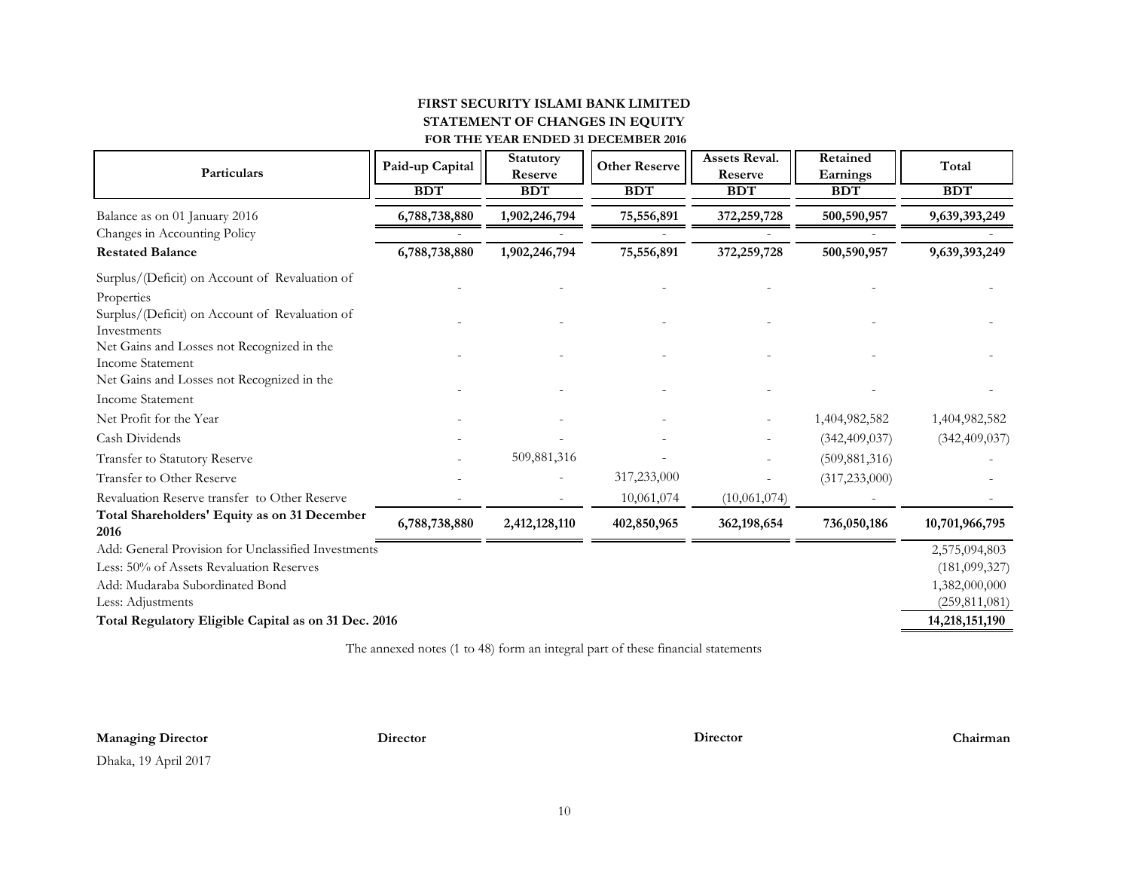#### **FIRST SECURITY ISLAMI BANK LIMITED FOR THE YEAR ENDED 31 DECEMBER 2016 STATEMENT OF CHANGES IN EQUITY**

| Particulars                                                           | Paid-up Capital | Statutory<br>Reserve | <b>Other Reserve</b> | <b>Assets Reval.</b><br>Reserve | Retained<br>Earnings | Total           |
|-----------------------------------------------------------------------|-----------------|----------------------|----------------------|---------------------------------|----------------------|-----------------|
|                                                                       | <b>BDT</b>      | <b>BDT</b>           | <b>BDT</b>           | <b>BDT</b>                      | <b>BDT</b>           | <b>BDT</b>      |
| Balance as on 01 January 2016                                         | 6,788,738,880   | 1,902,246,794        | 75,556,891           | 372,259,728                     | 500,590,957          | 9,639,393,249   |
| Changes in Accounting Policy                                          |                 |                      |                      |                                 |                      |                 |
| <b>Restated Balance</b>                                               | 6,788,738,880   | 1,902,246,794        | 75,556,891           | 372,259,728                     | 500,590,957          | 9,639,393,249   |
| Surplus/(Deficit) on Account of Revaluation of                        |                 |                      |                      |                                 |                      |                 |
| Properties                                                            |                 |                      |                      |                                 |                      |                 |
| Surplus/(Deficit) on Account of Revaluation of                        |                 |                      |                      |                                 |                      |                 |
| Investments                                                           |                 |                      |                      |                                 |                      |                 |
| Net Gains and Losses not Recognized in the<br><b>Income Statement</b> |                 |                      |                      |                                 |                      |                 |
| Net Gains and Losses not Recognized in the                            |                 |                      |                      |                                 |                      |                 |
| <b>Income Statement</b>                                               |                 |                      |                      |                                 |                      |                 |
| Net Profit for the Year                                               |                 |                      |                      |                                 | 1,404,982,582        | 1,404,982,582   |
| Cash Dividends                                                        |                 |                      |                      |                                 | (342, 409, 037)      | (342, 409, 037) |
| Transfer to Statutory Reserve                                         |                 | 509,881,316          |                      |                                 | (509, 881, 316)      |                 |
| Transfer to Other Reserve                                             |                 |                      | 317,233,000          |                                 | (317, 233, 000)      |                 |
| Revaluation Reserve transfer to Other Reserve                         |                 |                      | 10,061,074           | (10,061,074)                    |                      |                 |
| Total Shareholders' Equity as on 31 December<br>2016                  | 6,788,738,880   | 2,412,128,110        | 402,850,965          | 362,198,654                     | 736,050,186          | 10,701,966,795  |
| Add: General Provision for Unclassified Investments                   |                 |                      |                      |                                 |                      | 2,575,094,803   |
| Less: 50% of Assets Revaluation Reserves                              |                 |                      |                      |                                 |                      | (181,099,327)   |
| Add: Mudaraba Subordinated Bond                                       |                 |                      |                      |                                 |                      | 1,382,000,000   |
| Less: Adjustments                                                     |                 |                      |                      |                                 |                      | (259, 811, 081) |
| Total Regulatory Eligible Capital as on 31 Dec. 2016                  |                 |                      |                      |                                 |                      | 14,218,151,190  |

The annexed notes (1 to 48) form an integral part of these financial statements

#### **Managing Director Director Director Chairman**

Dhaka, 19 April 2017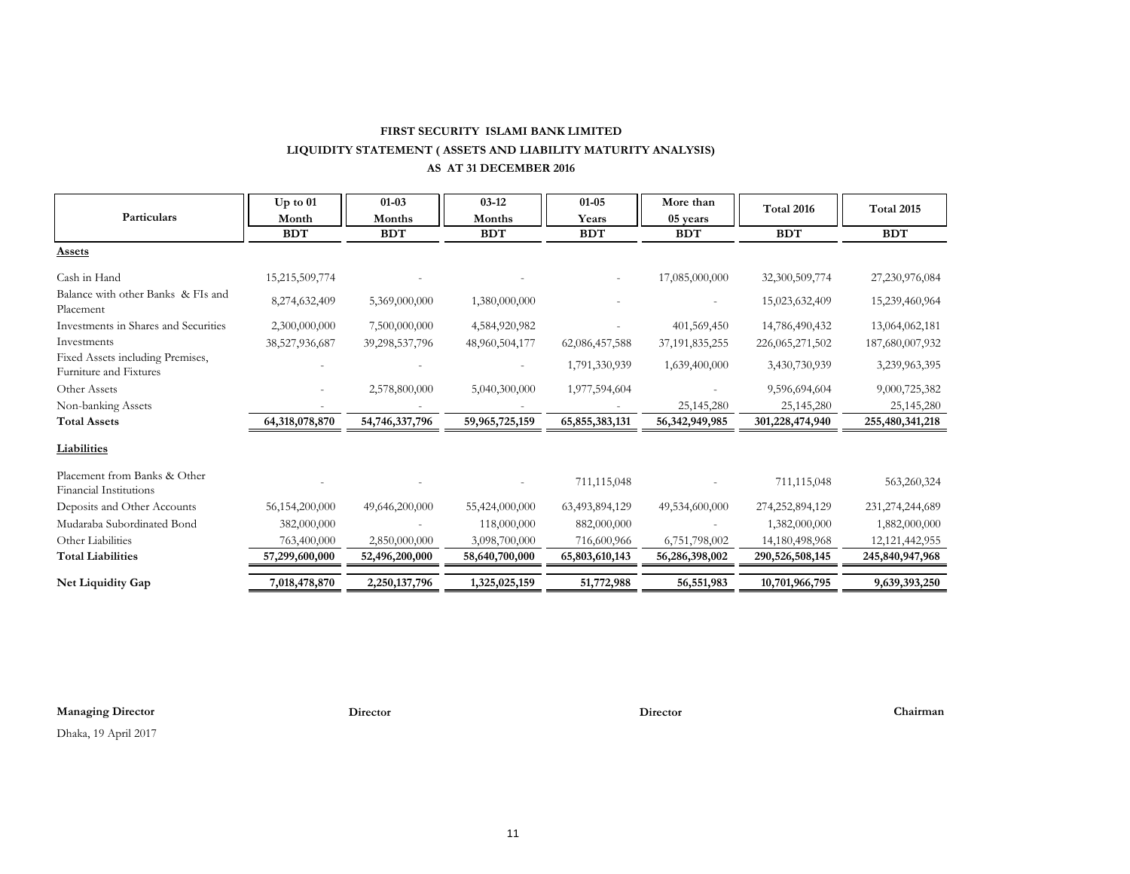#### **FIRST SECURITY ISLAMI BANK LIMITED LIQUIDITY STATEMENT ( ASSETS AND LIABILITY MATURITY ANALYSIS) AS AT 31 DECEMBER 2016**

|                                                        | $Up$ to $01$   | $01 - 03$      | $03-12$        | $01 - 05$      | More than         | Total 2016         | Total 2015         |
|--------------------------------------------------------|----------------|----------------|----------------|----------------|-------------------|--------------------|--------------------|
| Particulars                                            | Month          | Months         | Months         | Years          | 05 years          |                    |                    |
|                                                        | <b>BDT</b>     | <b>BDT</b>     | <b>BDT</b>     | <b>BDT</b>     | <b>BDT</b>        | <b>BDT</b>         | <b>BDT</b>         |
| <b>Assets</b>                                          |                |                |                |                |                   |                    |                    |
| Cash in Hand                                           | 15,215,509,774 |                |                |                | 17,085,000,000    | 32,300,509,774     | 27,230,976,084     |
| Balance with other Banks & FIs and<br>Placement        | 8,274,632,409  | 5,369,000,000  | 1,380,000,000  |                |                   | 15,023,632,409     | 15,239,460,964     |
| Investments in Shares and Securities                   | 2,300,000,000  | 7,500,000,000  | 4,584,920,982  |                | 401,569,450       | 14,786,490,432     | 13,064,062,181     |
| Investments                                            | 38,527,936,687 | 39,298,537,796 | 48,960,504,177 | 62,086,457,588 | 37, 191, 835, 255 | 226, 065, 271, 502 | 187,680,007,932    |
| Fixed Assets including Premises,                       |                |                |                | 1,791,330,939  | 1,639,400,000     | 3,430,730,939      | 3,239,963,395      |
| Furniture and Fixtures                                 |                |                |                |                |                   |                    |                    |
| Other Assets                                           |                | 2,578,800,000  | 5,040,300,000  | 1,977,594,604  |                   | 9,596,694,604      | 9,000,725,382      |
| Non-banking Assets                                     |                |                |                |                | 25,145,280        | 25,145,280         | 25,145,280         |
| <b>Total Assets</b>                                    | 64,318,078,870 | 54,746,337,796 | 59,965,725,159 | 65,855,383,131 | 56, 342, 949, 985 | 301,228,474,940    | 255,480,341,218    |
| <b>Liabilities</b>                                     |                |                |                |                |                   |                    |                    |
| Placement from Banks & Other<br>Financial Institutions |                |                |                | 711,115,048    |                   | 711,115,048        | 563,260,324        |
| Deposits and Other Accounts                            | 56,154,200,000 | 49,646,200,000 | 55,424,000,000 | 63,493,894,129 | 49,534,600,000    | 274,252,894,129    | 231, 274, 244, 689 |
| Mudaraba Subordinated Bond                             | 382,000,000    |                | 118,000,000    | 882,000,000    |                   | 1,382,000,000      | 1,882,000,000      |
| Other Liabilities                                      | 763,400,000    | 2,850,000,000  | 3,098,700,000  | 716,600,966    | 6,751,798,002     | 14,180,498,968     | 12, 121, 442, 955  |
| <b>Total Liabilities</b>                               | 57,299,600,000 | 52,496,200,000 | 58,640,700,000 | 65,803,610,143 | 56,286,398,002    | 290,526,508,145    | 245,840,947,968    |
| Net Liquidity Gap                                      | 7,018,478,870  | 2,250,137,796  | 1,325,025,159  | 51,772,988     | 56,551,983        | 10,701,966,795     | 9,639,393,250      |

**Managing Director Director Director Chairman**

Dhaka, 19 April 2017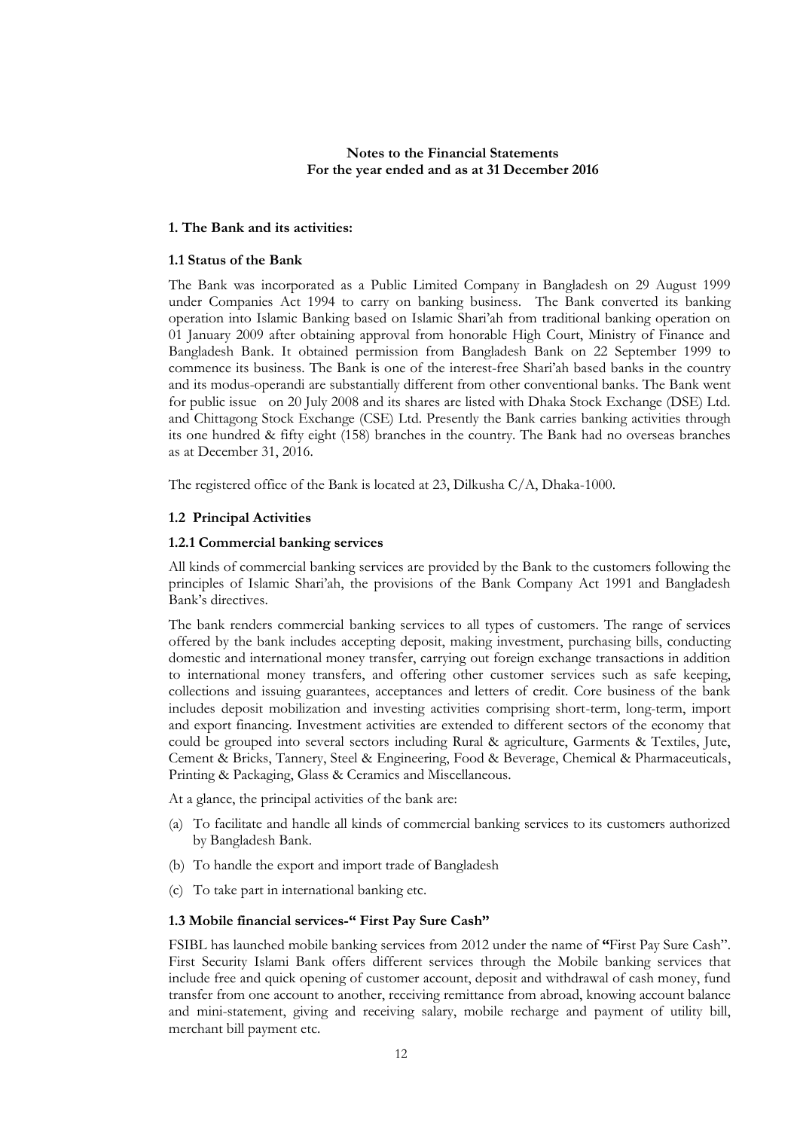#### **Notes to the Financial Statements For the year ended and as at 31 December 2016**

#### **1. The Bank and its activities:**

#### **1.1 Status of the Bank**

The Bank was incorporated as a Public Limited Company in Bangladesh on 29 August 1999 under Companies Act 1994 to carry on banking business. The Bank converted its banking operation into Islamic Banking based on Islamic Shari'ah from traditional banking operation on 01 January 2009 after obtaining approval from honorable High Court, Ministry of Finance and Bangladesh Bank. It obtained permission from Bangladesh Bank on 22 September 1999 to commence its business. The Bank is one of the interest-free Shari'ah based banks in the country and its modus-operandi are substantially different from other conventional banks. The Bank went for public issue on 20 July 2008 and its shares are listed with Dhaka Stock Exchange (DSE) Ltd. and Chittagong Stock Exchange (CSE) Ltd. Presently the Bank carries banking activities through its one hundred & fifty eight (158) branches in the country. The Bank had no overseas branches as at December 31, 2016.

The registered office of the Bank is located at 23, Dilkusha C/A, Dhaka-1000.

#### **1.2 Principal Activities**

#### **1.2.1 Commercial banking services**

All kinds of commercial banking services are provided by the Bank to the customers following the principles of Islamic Shari'ah, the provisions of the Bank Company Act 1991 and Bangladesh Bank's directives.

The bank renders commercial banking services to all types of customers. The range of services offered by the bank includes accepting deposit, making investment, purchasing bills, conducting domestic and international money transfer, carrying out foreign exchange transactions in addition to international money transfers, and offering other customer services such as safe keeping, collections and issuing guarantees, acceptances and letters of credit. Core business of the bank includes deposit mobilization and investing activities comprising short-term, long-term, import and export financing. Investment activities are extended to different sectors of the economy that could be grouped into several sectors including Rural & agriculture, Garments & Textiles, Jute, Cement & Bricks, Tannery, Steel & Engineering, Food & Beverage, Chemical & Pharmaceuticals, Printing & Packaging, Glass & Ceramics and Miscellaneous.

At a glance, the principal activities of the bank are:

- (a) To facilitate and handle all kinds of commercial banking services to its customers authorized by Bangladesh Bank.
- (b) To handle the export and import trade of Bangladesh
- (c) To take part in international banking etc.

#### **1.3 Mobile financial services-" First Pay Sure Cash"**

FSIBL has launched mobile banking services from 2012 under the name of **"**First Pay Sure Cash". First Security Islami Bank offers different services through the Mobile banking services that include free and quick opening of customer account, deposit and withdrawal of cash money, fund transfer from one account to another, receiving remittance from abroad, knowing account balance and mini-statement, giving and receiving salary, mobile recharge and payment of utility bill, merchant bill payment etc.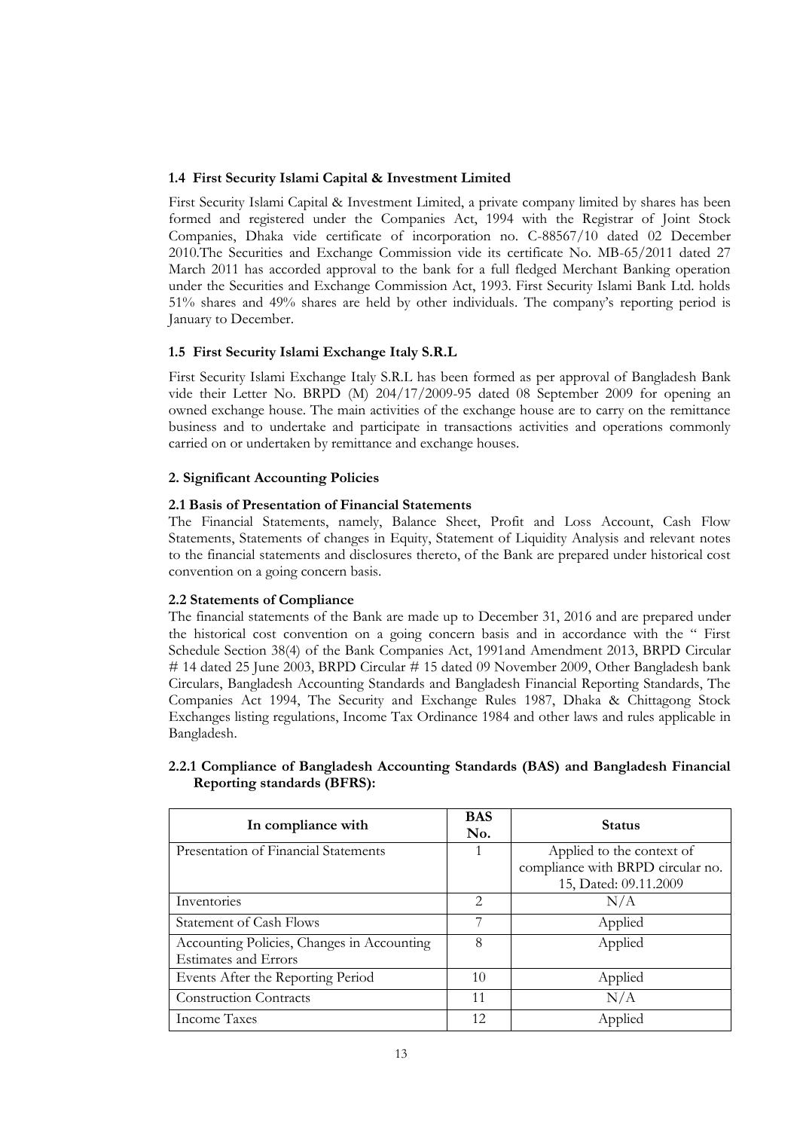#### **1.4 First Security Islami Capital & Investment Limited**

First Security Islami Capital & Investment Limited, a private company limited by shares has been formed and registered under the Companies Act, 1994 with the Registrar of Joint Stock Companies, Dhaka vide certificate of incorporation no. C-88567/10 dated 02 December 2010.The Securities and Exchange Commission vide its certificate No. MB-65/2011 dated 27 March 2011 has accorded approval to the bank for a full fledged Merchant Banking operation under the Securities and Exchange Commission Act, 1993. First Security Islami Bank Ltd. holds 51% shares and 49% shares are held by other individuals. The company's reporting period is January to December.

#### **1.5 First Security Islami Exchange Italy S.R.L**

First Security Islami Exchange Italy S.R.L has been formed as per approval of Bangladesh Bank vide their Letter No. BRPD (M) 204/17/2009-95 dated 08 September 2009 for opening an owned exchange house. The main activities of the exchange house are to carry on the remittance business and to undertake and participate in transactions activities and operations commonly carried on or undertaken by remittance and exchange houses.

#### **2. Significant Accounting Policies**

#### **2.1 Basis of Presentation of Financial Statements**

The Financial Statements, namely, Balance Sheet, Profit and Loss Account, Cash Flow Statements, Statements of changes in Equity, Statement of Liquidity Analysis and relevant notes to the financial statements and disclosures thereto, of the Bank are prepared under historical cost convention on a going concern basis.

#### **2.2 Statements of Compliance**

The financial statements of the Bank are made up to December 31, 2016 and are prepared under the historical cost convention on a going concern basis and in accordance with the " First Schedule Section 38(4) of the Bank Companies Act, 1991and Amendment 2013, BRPD Circular # 14 dated 25 June 2003, BRPD Circular # 15 dated 09 November 2009, Other Bangladesh bank Circulars, Bangladesh Accounting Standards and Bangladesh Financial Reporting Standards, The Companies Act 1994, The Security and Exchange Rules 1987, Dhaka & Chittagong Stock Exchanges listing regulations, Income Tax Ordinance 1984 and other laws and rules applicable in Bangladesh.

### **2.2.1 Compliance of Bangladesh Accounting Standards (BAS) and Bangladesh Financial Reporting standards (BFRS):**

| In compliance with                         | <b>BAS</b><br>No.           | <b>Status</b>                     |
|--------------------------------------------|-----------------------------|-----------------------------------|
| Presentation of Financial Statements       |                             | Applied to the context of         |
|                                            |                             | compliance with BRPD circular no. |
|                                            |                             | 15, Dated: 09.11.2009             |
| Inventories                                | $\mathcal{D}_{\mathcal{A}}$ | N/A                               |
| <b>Statement of Cash Flows</b>             | 7                           | Applied                           |
| Accounting Policies, Changes in Accounting | 8                           | Applied                           |
| <b>Estimates and Errors</b>                |                             |                                   |
| Events After the Reporting Period          | 10                          | Applied                           |
| <b>Construction Contracts</b>              | 11                          | N/A                               |
| Income Taxes                               | 12                          | Applied                           |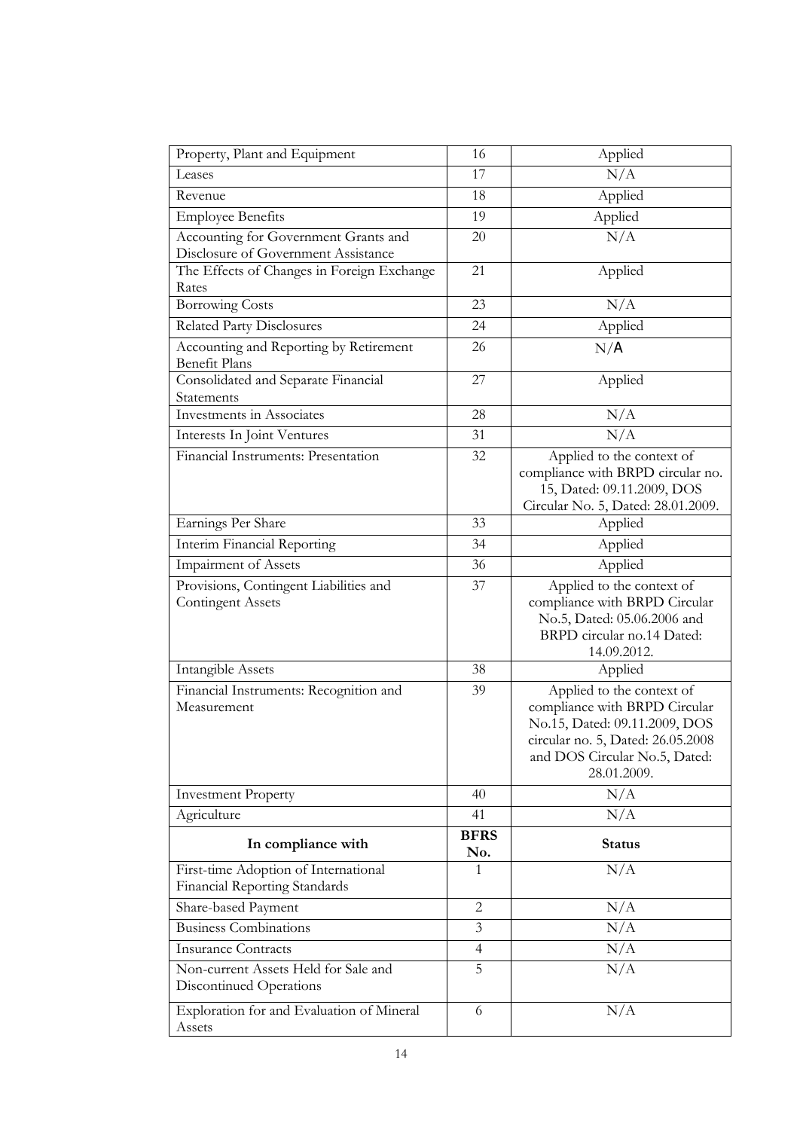| Property, Plant and Equipment                                         | 16                 | Applied                                                                                                                                                                          |
|-----------------------------------------------------------------------|--------------------|----------------------------------------------------------------------------------------------------------------------------------------------------------------------------------|
| Leases                                                                | 17                 | N/A                                                                                                                                                                              |
| Revenue                                                               | 18                 | Applied                                                                                                                                                                          |
| <b>Employee Benefits</b>                                              | 19                 | Applied                                                                                                                                                                          |
| Accounting for Government Grants and                                  | 20                 | N/A                                                                                                                                                                              |
| Disclosure of Government Assistance                                   |                    |                                                                                                                                                                                  |
| The Effects of Changes in Foreign Exchange<br>Rates                   | 21                 | Applied                                                                                                                                                                          |
| <b>Borrowing Costs</b>                                                | 23                 | N/A                                                                                                                                                                              |
| <b>Related Party Disclosures</b>                                      | 24                 | Applied                                                                                                                                                                          |
| Accounting and Reporting by Retirement<br><b>Benefit Plans</b>        | 26                 | N/A                                                                                                                                                                              |
| Consolidated and Separate Financial                                   | 27                 | Applied                                                                                                                                                                          |
| Statements                                                            |                    |                                                                                                                                                                                  |
| Investments in Associates                                             | 28                 | N/A                                                                                                                                                                              |
| Interests In Joint Ventures                                           | 31                 | N/A                                                                                                                                                                              |
| Financial Instruments: Presentation                                   | 32                 | Applied to the context of<br>compliance with BRPD circular no.<br>15, Dated: 09.11.2009, DOS<br>Circular No. 5, Dated: 28.01.2009.                                               |
| Earnings Per Share                                                    | 33                 | Applied                                                                                                                                                                          |
| Interim Financial Reporting                                           | 34                 | Applied                                                                                                                                                                          |
| <b>Impairment of Assets</b>                                           | 36                 | Applied                                                                                                                                                                          |
| Provisions, Contingent Liabilities and<br><b>Contingent Assets</b>    | 37                 | Applied to the context of<br>compliance with BRPD Circular<br>No.5, Dated: 05.06.2006 and<br>BRPD circular no.14 Dated:<br>14.09.2012.                                           |
| Intangible Assets                                                     | 38                 | Applied                                                                                                                                                                          |
| Financial Instruments: Recognition and<br>Measurement                 | 39                 | Applied to the context of<br>compliance with BRPD Circular<br>No.15, Dated: 09.11.2009, DOS<br>circular no. 5, Dated: 26.05.2008<br>and DOS Circular No.5, Dated:<br>28.01.2009. |
| <b>Investment Property</b>                                            | 40                 | N/A                                                                                                                                                                              |
| Agriculture                                                           | 41                 | N/A                                                                                                                                                                              |
| In compliance with                                                    | <b>BFRS</b><br>No. | <b>Status</b>                                                                                                                                                                    |
| First-time Adoption of International<br>Financial Reporting Standards | 1                  | N/A                                                                                                                                                                              |
| Share-based Payment                                                   | $\overline{2}$     | N/A                                                                                                                                                                              |
| <b>Business Combinations</b>                                          | 3                  | N/A                                                                                                                                                                              |
| <b>Insurance Contracts</b>                                            | $\overline{4}$     | N/A                                                                                                                                                                              |
| Non-current Assets Held for Sale and<br>Discontinued Operations       | 5                  | N/A                                                                                                                                                                              |
| Exploration for and Evaluation of Mineral<br>Assets                   | 6                  | N/A                                                                                                                                                                              |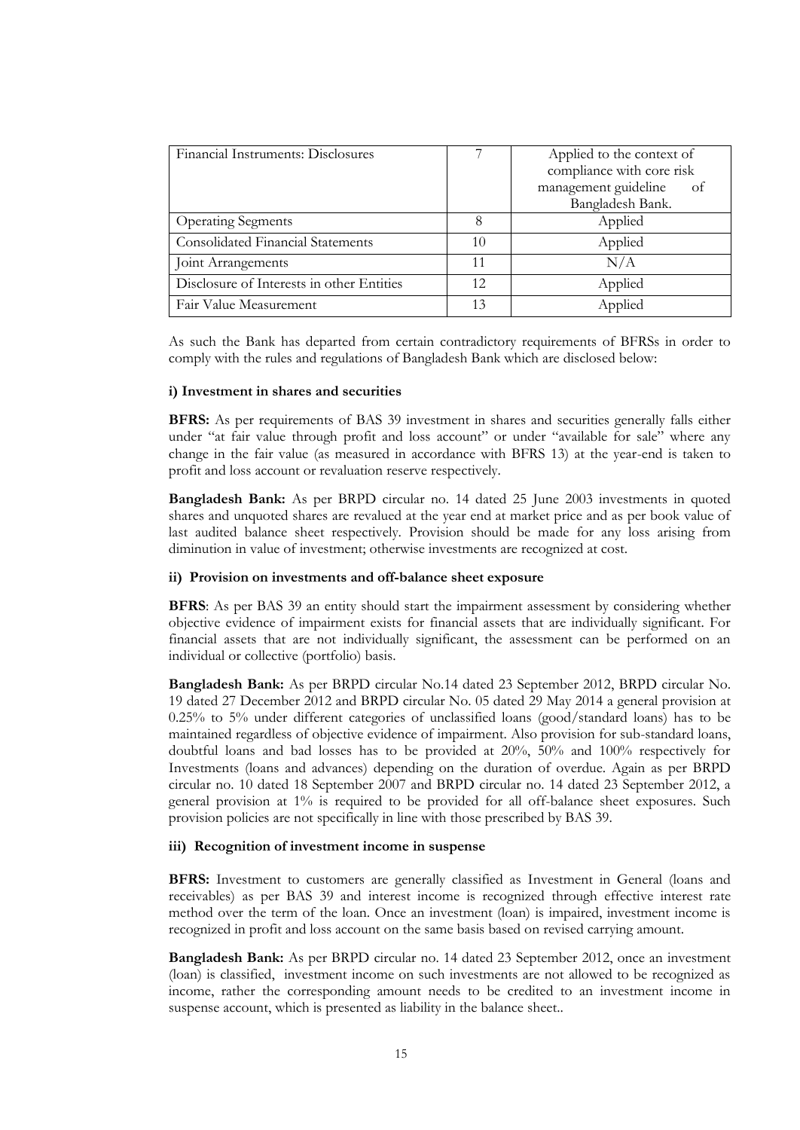| Financial Instruments: Disclosures        |     | Applied to the context of<br>compliance with core risk<br>management guideline<br>– of<br>Bangladesh Bank. |
|-------------------------------------------|-----|------------------------------------------------------------------------------------------------------------|
| <b>Operating Segments</b>                 | 8   | Applied                                                                                                    |
| <b>Consolidated Financial Statements</b>  | 10  | Applied                                                                                                    |
| Joint Arrangements                        | 11  | N/A                                                                                                        |
| Disclosure of Interests in other Entities | 12. | Applied                                                                                                    |
| Fair Value Measurement                    | 13  | Applied                                                                                                    |

As such the Bank has departed from certain contradictory requirements of BFRSs in order to comply with the rules and regulations of Bangladesh Bank which are disclosed below:

#### **i) Investment in shares and securities**

**BFRS:** As per requirements of BAS 39 investment in shares and securities generally falls either under "at fair value through profit and loss account" or under "available for sale" where any change in the fair value (as measured in accordance with BFRS 13) at the year-end is taken to profit and loss account or revaluation reserve respectively.

**Bangladesh Bank:** As per BRPD circular no. 14 dated 25 June 2003 investments in quoted shares and unquoted shares are revalued at the year end at market price and as per book value of last audited balance sheet respectively. Provision should be made for any loss arising from diminution in value of investment; otherwise investments are recognized at cost.

#### **ii) Provision on investments and off-balance sheet exposure**

**BFRS**: As per BAS 39 an entity should start the impairment assessment by considering whether objective evidence of impairment exists for financial assets that are individually significant. For financial assets that are not individually significant, the assessment can be performed on an individual or collective (portfolio) basis.

**Bangladesh Bank:** As per BRPD circular No.14 dated 23 September 2012, BRPD circular No. 19 dated 27 December 2012 and BRPD circular No. 05 dated 29 May 2014 a general provision at 0.25% to 5% under different categories of unclassified loans (good/standard loans) has to be maintained regardless of objective evidence of impairment. Also provision for sub-standard loans, doubtful loans and bad losses has to be provided at 20%, 50% and 100% respectively for Investments (loans and advances) depending on the duration of overdue. Again as per BRPD circular no. 10 dated 18 September 2007 and BRPD circular no. 14 dated 23 September 2012, a general provision at 1% is required to be provided for all off-balance sheet exposures. Such provision policies are not specifically in line with those prescribed by BAS 39.

#### **iii) Recognition of investment income in suspense**

**BFRS:** Investment to customers are generally classified as Investment in General (loans and receivables) as per BAS 39 and interest income is recognized through effective interest rate method over the term of the loan. Once an investment (loan) is impaired, investment income is recognized in profit and loss account on the same basis based on revised carrying amount.

**Bangladesh Bank:** As per BRPD circular no. 14 dated 23 September 2012, once an investment (loan) is classified, investment income on such investments are not allowed to be recognized as income, rather the corresponding amount needs to be credited to an investment income in suspense account, which is presented as liability in the balance sheet..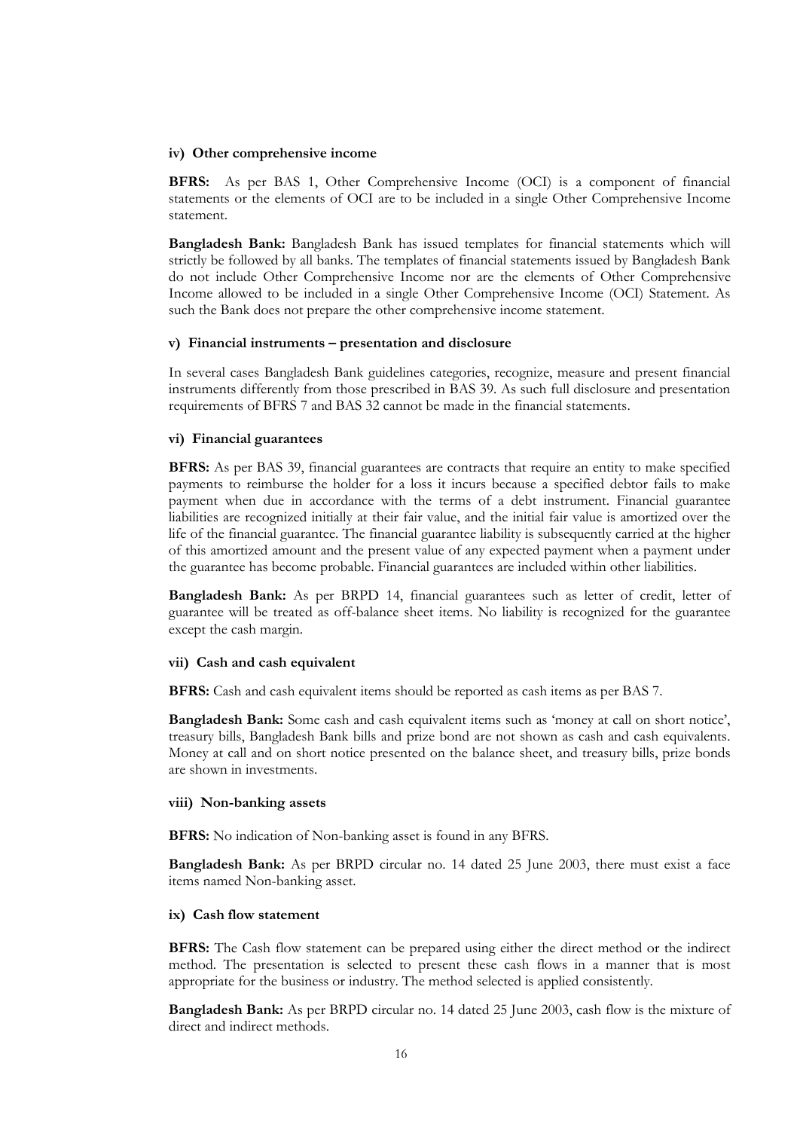#### **iv) Other comprehensive income**

**BFRS:** As per BAS 1, Other Comprehensive Income (OCI) is a component of financial statements or the elements of OCI are to be included in a single Other Comprehensive Income statement.

**Bangladesh Bank:** Bangladesh Bank has issued templates for financial statements which will strictly be followed by all banks. The templates of financial statements issued by Bangladesh Bank do not include Other Comprehensive Income nor are the elements of Other Comprehensive Income allowed to be included in a single Other Comprehensive Income (OCI) Statement. As such the Bank does not prepare the other comprehensive income statement.

#### **v) Financial instruments – presentation and disclosure**

In several cases Bangladesh Bank guidelines categories, recognize, measure and present financial instruments differently from those prescribed in BAS 39. As such full disclosure and presentation requirements of BFRS 7 and BAS 32 cannot be made in the financial statements.

#### **vi) Financial guarantees**

**BFRS:** As per BAS 39, financial guarantees are contracts that require an entity to make specified payments to reimburse the holder for a loss it incurs because a specified debtor fails to make payment when due in accordance with the terms of a debt instrument. Financial guarantee liabilities are recognized initially at their fair value, and the initial fair value is amortized over the life of the financial guarantee. The financial guarantee liability is subsequently carried at the higher of this amortized amount and the present value of any expected payment when a payment under the guarantee has become probable. Financial guarantees are included within other liabilities.

**Bangladesh Bank:** As per BRPD 14, financial guarantees such as letter of credit, letter of guarantee will be treated as off-balance sheet items. No liability is recognized for the guarantee except the cash margin.

#### **vii) Cash and cash equivalent**

**BFRS:** Cash and cash equivalent items should be reported as cash items as per BAS 7.

**Bangladesh Bank:** Some cash and cash equivalent items such as 'money at call on short notice', treasury bills, Bangladesh Bank bills and prize bond are not shown as cash and cash equivalents. Money at call and on short notice presented on the balance sheet, and treasury bills, prize bonds are shown in investments.

#### **viii) Non-banking assets**

**BFRS:** No indication of Non-banking asset is found in any BFRS.

**Bangladesh Bank:** As per BRPD circular no. 14 dated 25 June 2003, there must exist a face items named Non-banking asset.

#### **ix) Cash flow statement**

**BFRS:** The Cash flow statement can be prepared using either the direct method or the indirect method. The presentation is selected to present these cash flows in a manner that is most appropriate for the business or industry. The method selected is applied consistently.

**Bangladesh Bank:** As per BRPD circular no. 14 dated 25 June 2003, cash flow is the mixture of direct and indirect methods.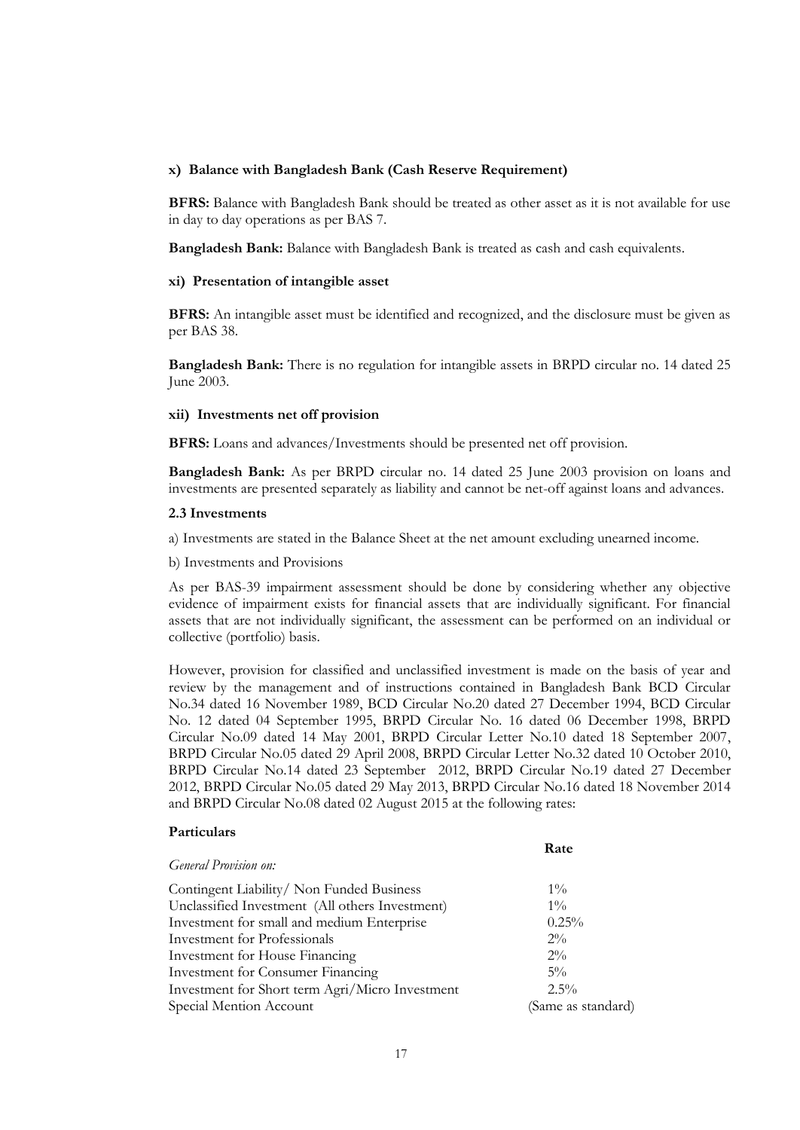#### **x) Balance with Bangladesh Bank (Cash Reserve Requirement)**

**BFRS:** Balance with Bangladesh Bank should be treated as other asset as it is not available for use in day to day operations as per BAS 7.

**Bangladesh Bank:** Balance with Bangladesh Bank is treated as cash and cash equivalents.

#### **xi) Presentation of intangible asset**

**BFRS:** An intangible asset must be identified and recognized, and the disclosure must be given as per BAS 38.

**Bangladesh Bank:** There is no regulation for intangible assets in BRPD circular no. 14 dated 25 June 2003.

#### **xii) Investments net off provision**

**BFRS:** Loans and advances/Investments should be presented net off provision.

**Bangladesh Bank:** As per BRPD circular no. 14 dated 25 June 2003 provision on loans and investments are presented separately as liability and cannot be net-off against loans and advances.

#### **2.3 Investments**

a) Investments are stated in the Balance Sheet at the net amount excluding unearned income.

b) Investments and Provisions

As per BAS-39 impairment assessment should be done by considering whether any objective evidence of impairment exists for financial assets that are individually significant. For financial assets that are not individually significant, the assessment can be performed on an individual or collective (portfolio) basis.

However, provision for classified and unclassified investment is made on the basis of year and review by the management and of instructions contained in Bangladesh Bank BCD Circular No.34 dated 16 November 1989, BCD Circular No.20 dated 27 December 1994, BCD Circular No. 12 dated 04 September 1995, BRPD Circular No. 16 dated 06 December 1998, BRPD Circular No.09 dated 14 May 2001, BRPD Circular Letter No.10 dated 18 September 2007, BRPD Circular No.05 dated 29 April 2008, BRPD Circular Letter No.32 dated 10 October 2010, BRPD Circular No.14 dated 23 September 2012, BRPD Circular No.19 dated 27 December 2012, BRPD Circular No.05 dated 29 May 2013, BRPD Circular No.16 dated 18 November 2014 and BRPD Circular No.08 dated 02 August 2015 at the following rates:

**Rate**

#### **Particulars**

|                                                 | nan                |
|-------------------------------------------------|--------------------|
| <b>General Provision on:</b>                    |                    |
| Contingent Liability/ Non Funded Business       | $1\%$              |
| Unclassified Investment (All others Investment) | $1\%$              |
| Investment for small and medium Enterprise      | 0.25%              |
| Investment for Professionals                    | $2\%$              |
| Investment for House Financing                  | $2\%$              |
| <b>Investment for Consumer Financing</b>        | $5\%$              |
| Investment for Short term Agri/Micro Investment | $2.5\%$            |
| Special Mention Account                         | (Same as standard) |
|                                                 |                    |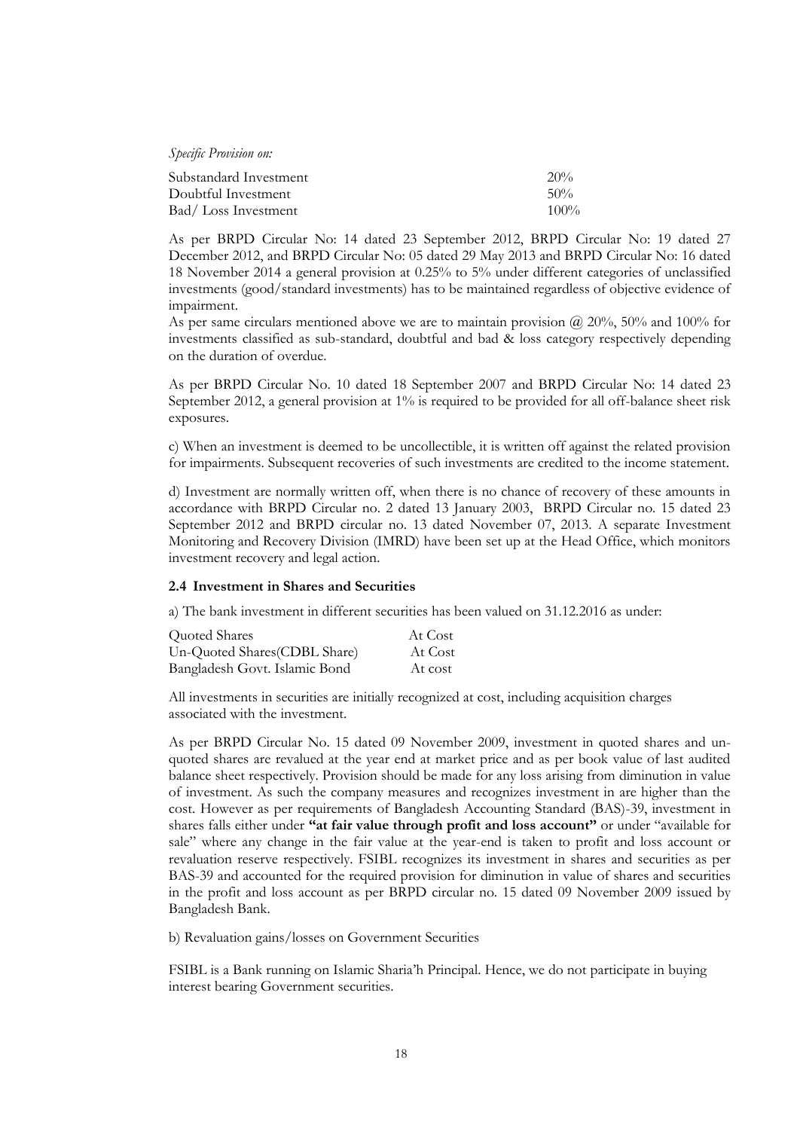*Specific Provision on:*

| Substandard Investment | 20%     |
|------------------------|---------|
| Doubtful Investment    | $50\%$  |
| Bad/Loss Investment    | $100\%$ |

As per BRPD Circular No: 14 dated 23 September 2012, BRPD Circular No: 19 dated 27 December 2012, and BRPD Circular No: 05 dated 29 May 2013 and BRPD Circular No: 16 dated 18 November 2014 a general provision at 0.25% to 5% under different categories of unclassified investments (good/standard investments) has to be maintained regardless of objective evidence of impairment.

As per same circulars mentioned above we are to maintain provision  $\omega$  20%, 50% and 100% for investments classified as sub-standard, doubtful and bad & loss category respectively depending on the duration of overdue.

As per BRPD Circular No. 10 dated 18 September 2007 and BRPD Circular No: 14 dated 23 September 2012, a general provision at 1% is required to be provided for all off-balance sheet risk exposures.

c) When an investment is deemed to be uncollectible, it is written off against the related provision for impairments. Subsequent recoveries of such investments are credited to the income statement.

d) Investment are normally written off, when there is no chance of recovery of these amounts in accordance with BRPD Circular no. 2 dated 13 January 2003, BRPD Circular no. 15 dated 23 September 2012 and BRPD circular no. 13 dated November 07, 2013. A separate Investment Monitoring and Recovery Division (IMRD) have been set up at the Head Office, which monitors investment recovery and legal action.

#### **2.4 Investment in Shares and Securities**

a) The bank investment in different securities has been valued on 31.12.2016 as under:

| Quoted Shares                 | At Cost |
|-------------------------------|---------|
| Un-Quoted Shares (CDBL Share) | At Cost |
| Bangladesh Govt. Islamic Bond | At cost |

All investments in securities are initially recognized at cost, including acquisition charges associated with the investment.

As per BRPD Circular No. 15 dated 09 November 2009, investment in quoted shares and unquoted shares are revalued at the year end at market price and as per book value of last audited balance sheet respectively. Provision should be made for any loss arising from diminution in value of investment. As such the company measures and recognizes investment in are higher than the cost. However as per requirements of Bangladesh Accounting Standard (BAS)-39, investment in shares falls either under **"at fair value through profit and loss account"** or under "available for sale" where any change in the fair value at the year-end is taken to profit and loss account or revaluation reserve respectively. FSIBL recognizes its investment in shares and securities as per BAS-39 and accounted for the required provision for diminution in value of shares and securities in the profit and loss account as per BRPD circular no. 15 dated 09 November 2009 issued by Bangladesh Bank.

b) Revaluation gains/losses on Government Securities

FSIBL is a Bank running on Islamic Sharia'h Principal. Hence, we do not participate in buying interest bearing Government securities.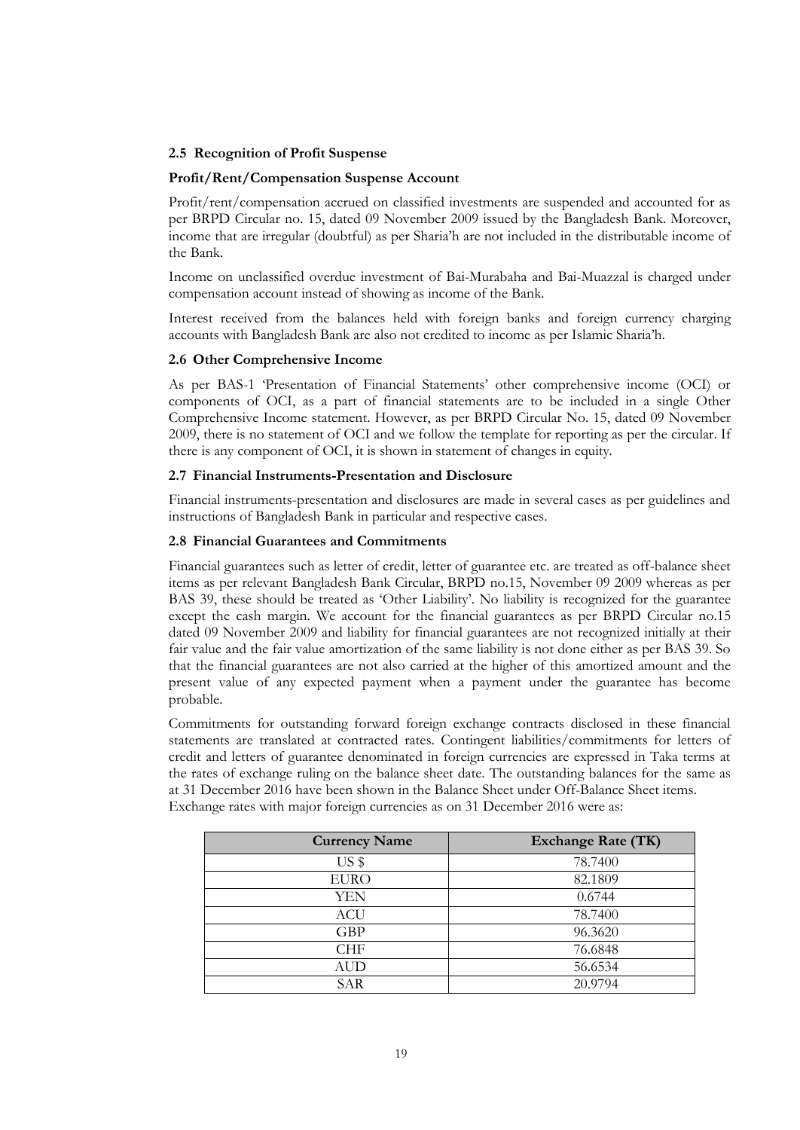#### **2.5 Recognition of Profit Suspense**

#### **Profit/Rent/Compensation Suspense Account**

Profit/rent/compensation accrued on classified investments are suspended and accounted for as per BRPD Circular no. 15, dated 09 November 2009 issued by the Bangladesh Bank. Moreover, income that are irregular (doubtful) as per Sharia'h are not included in the distributable income of the Bank.

Income on unclassified overdue investment of Bai-Murabaha and Bai-Muazzal is charged under compensation account instead of showing as income of the Bank.

Interest received from the balances held with foreign banks and foreign currency charging accounts with Bangladesh Bank are also not credited to income as per Islamic Sharia'h.

#### **2.6 Other Comprehensive Income**

As per BAS-1 'Presentation of Financial Statements' other comprehensive income (OCI) or components of OCI, as a part of financial statements are to be included in a single Other Comprehensive Income statement. However, as per BRPD Circular No. 15, dated 09 November 2009, there is no statement of OCI and we follow the template for reporting as per the circular. If there is any component of OCI, it is shown in statement of changes in equity.

#### **2.7 Financial Instruments-Presentation and Disclosure**

Financial instruments-presentation and disclosures are made in several cases as per guidelines and instructions of Bangladesh Bank in particular and respective cases.

#### **2.8 Financial Guarantees and Commitments**

Financial guarantees such as letter of credit, letter of guarantee etc. are treated as off-balance sheet items as per relevant Bangladesh Bank Circular, BRPD no.15, November 09 2009 whereas as per BAS 39, these should be treated as 'Other Liability'. No liability is recognized for the guarantee except the cash margin. We account for the financial guarantees as per BRPD Circular no.15 dated 09 November 2009 and liability for financial guarantees are not recognized initially at their fair value and the fair value amortization of the same liability is not done either as per BAS 39. So that the financial guarantees are not also carried at the higher of this amortized amount and the present value of any expected payment when a payment under the guarantee has become probable.

Commitments for outstanding forward foreign exchange contracts disclosed in these financial statements are translated at contracted rates. Contingent liabilities/commitments for letters of credit and letters of guarantee denominated in foreign currencies are expressed in Taka terms at the rates of exchange ruling on the balance sheet date. The outstanding balances for the same as at 31 December 2016 have been shown in the Balance Sheet under Off-Balance Sheet items. Exchange rates with major foreign currencies as on 31 December 2016 were as:

| <b>Currency Name</b> | <b>Exchange Rate (TK)</b> |
|----------------------|---------------------------|
| US <sub>s</sub>      | 78.7400                   |
| <b>EURO</b>          | 82.1809                   |
| YEN                  | 0.6744                    |
| ACU                  | 78.7400                   |
| <b>GBP</b>           | 96.3620                   |
| <b>CHF</b>           | 76.6848                   |
| <b>AUD</b>           | 56.6534                   |
| SAR                  | 20.9794                   |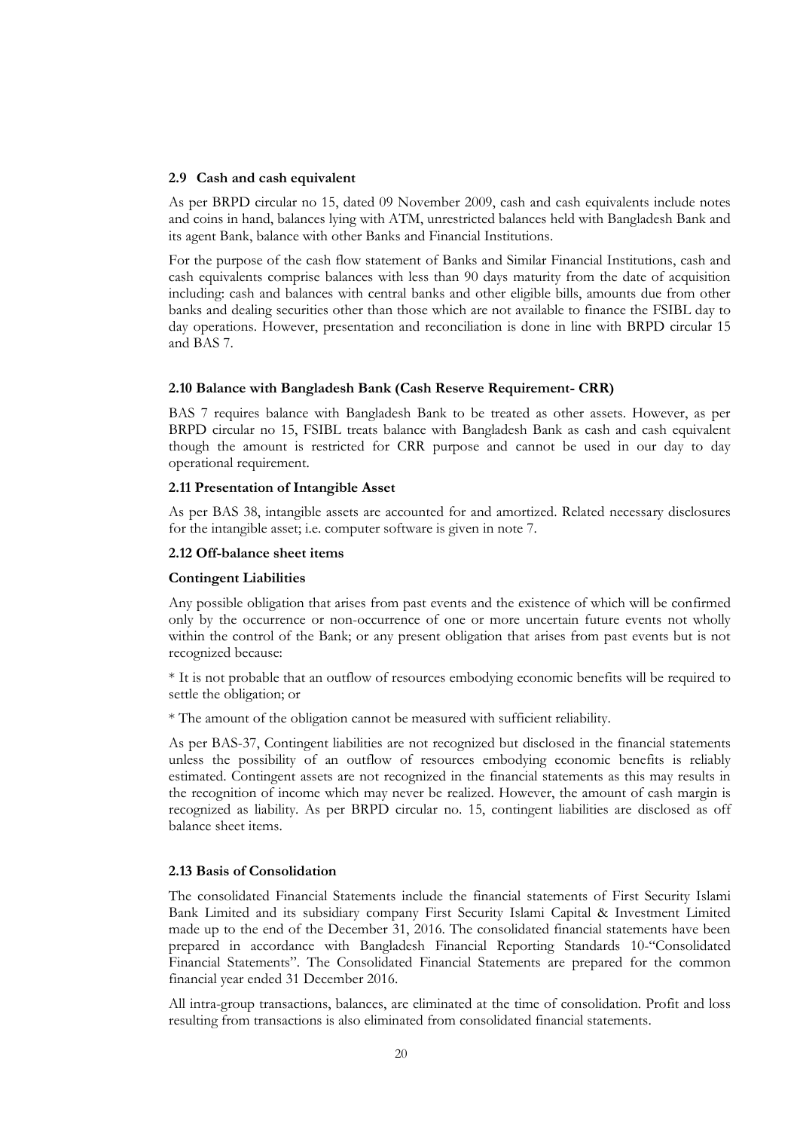#### **2.9 Cash and cash equivalent**

As per BRPD circular no 15, dated 09 November 2009, cash and cash equivalents include notes and coins in hand, balances lying with ATM, unrestricted balances held with Bangladesh Bank and its agent Bank, balance with other Banks and Financial Institutions.

For the purpose of the cash flow statement of Banks and Similar Financial Institutions, cash and cash equivalents comprise balances with less than 90 days maturity from the date of acquisition including: cash and balances with central banks and other eligible bills, amounts due from other banks and dealing securities other than those which are not available to finance the FSIBL day to day operations. However, presentation and reconciliation is done in line with BRPD circular 15 and BAS 7.

#### **2.10 Balance with Bangladesh Bank (Cash Reserve Requirement- CRR)**

BAS 7 requires balance with Bangladesh Bank to be treated as other assets. However, as per BRPD circular no 15, FSIBL treats balance with Bangladesh Bank as cash and cash equivalent though the amount is restricted for CRR purpose and cannot be used in our day to day operational requirement.

#### **2.11 Presentation of Intangible Asset**

As per BAS 38, intangible assets are accounted for and amortized. Related necessary disclosures for the intangible asset; i.e. computer software is given in note 7.

#### **2.12 Off-balance sheet items**

#### **Contingent Liabilities**

Any possible obligation that arises from past events and the existence of which will be confirmed only by the occurrence or non-occurrence of one or more uncertain future events not wholly within the control of the Bank; or any present obligation that arises from past events but is not recognized because:

\* It is not probable that an outflow of resources embodying economic benefits will be required to settle the obligation; or

\* The amount of the obligation cannot be measured with sufficient reliability.

As per BAS-37, Contingent liabilities are not recognized but disclosed in the financial statements unless the possibility of an outflow of resources embodying economic benefits is reliably estimated. Contingent assets are not recognized in the financial statements as this may results in the recognition of income which may never be realized. However, the amount of cash margin is recognized as liability. As per BRPD circular no. 15, contingent liabilities are disclosed as off balance sheet items.

#### **2.13 Basis of Consolidation**

The consolidated Financial Statements include the financial statements of First Security Islami Bank Limited and its subsidiary company First Security Islami Capital & Investment Limited made up to the end of the December 31, 2016. The consolidated financial statements have been prepared in accordance with Bangladesh Financial Reporting Standards 10-"Consolidated Financial Statements". The Consolidated Financial Statements are prepared for the common financial year ended 31 December 2016.

All intra-group transactions, balances, are eliminated at the time of consolidation. Profit and loss resulting from transactions is also eliminated from consolidated financial statements.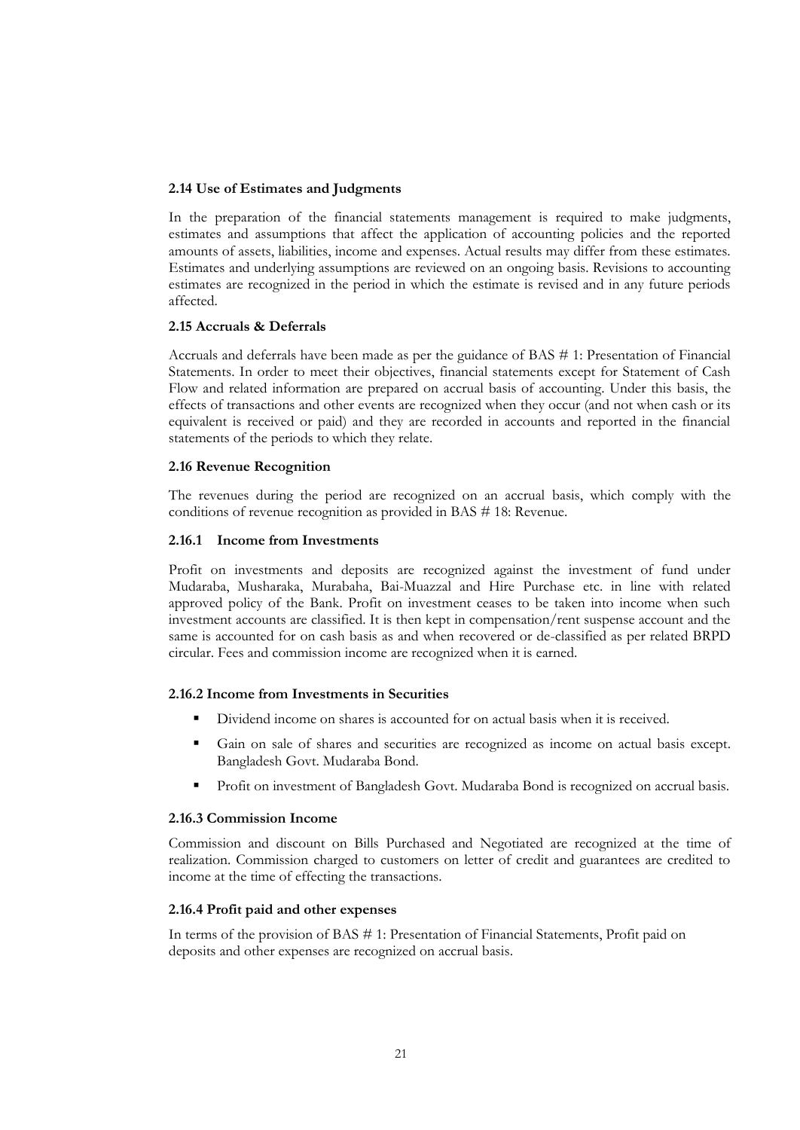#### **2.14 Use of Estimates and Judgments**

In the preparation of the financial statements management is required to make judgments, estimates and assumptions that affect the application of accounting policies and the reported amounts of assets, liabilities, income and expenses. Actual results may differ from these estimates. Estimates and underlying assumptions are reviewed on an ongoing basis. Revisions to accounting estimates are recognized in the period in which the estimate is revised and in any future periods affected.

#### **2.15 Accruals & Deferrals**

Accruals and deferrals have been made as per the guidance of BAS # 1: Presentation of Financial Statements. In order to meet their objectives, financial statements except for Statement of Cash Flow and related information are prepared on accrual basis of accounting. Under this basis, the effects of transactions and other events are recognized when they occur (and not when cash or its equivalent is received or paid) and they are recorded in accounts and reported in the financial statements of the periods to which they relate.

#### **2.16 Revenue Recognition**

The revenues during the period are recognized on an accrual basis, which comply with the conditions of revenue recognition as provided in BAS # 18: Revenue.

#### **2.16.1 Income from Investments**

Profit on investments and deposits are recognized against the investment of fund under Mudaraba, Musharaka, Murabaha, Bai-Muazzal and Hire Purchase etc. in line with related approved policy of the Bank. Profit on investment ceases to be taken into income when such investment accounts are classified. It is then kept in compensation/rent suspense account and the same is accounted for on cash basis as and when recovered or de-classified as per related BRPD circular. Fees and commission income are recognized when it is earned.

#### **2.16.2 Income from Investments in Securities**

- Dividend income on shares is accounted for on actual basis when it is received.
- Gain on sale of shares and securities are recognized as income on actual basis except. Bangladesh Govt. Mudaraba Bond.
- Profit on investment of Bangladesh Govt. Mudaraba Bond is recognized on accrual basis.

#### **2.16.3 Commission Income**

Commission and discount on Bills Purchased and Negotiated are recognized at the time of realization. Commission charged to customers on letter of credit and guarantees are credited to income at the time of effecting the transactions.

#### **2.16.4 Profit paid and other expenses**

In terms of the provision of BAS # 1: Presentation of Financial Statements, Profit paid on deposits and other expenses are recognized on accrual basis.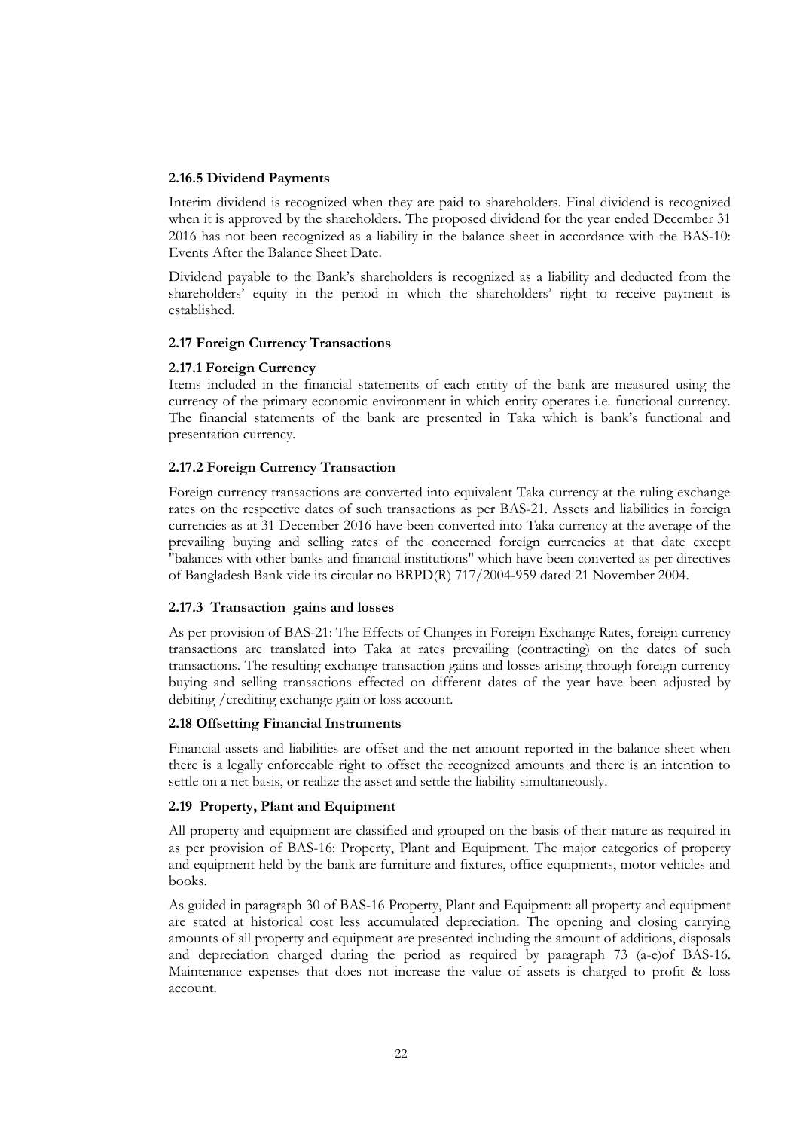#### **2.16.5 Dividend Payments**

Interim dividend is recognized when they are paid to shareholders. Final dividend is recognized when it is approved by the shareholders. The proposed dividend for the year ended December 31 2016 has not been recognized as a liability in the balance sheet in accordance with the BAS-10: Events After the Balance Sheet Date.

Dividend payable to the Bank's shareholders is recognized as a liability and deducted from the shareholders' equity in the period in which the shareholders' right to receive payment is established.

#### **2.17 Foreign Currency Transactions**

#### **2.17.1 Foreign Currency**

Items included in the financial statements of each entity of the bank are measured using the currency of the primary economic environment in which entity operates i.e. functional currency. The financial statements of the bank are presented in Taka which is bank's functional and presentation currency.

#### **2.17.2 Foreign Currency Transaction**

Foreign currency transactions are converted into equivalent Taka currency at the ruling exchange rates on the respective dates of such transactions as per BAS-21. Assets and liabilities in foreign currencies as at 31 December 2016 have been converted into Taka currency at the average of the prevailing buying and selling rates of the concerned foreign currencies at that date except "balances with other banks and financial institutions" which have been converted as per directives of Bangladesh Bank vide its circular no BRPD(R) 717/2004-959 dated 21 November 2004.

#### **2.17.3 Transaction gains and losses**

As per provision of BAS-21: The Effects of Changes in Foreign Exchange Rates, foreign currency transactions are translated into Taka at rates prevailing (contracting) on the dates of such transactions. The resulting exchange transaction gains and losses arising through foreign currency buying and selling transactions effected on different dates of the year have been adjusted by debiting /crediting exchange gain or loss account.

#### **2.18 Offsetting Financial Instruments**

Financial assets and liabilities are offset and the net amount reported in the balance sheet when there is a legally enforceable right to offset the recognized amounts and there is an intention to settle on a net basis, or realize the asset and settle the liability simultaneously.

#### **2.19 Property, Plant and Equipment**

All property and equipment are classified and grouped on the basis of their nature as required in as per provision of BAS-16: Property, Plant and Equipment. The major categories of property and equipment held by the bank are furniture and fixtures, office equipments, motor vehicles and books.

As guided in paragraph 30 of BAS-16 Property, Plant and Equipment: all property and equipment are stated at historical cost less accumulated depreciation. The opening and closing carrying amounts of all property and equipment are presented including the amount of additions, disposals and depreciation charged during the period as required by paragraph 73 (a-e)of BAS-16. Maintenance expenses that does not increase the value of assets is charged to profit & loss account.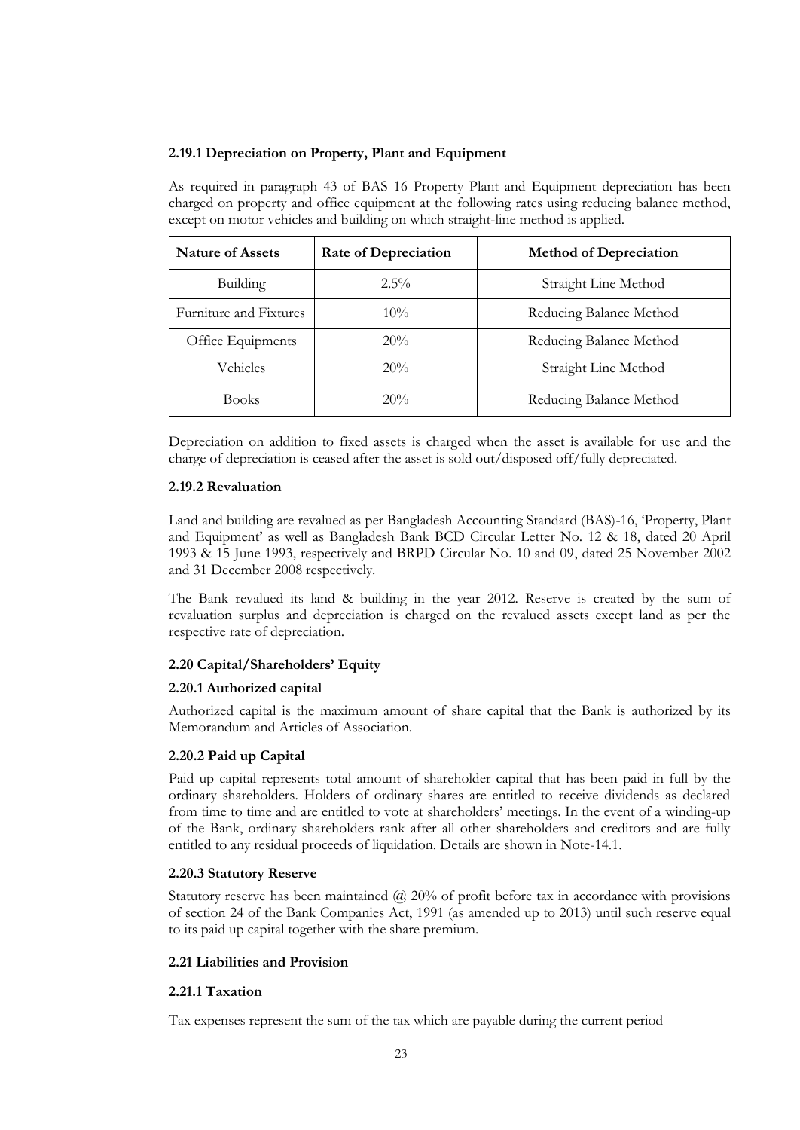#### **2.19.1 Depreciation on Property, Plant and Equipment**

As required in paragraph 43 of BAS 16 Property Plant and Equipment depreciation has been charged on property and office equipment at the following rates using reducing balance method, except on motor vehicles and building on which straight-line method is applied.

| <b>Nature of Assets</b> | <b>Rate of Depreciation</b> | <b>Method of Depreciation</b> |
|-------------------------|-----------------------------|-------------------------------|
| $2.5\%$<br>Building     |                             | Straight Line Method          |
| Furniture and Fixtures  | $10\%$                      | Reducing Balance Method       |
| Office Equipments       | 20%                         | Reducing Balance Method       |
| Vehicles                | 20%                         | Straight Line Method          |
| <b>Books</b>            | 20%                         | Reducing Balance Method       |

Depreciation on addition to fixed assets is charged when the asset is available for use and the charge of depreciation is ceased after the asset is sold out/disposed off/fully depreciated.

#### **2.19.2 Revaluation**

Land and building are revalued as per Bangladesh Accounting Standard (BAS)-16, 'Property, Plant and Equipment' as well as Bangladesh Bank BCD Circular Letter No. 12 & 18, dated 20 April 1993 & 15 June 1993, respectively and BRPD Circular No. 10 and 09, dated 25 November 2002 and 31 December 2008 respectively.

The Bank revalued its land & building in the year 2012. Reserve is created by the sum of revaluation surplus and depreciation is charged on the revalued assets except land as per the respective rate of depreciation.

#### **2.20 Capital/Shareholders' Equity**

#### **2.20.1 Authorized capital**

Authorized capital is the maximum amount of share capital that the Bank is authorized by its Memorandum and Articles of Association.

#### **2.20.2 Paid up Capital**

Paid up capital represents total amount of shareholder capital that has been paid in full by the ordinary shareholders. Holders of ordinary shares are entitled to receive dividends as declared from time to time and are entitled to vote at shareholders' meetings. In the event of a winding-up of the Bank, ordinary shareholders rank after all other shareholders and creditors and are fully entitled to any residual proceeds of liquidation. Details are shown in Note-14.1.

#### **2.20.3 Statutory Reserve**

Statutory reserve has been maintained @ 20% of profit before tax in accordance with provisions of section 24 of the Bank Companies Act, 1991 (as amended up to 2013) until such reserve equal to its paid up capital together with the share premium.

#### **2.21 Liabilities and Provision**

#### **2.21.1 Taxation**

Tax expenses represent the sum of the tax which are payable during the current period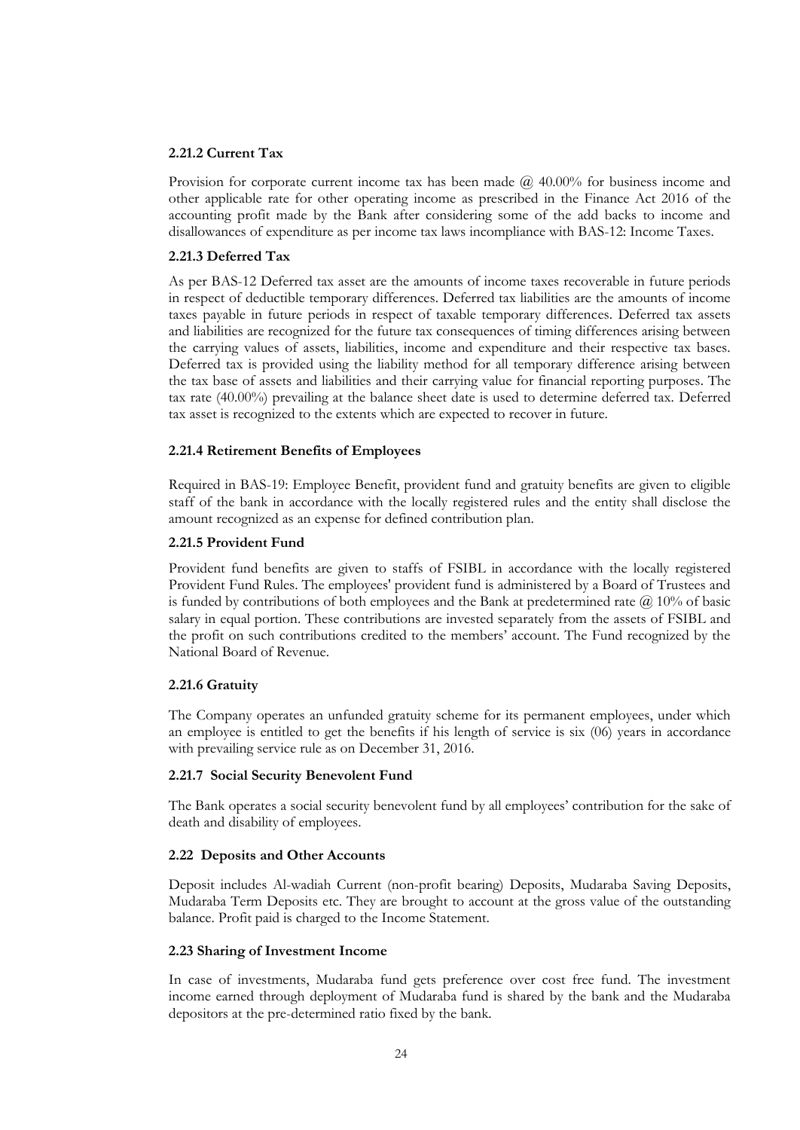#### **2.21.2 Current Tax**

Provision for corporate current income tax has been made  $\omega$  40.00% for business income and other applicable rate for other operating income as prescribed in the Finance Act 2016 of the accounting profit made by the Bank after considering some of the add backs to income and disallowances of expenditure as per income tax laws incompliance with BAS-12: Income Taxes.

#### **2.21.3 Deferred Tax**

As per BAS-12 Deferred tax asset are the amounts of income taxes recoverable in future periods in respect of deductible temporary differences. Deferred tax liabilities are the amounts of income taxes payable in future periods in respect of taxable temporary differences. Deferred tax assets and liabilities are recognized for the future tax consequences of timing differences arising between the carrying values of assets, liabilities, income and expenditure and their respective tax bases. Deferred tax is provided using the liability method for all temporary difference arising between the tax base of assets and liabilities and their carrying value for financial reporting purposes. The tax rate (40.00%) prevailing at the balance sheet date is used to determine deferred tax. Deferred tax asset is recognized to the extents which are expected to recover in future.

#### **2.21.4 Retirement Benefits of Employees**

Required in BAS-19: Employee Benefit, provident fund and gratuity benefits are given to eligible staff of the bank in accordance with the locally registered rules and the entity shall disclose the amount recognized as an expense for defined contribution plan.

#### **2.21.5 Provident Fund**

Provident fund benefits are given to staffs of FSIBL in accordance with the locally registered Provident Fund Rules. The employees' provident fund is administered by a Board of Trustees and is funded by contributions of both employees and the Bank at predetermined rate  $\omega$  10% of basic salary in equal portion. These contributions are invested separately from the assets of FSIBL and the profit on such contributions credited to the members' account. The Fund recognized by the National Board of Revenue.

#### **2.21.6 Gratuity**

The Company operates an unfunded gratuity scheme for its permanent employees, under which an employee is entitled to get the benefits if his length of service is six (06) years in accordance with prevailing service rule as on December 31, 2016.

#### **2.21.7 Social Security Benevolent Fund**

The Bank operates a social security benevolent fund by all employees' contribution for the sake of death and disability of employees.

#### **2.22 Deposits and Other Accounts**

Deposit includes Al-wadiah Current (non-profit bearing) Deposits, Mudaraba Saving Deposits, Mudaraba Term Deposits etc. They are brought to account at the gross value of the outstanding balance. Profit paid is charged to the Income Statement.

#### **2.23 Sharing of Investment Income**

In case of investments, Mudaraba fund gets preference over cost free fund. The investment income earned through deployment of Mudaraba fund is shared by the bank and the Mudaraba depositors at the pre-determined ratio fixed by the bank.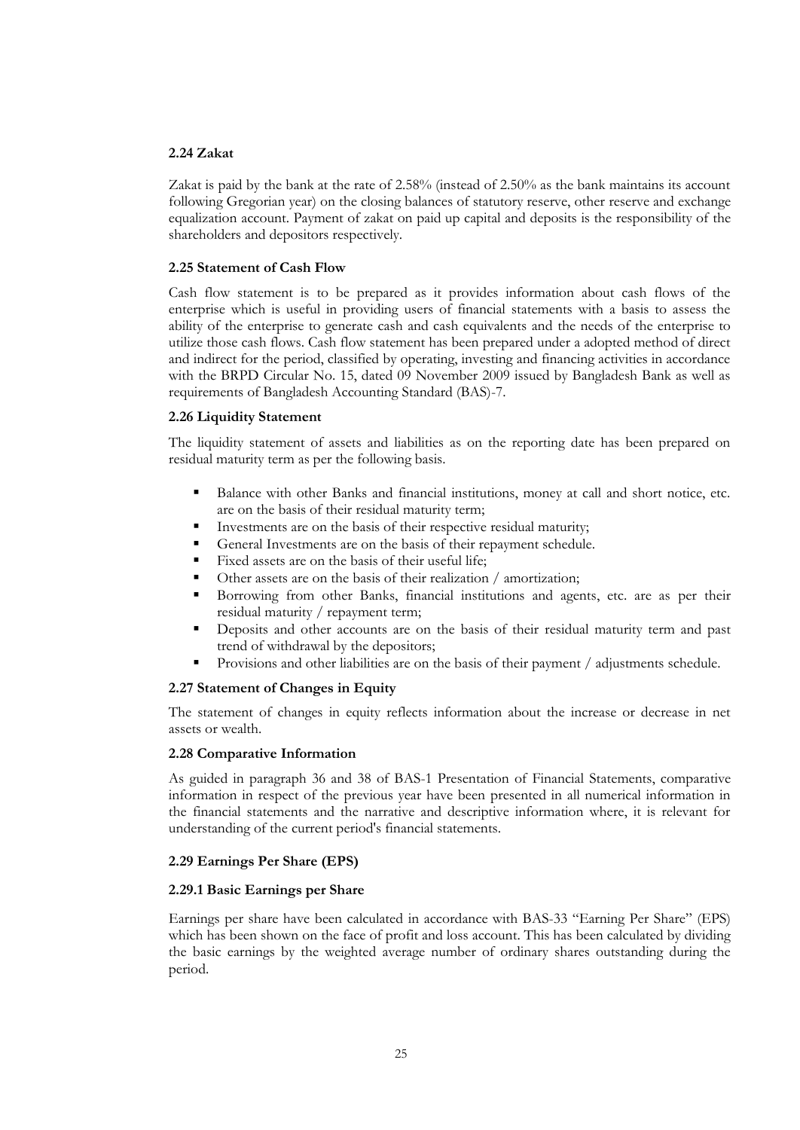#### **2.24 Zakat**

Zakat is paid by the bank at the rate of 2.58% (instead of 2.50% as the bank maintains its account following Gregorian year) on the closing balances of statutory reserve, other reserve and exchange equalization account. Payment of zakat on paid up capital and deposits is the responsibility of the shareholders and depositors respectively.

#### **2.25 Statement of Cash Flow**

Cash flow statement is to be prepared as it provides information about cash flows of the enterprise which is useful in providing users of financial statements with a basis to assess the ability of the enterprise to generate cash and cash equivalents and the needs of the enterprise to utilize those cash flows. Cash flow statement has been prepared under a adopted method of direct and indirect for the period, classified by operating, investing and financing activities in accordance with the BRPD Circular No. 15, dated 09 November 2009 issued by Bangladesh Bank as well as requirements of Bangladesh Accounting Standard (BAS)-7.

#### **2.26 Liquidity Statement**

The liquidity statement of assets and liabilities as on the reporting date has been prepared on residual maturity term as per the following basis.

- Balance with other Banks and financial institutions, money at call and short notice, etc. are on the basis of their residual maturity term;
- Investments are on the basis of their respective residual maturity;
- General Investments are on the basis of their repayment schedule.
- Fixed assets are on the basis of their useful life;
- Other assets are on the basis of their realization / amortization;
- Borrowing from other Banks, financial institutions and agents, etc. are as per their residual maturity / repayment term;
- Deposits and other accounts are on the basis of their residual maturity term and past trend of withdrawal by the depositors;
- Provisions and other liabilities are on the basis of their payment / adjustments schedule.

#### **2.27 Statement of Changes in Equity**

The statement of changes in equity reflects information about the increase or decrease in net assets or wealth.

#### **2.28 Comparative Information**

As guided in paragraph 36 and 38 of BAS-1 Presentation of Financial Statements, comparative information in respect of the previous year have been presented in all numerical information in the financial statements and the narrative and descriptive information where, it is relevant for understanding of the current period's financial statements.

#### **2.29 Earnings Per Share (EPS)**

#### **2.29.1 Basic Earnings per Share**

Earnings per share have been calculated in accordance with BAS-33 "Earning Per Share" (EPS) which has been shown on the face of profit and loss account. This has been calculated by dividing the basic earnings by the weighted average number of ordinary shares outstanding during the period.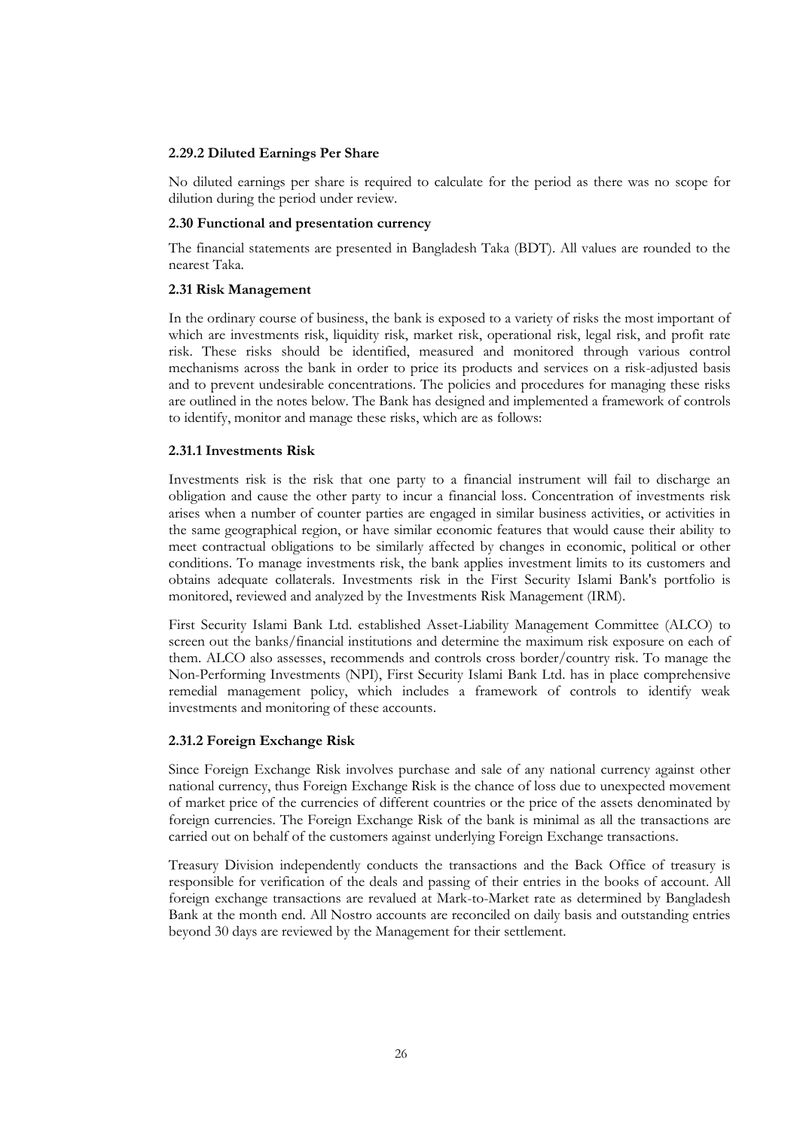#### **2.29.2 Diluted Earnings Per Share**

No diluted earnings per share is required to calculate for the period as there was no scope for dilution during the period under review.

#### **2.30 Functional and presentation currency**

The financial statements are presented in Bangladesh Taka (BDT). All values are rounded to the nearest Taka.

#### **2.31 Risk Management**

In the ordinary course of business, the bank is exposed to a variety of risks the most important of which are investments risk, liquidity risk, market risk, operational risk, legal risk, and profit rate risk. These risks should be identified, measured and monitored through various control mechanisms across the bank in order to price its products and services on a risk-adjusted basis and to prevent undesirable concentrations. The policies and procedures for managing these risks are outlined in the notes below. The Bank has designed and implemented a framework of controls to identify, monitor and manage these risks, which are as follows:

#### **2.31.1 Investments Risk**

Investments risk is the risk that one party to a financial instrument will fail to discharge an obligation and cause the other party to incur a financial loss. Concentration of investments risk arises when a number of counter parties are engaged in similar business activities, or activities in the same geographical region, or have similar economic features that would cause their ability to meet contractual obligations to be similarly affected by changes in economic, political or other conditions. To manage investments risk, the bank applies investment limits to its customers and obtains adequate collaterals. Investments risk in the First Security Islami Bank's portfolio is monitored, reviewed and analyzed by the Investments Risk Management (IRM).

First Security Islami Bank Ltd. established Asset-Liability Management Committee (ALCO) to screen out the banks/financial institutions and determine the maximum risk exposure on each of them. ALCO also assesses, recommends and controls cross border/country risk. To manage the Non-Performing Investments (NPI), First Security Islami Bank Ltd. has in place comprehensive remedial management policy, which includes a framework of controls to identify weak investments and monitoring of these accounts.

#### **2.31.2 Foreign Exchange Risk**

Since Foreign Exchange Risk involves purchase and sale of any national currency against other national currency, thus Foreign Exchange Risk is the chance of loss due to unexpected movement of market price of the currencies of different countries or the price of the assets denominated by foreign currencies. The Foreign Exchange Risk of the bank is minimal as all the transactions are carried out on behalf of the customers against underlying Foreign Exchange transactions.

Treasury Division independently conducts the transactions and the Back Office of treasury is responsible for verification of the deals and passing of their entries in the books of account. All foreign exchange transactions are revalued at Mark-to-Market rate as determined by Bangladesh Bank at the month end. All Nostro accounts are reconciled on daily basis and outstanding entries beyond 30 days are reviewed by the Management for their settlement.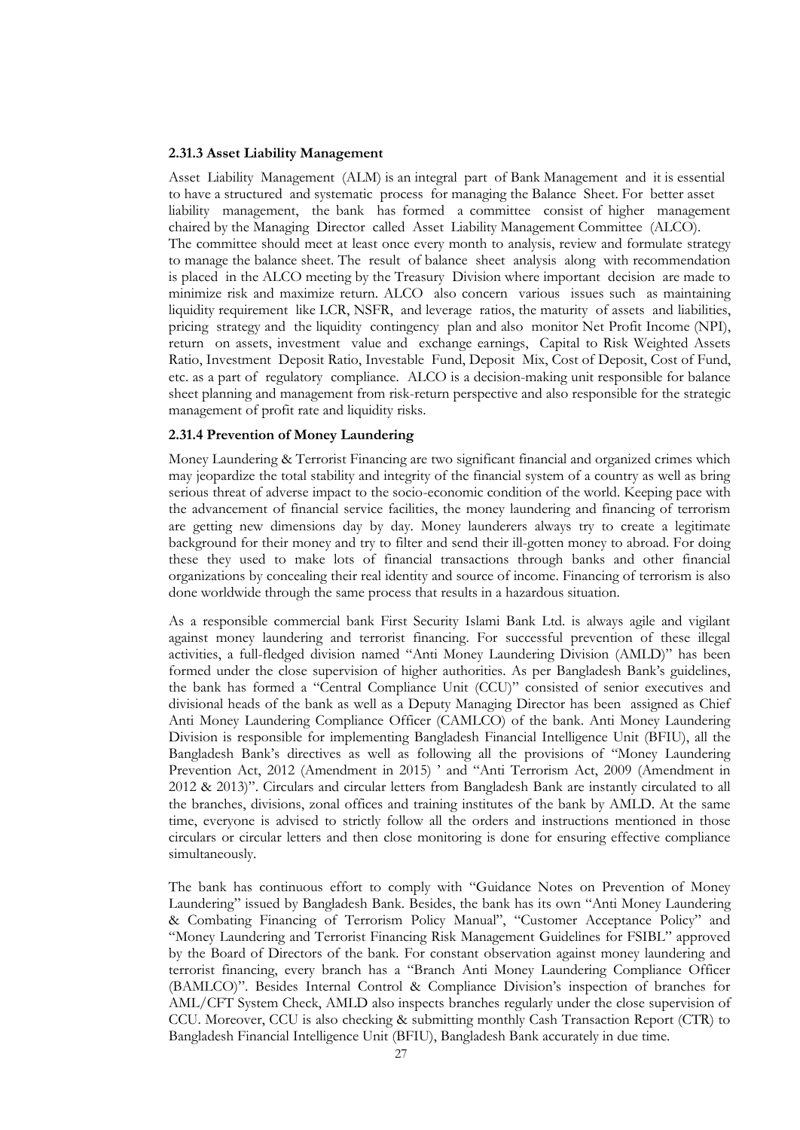#### **2.31.3 Asset Liability Management**

Asset Liability Management (ALM) is an integral part of Bank Management and it is essential to have a structured and systematic process for managing the Balance Sheet. For better asset liability management, the bank has formed a committee consist of higher management chaired by the Managing Director called Asset Liability Management Committee (ALCO). The committee should meet at least once every month to analysis, review and formulate strategy to manage the balance sheet. The result of balance sheet analysis along with recommendation is placed in the ALCO meeting by the Treasury Division where important decision are made to minimize risk and maximize return. ALCO also concern various issues such as maintaining liquidity requirement like LCR, NSFR, and leverage ratios, the maturity of assets and liabilities, pricing strategy and the liquidity contingency plan and also monitor Net Profit Income (NPI), return on assets, investment value and exchange earnings, Capital to Risk Weighted Assets Ratio, Investment Deposit Ratio, Investable Fund, Deposit Mix, Cost of Deposit, Cost of Fund, etc. as a part of regulatory compliance. ALCO is a decision-making unit responsible for balance sheet planning and management from risk-return perspective and also responsible for the strategic management of profit rate and liquidity risks.

#### **2.31.4 Prevention of Money Laundering**

Money Laundering & Terrorist Financing are two significant financial and organized crimes which may jeopardize the total stability and integrity of the financial system of a country as well as bring serious threat of adverse impact to the socio-economic condition of the world. Keeping pace with the advancement of financial service facilities, the money laundering and financing of terrorism are getting new dimensions day by day. Money launderers always try to create a legitimate background for their money and try to filter and send their ill-gotten money to abroad. For doing these they used to make lots of financial transactions through banks and other financial organizations by concealing their real identity and source of income. Financing of terrorism is also done worldwide through the same process that results in a hazardous situation.

As a responsible commercial bank First Security Islami Bank Ltd. is always agile and vigilant against money laundering and terrorist financing. For successful prevention of these illegal activities, a full-fledged division named "Anti Money Laundering Division (AMLD)" has been formed under the close supervision of higher authorities. As per Bangladesh Bank's guidelines, the bank has formed a "Central Compliance Unit (CCU)" consisted of senior executives and divisional heads of the bank as well as a Deputy Managing Director has been assigned as Chief Anti Money Laundering Compliance Officer (CAMLCO) of the bank. Anti Money Laundering Division is responsible for implementing Bangladesh Financial Intelligence Unit (BFIU), all the Bangladesh Bank's directives as well as following all the provisions of "Money Laundering Prevention Act, 2012 (Amendment in 2015) ' and "Anti Terrorism Act, 2009 (Amendment in 2012 & 2013)". Circulars and circular letters from Bangladesh Bank are instantly circulated to all the branches, divisions, zonal offices and training institutes of the bank by AMLD. At the same time, everyone is advised to strictly follow all the orders and instructions mentioned in those circulars or circular letters and then close monitoring is done for ensuring effective compliance simultaneously.

The bank has continuous effort to comply with "Guidance Notes on Prevention of Money Laundering" issued by Bangladesh Bank. Besides, the bank has its own "Anti Money Laundering & Combating Financing of Terrorism Policy Manual", "Customer Acceptance Policy" and "Money Laundering and Terrorist Financing Risk Management Guidelines for FSIBL" approved by the Board of Directors of the bank. For constant observation against money laundering and terrorist financing, every branch has a "Branch Anti Money Laundering Compliance Officer (BAMLCO)". Besides Internal Control & Compliance Division's inspection of branches for AML/CFT System Check, AMLD also inspects branches regularly under the close supervision of CCU. Moreover, CCU is also checking & submitting monthly Cash Transaction Report (CTR) to Bangladesh Financial Intelligence Unit (BFIU), Bangladesh Bank accurately in due time.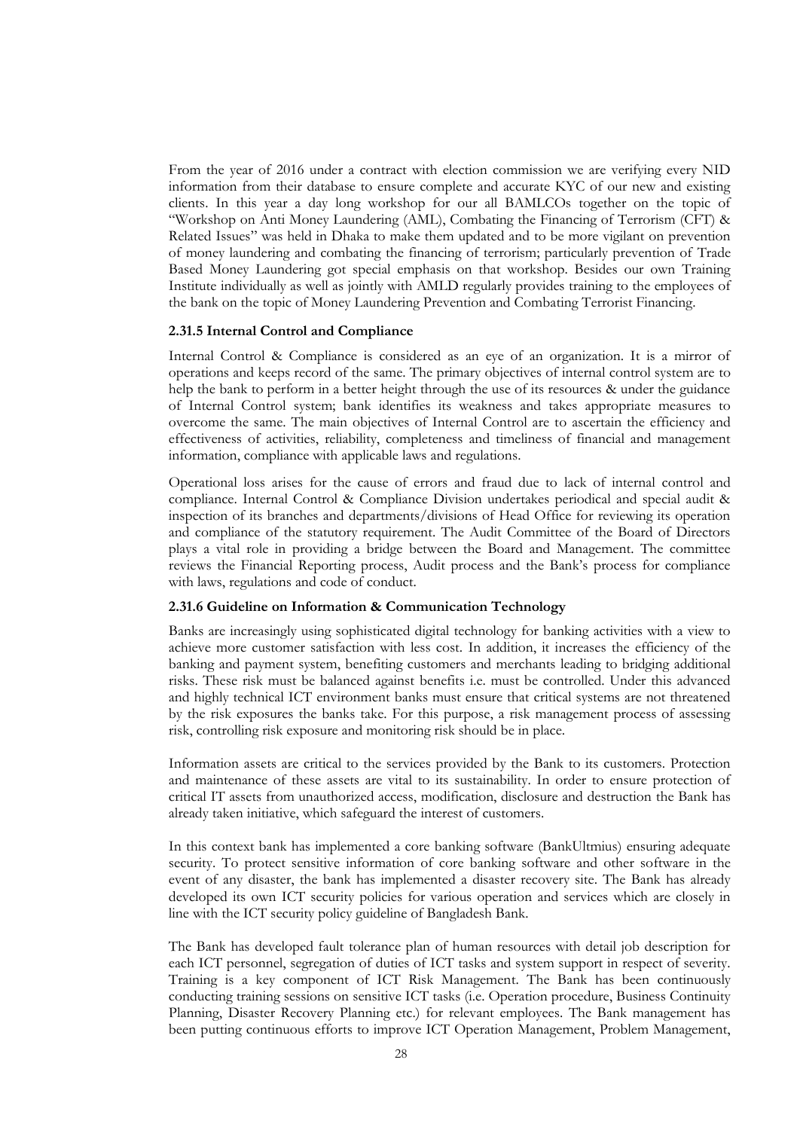From the year of 2016 under a contract with election commission we are verifying every NID information from their database to ensure complete and accurate KYC of our new and existing clients. In this year a day long workshop for our all BAMLCOs together on the topic of "Workshop on Anti Money Laundering (AML), Combating the Financing of Terrorism (CFT) & Related Issues" was held in Dhaka to make them updated and to be more vigilant on prevention of money laundering and combating the financing of terrorism; particularly prevention of Trade Based Money Laundering got special emphasis on that workshop. Besides our own Training Institute individually as well as jointly with AMLD regularly provides training to the employees of the bank on the topic of Money Laundering Prevention and Combating Terrorist Financing.

#### **2.31.5 Internal Control and Compliance**

Internal Control & Compliance is considered as an eye of an organization. It is a mirror of operations and keeps record of the same. The primary objectives of internal control system are to help the bank to perform in a better height through the use of its resources & under the guidance of Internal Control system; bank identifies its weakness and takes appropriate measures to overcome the same. The main objectives of Internal Control are to ascertain the efficiency and effectiveness of activities, reliability, completeness and timeliness of financial and management information, compliance with applicable laws and regulations.

Operational loss arises for the cause of errors and fraud due to lack of internal control and compliance. Internal Control & Compliance Division undertakes periodical and special audit & inspection of its branches and departments/divisions of Head Office for reviewing its operation and compliance of the statutory requirement. The Audit Committee of the Board of Directors plays a vital role in providing a bridge between the Board and Management. The committee reviews the Financial Reporting process, Audit process and the Bank's process for compliance with laws, regulations and code of conduct.

#### **2.31.6 Guideline on Information & Communication Technology**

Banks are increasingly using sophisticated digital technology for banking activities with a view to achieve more customer satisfaction with less cost. In addition, it increases the efficiency of the banking and payment system, benefiting customers and merchants leading to bridging additional risks. These risk must be balanced against benefits i.e. must be controlled. Under this advanced and highly technical ICT environment banks must ensure that critical systems are not threatened by the risk exposures the banks take. For this purpose, a risk management process of assessing risk, controlling risk exposure and monitoring risk should be in place.

Information assets are critical to the services provided by the Bank to its customers. Protection and maintenance of these assets are vital to its sustainability. In order to ensure protection of critical IT assets from unauthorized access, modification, disclosure and destruction the Bank has already taken initiative, which safeguard the interest of customers.

In this context bank has implemented a core banking software (BankUltmius) ensuring adequate security. To protect sensitive information of core banking software and other software in the event of any disaster, the bank has implemented a disaster recovery site. The Bank has already developed its own ICT security policies for various operation and services which are closely in line with the ICT security policy guideline of Bangladesh Bank.

The Bank has developed fault tolerance plan of human resources with detail job description for each ICT personnel, segregation of duties of ICT tasks and system support in respect of severity. Training is a key component of ICT Risk Management. The Bank has been continuously conducting training sessions on sensitive ICT tasks (i.e. Operation procedure, Business Continuity Planning, Disaster Recovery Planning etc.) for relevant employees. The Bank management has been putting continuous efforts to improve ICT Operation Management, Problem Management,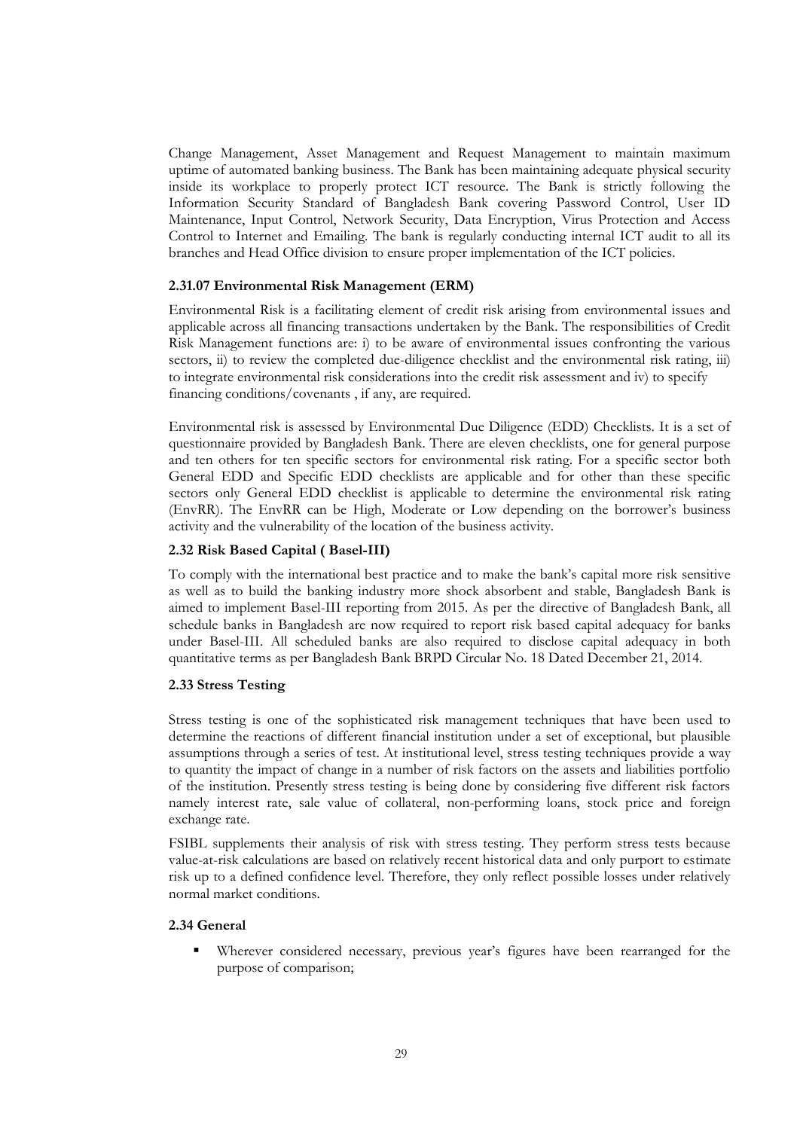Change Management, Asset Management and Request Management to maintain maximum uptime of automated banking business. The Bank has been maintaining adequate physical security inside its workplace to properly protect ICT resource. The Bank is strictly following the Information Security Standard of Bangladesh Bank covering Password Control, User ID Maintenance, Input Control, Network Security, Data Encryption, Virus Protection and Access Control to Internet and Emailing. The bank is regularly conducting internal ICT audit to all its branches and Head Office division to ensure proper implementation of the ICT policies.

#### **2.31.07 Environmental Risk Management (ERM)**

Environmental Risk is a facilitating element of credit risk arising from environmental issues and applicable across all financing transactions undertaken by the Bank. The responsibilities of Credit Risk Management functions are: i) to be aware of environmental issues confronting the various sectors, ii) to review the completed due-diligence checklist and the environmental risk rating, iii) to integrate environmental risk considerations into the credit risk assessment and iv) to specify financing conditions/covenants , if any, are required.

Environmental risk is assessed by Environmental Due Diligence (EDD) Checklists. It is a set of questionnaire provided by Bangladesh Bank. There are eleven checklists, one for general purpose and ten others for ten specific sectors for environmental risk rating. For a specific sector both General EDD and Specific EDD checklists are applicable and for other than these specific sectors only General EDD checklist is applicable to determine the environmental risk rating (EnvRR). The EnvRR can be High, Moderate or Low depending on the borrower's business activity and the vulnerability of the location of the business activity.

#### **2.32 Risk Based Capital ( Basel-III)**

To comply with the international best practice and to make the bank's capital more risk sensitive as well as to build the banking industry more shock absorbent and stable, Bangladesh Bank is aimed to implement Basel-III reporting from 2015. As per the directive of Bangladesh Bank, all schedule banks in Bangladesh are now required to report risk based capital adequacy for banks under Basel-III. All scheduled banks are also required to disclose capital adequacy in both quantitative terms as per Bangladesh Bank BRPD Circular No. 18 Dated December 21, 2014.

#### **2.33 Stress Testing**

Stress testing is one of the sophisticated risk management techniques that have been used to determine the reactions of different financial institution under a set of exceptional, but plausible assumptions through a series of test. At institutional level, stress testing techniques provide a way to quantity the impact of change in a number of risk factors on the assets and liabilities portfolio of the institution. Presently stress testing is being done by considering five different risk factors namely interest rate, sale value of collateral, non-performing loans, stock price and foreign exchange rate.

FSIBL supplements their analysis of risk with stress testing. They perform stress tests because value-at-risk calculations are based on relatively recent historical data and only purport to estimate risk up to a defined confidence level. Therefore, they only reflect possible losses under relatively normal market conditions.

#### **2.34 General**

 Wherever considered necessary, previous year's figures have been rearranged for the purpose of comparison;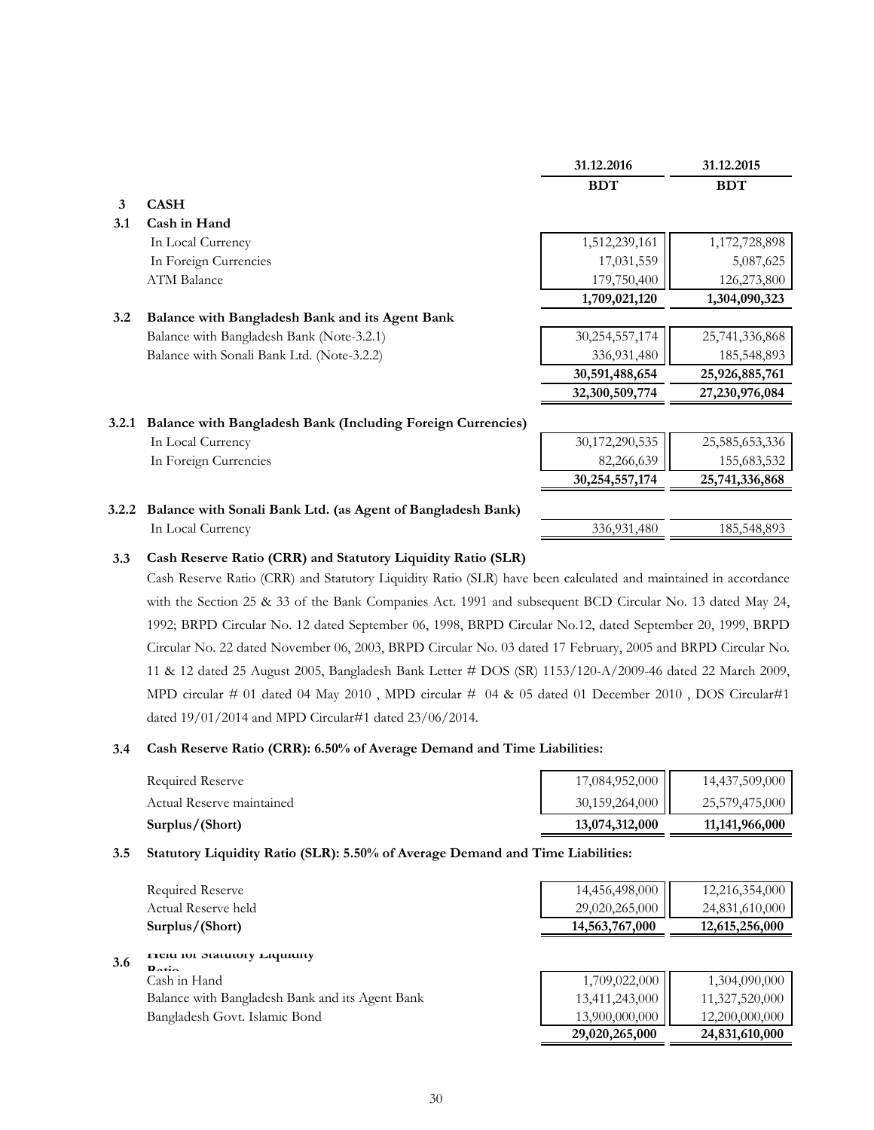|       |                                                                    | 31.12.2016     | 31.12.2015     |
|-------|--------------------------------------------------------------------|----------------|----------------|
|       |                                                                    | <b>BDT</b>     | <b>BDT</b>     |
| 3     | <b>CASH</b>                                                        |                |                |
| 3.1   | Cash in Hand                                                       |                |                |
|       | In Local Currency                                                  | 1,512,239,161  | 1,172,728,898  |
|       | In Foreign Currencies                                              | 17,031,559     | 5,087,625      |
|       | <b>ATM Balance</b>                                                 | 179,750,400    | 126,273,800    |
|       |                                                                    | 1,709,021,120  | 1,304,090,323  |
| 3.2   | Balance with Bangladesh Bank and its Agent Bank                    |                |                |
|       | Balance with Bangladesh Bank (Note-3.2.1)                          | 30,254,557,174 | 25,741,336,868 |
|       | Balance with Sonali Bank Ltd. (Note-3.2.2)                         | 336,931,480    | 185,548,893    |
|       |                                                                    | 30,591,488,654 | 25,926,885,761 |
|       |                                                                    | 32,300,509,774 | 27,230,976,084 |
| 3.2.1 | <b>Balance with Bangladesh Bank (Including Foreign Currencies)</b> |                |                |
|       | In Local Currency                                                  | 30,172,290,535 | 25,585,653,336 |
|       | In Foreign Currencies                                              | 82,266,639     | 155,683,532    |
|       |                                                                    | 30,254,557,174 | 25,741,336,868 |
| 3.2.2 | Balance with Sonali Bank Ltd. (as Agent of Bangladesh Bank)        |                |                |
|       | In Local Currency                                                  | 336.031.480    | 185 548 803    |

# In Local Currency 336,931,480 185,548,893

#### **3.3 Cash Reserve Ratio (CRR) and Statutory Liquidity Ratio (SLR)**

Cash Reserve Ratio (CRR) and Statutory Liquidity Ratio (SLR) have been calculated and maintained in accordance with the Section 25 & 33 of the Bank Companies Act. 1991 and subsequent BCD Circular No. 13 dated May 24, 1992; BRPD Circular No. 12 dated September 06, 1998, BRPD Circular No.12, dated September 20, 1999, BRPD Circular No. 22 dated November 06, 2003, BRPD Circular No. 03 dated 17 February, 2005 and BRPD Circular No. 11 & 12 dated 25 August 2005, Bangladesh Bank Letter # DOS (SR) 1153/120-A/2009-46 dated 22 March 2009, MPD circular # 01 dated 04 May 2010 , MPD circular # 04 & 05 dated 01 December 2010 , DOS Circular#1 dated 19/01/2014 and MPD Circular#1 dated 23/06/2014.

#### **3.4 Cash Reserve Ratio (CRR): 6.50% of Average Demand and Time Liabilities:**

| Surplus/(Short)           | 13,074,312,000 | 11,141,966,000 |
|---------------------------|----------------|----------------|
| Actual Reserve maintained | 30,159,264,000 | 25,579,475,000 |
| Required Reserve          | 17,084,952,000 | 14,437,509,000 |

#### **3.5 Statutory Liquidity Ratio (SLR): 5.50% of Average Demand and Time Liabilities:**

|     | Required Reserve                                               | 14,456,498,000 | 12,216,354,000 |
|-----|----------------------------------------------------------------|----------------|----------------|
|     | Actual Reserve held                                            | 29,020,265,000 | 24,831,610,000 |
|     | Surplus/(Short)                                                | 14,563,767,000 | 12,615,256,000 |
| 3.6 | FICIU IOI JULIUIOI Y LIQUIUILY<br>$\mathbf{D}$ at $\mathbf{L}$ |                |                |
|     | Cash in Hand                                                   | 1,709,022,000  | 1,304,090,000  |
|     | Balance with Bangladesh Bank and its Agent Bank                | 13,411,243,000 | 11,327,520,000 |
|     | Bangladesh Govt. Islamic Bond                                  | 13,900,000,000 | 12,200,000,000 |
|     |                                                                | 29,020,265,000 | 24,831,610,000 |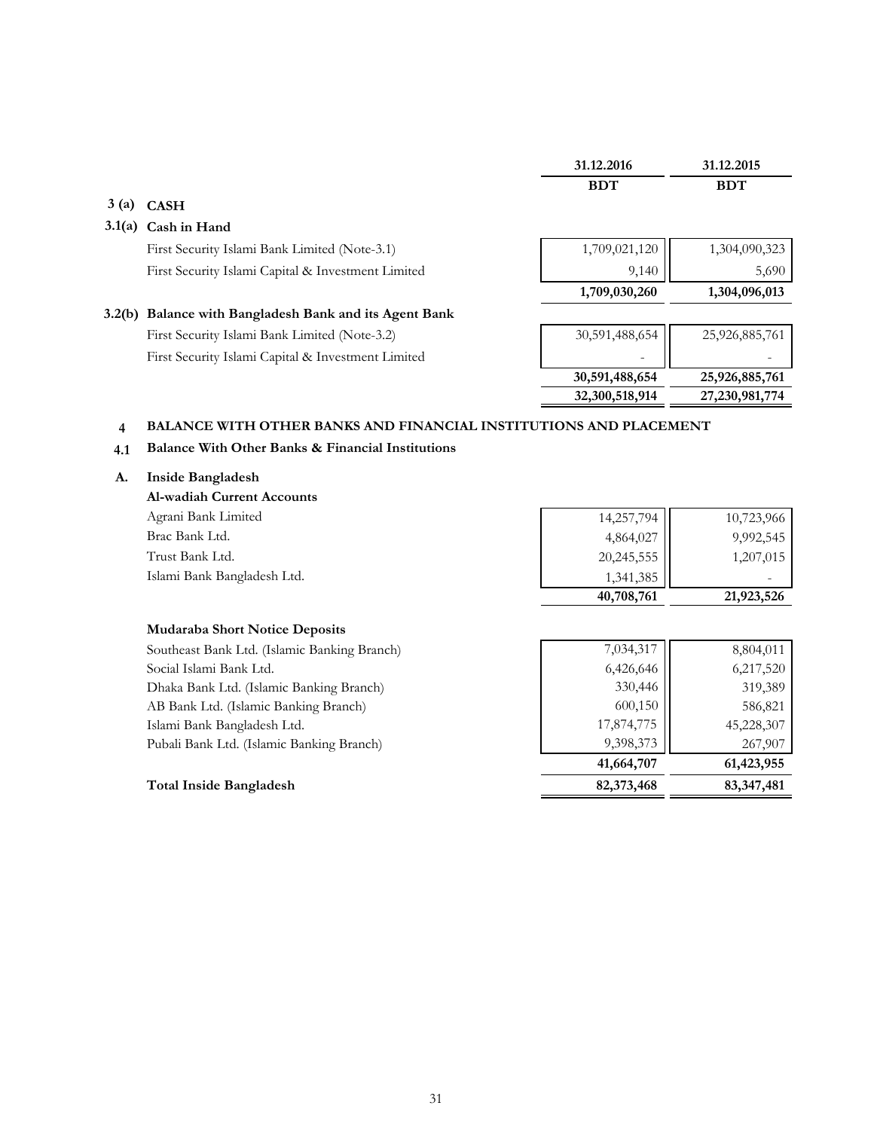|        |                                                        | 31.12.2016     | 31.12.2015     |
|--------|--------------------------------------------------------|----------------|----------------|
|        |                                                        | <b>BDT</b>     | <b>BDT</b>     |
| 3(a)   | <b>CASH</b>                                            |                |                |
| 3.1(a) | Cash in Hand                                           |                |                |
|        | First Security Islami Bank Limited (Note-3.1)          | 1,709,021,120  | 1,304,090,323  |
|        | First Security Islami Capital & Investment Limited     | 9,140          | 5,690          |
|        |                                                        | 1,709,030,260  | 1,304,096,013  |
|        | 3.2(b) Balance with Bangladesh Bank and its Agent Bank |                |                |
|        | First Security Islami Bank Limited (Note-3.2)          | 30,591,488,654 | 25,926,885,761 |
|        | First Security Islami Capital & Investment Limited     |                |                |
|        |                                                        | 30,591,488,654 | 25,926,885,761 |
|        |                                                        | 32,300,518,914 | 27,230,981,774 |

#### **4 BALANCE WITH OTHER BANKS AND FINANCIAL INSTITUTIONS AND PLACEMENT**

#### **4.1 Balance With Other Banks & Financial Institutions**

#### **A. Inside Bangladesh**

| <b>Al-wadiah Current Accounts</b> |            |            |
|-----------------------------------|------------|------------|
| Agrani Bank Limited               | 14,257,794 | 10,723,966 |
| Brac Bank Ltd.                    | 4,864,027  | 9,992,545  |
| Trust Bank Ltd.                   | 20,245,555 | 1,207,015  |
| Islami Bank Bangladesh Ltd.       | 1,341,385  |            |
|                                   | 40,708,761 | 21,923,526 |

#### **Mudaraba Short Notice Deposits**

| Southeast Bank Ltd. (Islamic Banking Branch) | 7,034,317  | 8,804,011    |
|----------------------------------------------|------------|--------------|
| Social Islami Bank Ltd.                      | 6,426,646  | 6,217,520    |
| Dhaka Bank Ltd. (Islamic Banking Branch)     | 330,446    | 319,389      |
| AB Bank Ltd. (Islamic Banking Branch)        | 600,150    | 586,821      |
| Islami Bank Bangladesh Ltd.                  | 17,874,775 | 45,228,307   |
| Pubali Bank Ltd. (Islamic Banking Branch)    | 9,398,373  | 267,907      |
|                                              | 41,664,707 | 61,423,955   |
| <b>Total Inside Bangladesh</b>               | 82,373,468 | 83, 347, 481 |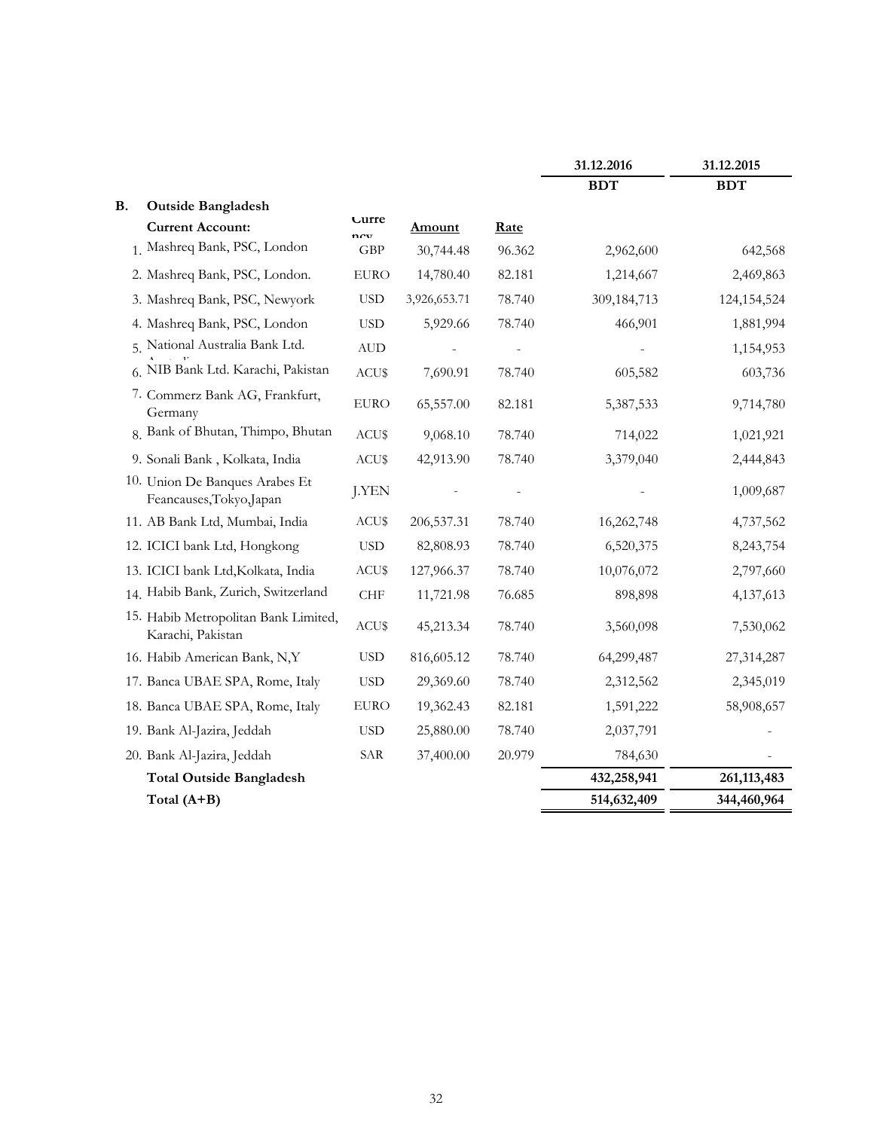|           |                                                            |                           |              |        | 31.12.2016  | 31.12.2015    |
|-----------|------------------------------------------------------------|---------------------------|--------------|--------|-------------|---------------|
|           |                                                            |                           |              |        | <b>BDT</b>  | <b>BDT</b>    |
| <b>B.</b> | <b>Outside Bangladesh</b>                                  |                           |              |        |             |               |
|           | <b>Current Account:</b>                                    | Lurre<br>$n_{\text{CVI}}$ | Amount       | Rate   |             |               |
|           | 1. Mashreq Bank, PSC, London                               | <b>GBP</b>                | 30,744.48    | 96.362 | 2,962,600   | 642,568       |
|           | 2. Mashreq Bank, PSC, London.                              | <b>EURO</b>               | 14,780.40    | 82.181 | 1,214,667   | 2,469,863     |
|           | 3. Mashreq Bank, PSC, Newyork                              | <b>USD</b>                | 3,926,653.71 | 78.740 | 309,184,713 | 124,154,524   |
|           | 4. Mashreq Bank, PSC, London                               | <b>USD</b>                | 5,929.66     | 78.740 | 466,901     | 1,881,994     |
|           | 5. National Australia Bank Ltd.                            | $\mbox{AUD}$              |              |        |             | 1,154,953     |
|           | 6. NIB Bank Ltd. Karachi, Pakistan                         | ACU\$                     | 7,690.91     | 78.740 | 605,582     | 603,736       |
|           | 7. Commerz Bank AG, Frankfurt,<br>Germany                  | <b>EURO</b>               | 65,557.00    | 82.181 | 5,387,533   | 9,714,780     |
|           | 8. Bank of Bhutan, Thimpo, Bhutan                          | ACU\$                     | 9,068.10     | 78.740 | 714,022     | 1,021,921     |
|           | 9. Sonali Bank, Kolkata, India                             | ACU\$                     | 42,913.90    | 78.740 | 3,379,040   | 2,444,843     |
|           | 10. Union De Banques Arabes Et<br>Feancauses, Tokyo, Japan | J.YEN                     |              |        |             | 1,009,687     |
|           | 11. AB Bank Ltd, Mumbai, India                             | ACU\$                     | 206,537.31   | 78.740 | 16,262,748  | 4,737,562     |
|           | 12. ICICI bank Ltd, Hongkong                               | <b>USD</b>                | 82,808.93    | 78.740 | 6,520,375   | 8,243,754     |
|           | 13. ICICI bank Ltd, Kolkata, India                         | ACU\$                     | 127,966.37   | 78.740 | 10,076,072  | 2,797,660     |
|           | 14. Habib Bank, Zurich, Switzerland                        | ${\rm CHF}$               | 11,721.98    | 76.685 | 898,898     | 4,137,613     |
|           | 15. Habib Metropolitan Bank Limited,<br>Karachi, Pakistan  | ACU\$                     | 45,213.34    | 78.740 | 3,560,098   | 7,530,062     |
|           | 16. Habib American Bank, N,Y                               | <b>USD</b>                | 816,605.12   | 78.740 | 64,299,487  | 27,314,287    |
|           | 17. Banca UBAE SPA, Rome, Italy                            | <b>USD</b>                | 29,369.60    | 78.740 | 2,312,562   | 2,345,019     |
|           | 18. Banca UBAE SPA, Rome, Italy                            | <b>EURO</b>               | 19,362.43    | 82.181 | 1,591,222   | 58,908,657    |
|           | 19. Bank Al-Jazira, Jeddah                                 | <b>USD</b>                | 25,880.00    | 78.740 | 2,037,791   |               |
|           | 20. Bank Al-Jazira, Jeddah                                 | SAR                       | 37,400.00    | 20.979 | 784,630     |               |
|           | <b>Total Outside Bangladesh</b>                            |                           |              |        | 432,258,941 | 261, 113, 483 |
|           | Total (A+B)                                                |                           |              |        | 514,632,409 | 344,460,964   |
|           |                                                            |                           |              |        |             |               |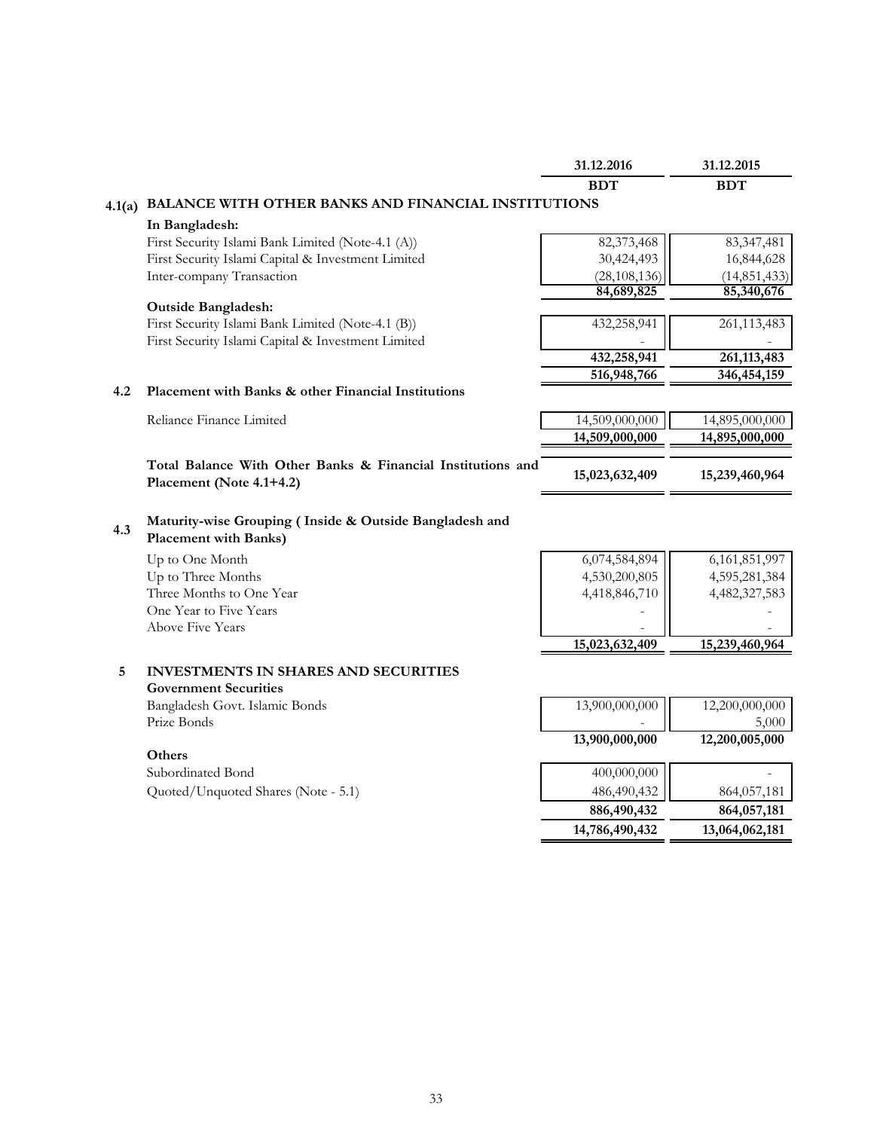|        |                                                                                                            | 31.12.2016     | 31.12.2015     |
|--------|------------------------------------------------------------------------------------------------------------|----------------|----------------|
|        |                                                                                                            | <b>BDT</b>     | <b>BDT</b>     |
| 4.1(a) | BALANCE WITH OTHER BANKS AND FINANCIAL INSTITUTIONS                                                        |                |                |
|        | In Bangladesh:                                                                                             |                |                |
|        | First Security Islami Bank Limited (Note-4.1 (A))                                                          | 82,373,468     | 83, 347, 481   |
|        | First Security Islami Capital & Investment Limited                                                         | 30,424,493     | 16,844,628     |
|        | Inter-company Transaction                                                                                  | (28, 108, 136) | (14, 851, 433) |
|        |                                                                                                            | 84,689,825     | 85,340,676     |
|        | <b>Outside Bangladesh:</b>                                                                                 |                |                |
|        | First Security Islami Bank Limited (Note-4.1 (B))                                                          | 432,258,941    | 261, 113, 483  |
|        | First Security Islami Capital & Investment Limited                                                         |                |                |
|        |                                                                                                            | 432,258,941    | 261, 113, 483  |
|        |                                                                                                            | 516,948,766    | 346, 454, 159  |
| 4.2    | Placement with Banks & other Financial Institutions                                                        |                |                |
|        | Reliance Finance Limited                                                                                   | 14,509,000,000 | 14,895,000,000 |
|        |                                                                                                            | 14,509,000,000 | 14,895,000,000 |
|        |                                                                                                            |                |                |
|        | Total Balance With Other Banks & Financial Institutions and                                                | 15,023,632,409 | 15,239,460,964 |
|        | Placement (Note 4.1+4.2)                                                                                   |                |                |
| 4.3    | Maturity-wise Grouping (Inside & Outside Bangladesh and<br><b>Placement with Banks)</b><br>Up to One Month | 6,074,584,894  | 6,161,851,997  |
|        | Up to Three Months                                                                                         | 4,530,200,805  | 4,595,281,384  |
|        |                                                                                                            |                |                |
|        | Three Months to One Year                                                                                   | 4,418,846,710  | 4,482,327,583  |
|        | One Year to Five Years                                                                                     |                |                |
|        | Above Five Years                                                                                           |                |                |
|        |                                                                                                            | 15,023,632,409 | 15,239,460,964 |
| 5      | <b>INVESTMENTS IN SHARES AND SECURITIES</b>                                                                |                |                |
|        | <b>Government Securities</b>                                                                               |                |                |
|        | Bangladesh Govt. Islamic Bonds                                                                             | 13,900,000,000 | 12,200,000,000 |
|        | Prize Bonds                                                                                                |                | 5,000          |
|        |                                                                                                            | 13,900,000,000 | 12,200,005,000 |
|        | Others                                                                                                     |                |                |
|        | Subordinated Bond                                                                                          | 400,000,000    |                |
|        | Quoted/Unquoted Shares (Note - 5.1)                                                                        | 486,490,432    | 864,057,181    |
|        |                                                                                                            | 886,490,432    | 864,057,181    |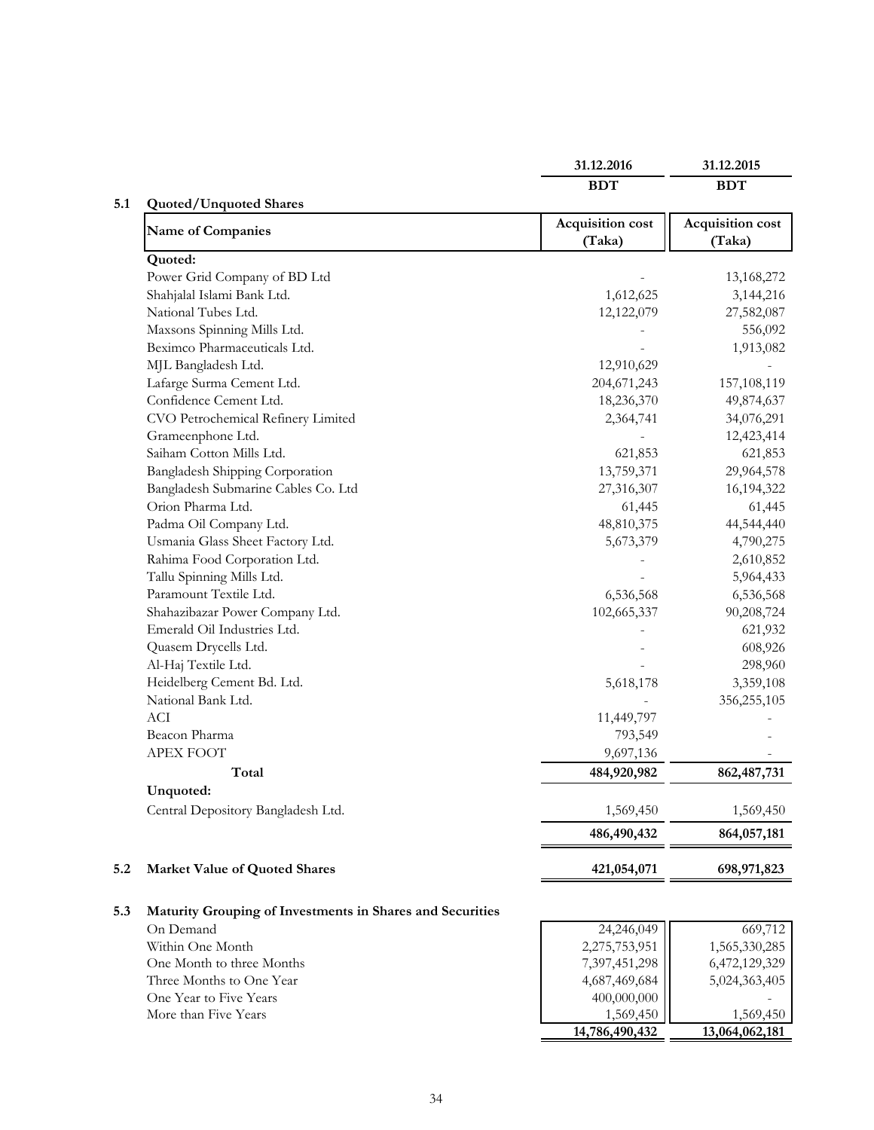|                                                           | 31.12.2016       | 31.12.2015       |
|-----------------------------------------------------------|------------------|------------------|
|                                                           | <b>BDT</b>       | <b>BDT</b>       |
| <b>Quoted/Unquoted Shares</b>                             | Acquisition cost | Acquisition cost |
| <b>Name of Companies</b>                                  | (Taka)           | (Taka)           |
| Quoted:                                                   |                  |                  |
| Power Grid Company of BD Ltd                              |                  | 13,168,272       |
| Shahjalal Islami Bank Ltd.                                | 1,612,625        | 3,144,216        |
| National Tubes Ltd.                                       | 12,122,079       | 27,582,087       |
| Maxsons Spinning Mills Ltd.                               |                  | 556,092          |
| Beximco Pharmaceuticals Ltd.                              |                  | 1,913,082        |
| MJL Bangladesh Ltd.                                       | 12,910,629       |                  |
| Lafarge Surma Cement Ltd.                                 | 204, 671, 243    | 157,108,119      |
| Confidence Cement Ltd.                                    | 18,236,370       | 49,874,637       |
| CVO Petrochemical Refinery Limited                        | 2,364,741        | 34,076,291       |
| Grameenphone Ltd.                                         |                  | 12,423,414       |
| Saiham Cotton Mills Ltd.                                  | 621,853          | 621,853          |
| Bangladesh Shipping Corporation                           | 13,759,371       | 29,964,578       |
| Bangladesh Submarine Cables Co. Ltd                       | 27,316,307       | 16,194,322       |
| Orion Pharma Ltd.                                         | 61,445           | 61,445           |
| Padma Oil Company Ltd.                                    | 48,810,375       | 44,544,440       |
| Usmania Glass Sheet Factory Ltd.                          | 5,673,379        | 4,790,275        |
| Rahima Food Corporation Ltd.                              |                  | 2,610,852        |
| Tallu Spinning Mills Ltd.                                 |                  | 5,964,433        |
| Paramount Textile Ltd.                                    | 6,536,568        | 6,536,568        |
| Shahazibazar Power Company Ltd.                           | 102,665,337      | 90,208,724       |
| Emerald Oil Industries Ltd.                               |                  | 621,932          |
| Quasem Drycells Ltd.                                      |                  | 608,926          |
| Al-Haj Textile Ltd.                                       |                  | 298,960          |
| Heidelberg Cement Bd. Ltd.                                | 5,618,178        | 3,359,108        |
| National Bank Ltd.                                        |                  | 356,255,105      |
| <b>ACI</b>                                                | 11,449,797       |                  |
| Beacon Pharma                                             | 793,549          |                  |
| <b>APEX FOOT</b>                                          | 9,697,136        |                  |
| Total                                                     | 484,920,982      | 862, 487, 731    |
| Unquoted:                                                 |                  |                  |
| Central Depository Bangladesh Ltd.                        | 1,569,450        | 1,569,450        |
|                                                           | 486,490,432      | 864,057,181      |
|                                                           |                  | 698,971,823      |
| <b>Market Value of Quoted Shares</b>                      | 421,054,071      |                  |
| Maturity Grouping of Investments in Shares and Securities |                  |                  |
| On Demand                                                 | 24,246,049       | 669,712          |
| Within One Month                                          | 2,275,753,951    | 1,565,330,285    |
| One Month to three Months                                 | 7,397,451,298    | 6,472,129,329    |
| Three Months to One Year                                  | 4,687,469,684    | 5,024,363,405    |
| One Year to Five Years                                    | 400,000,000      |                  |
| More than Five Years                                      | 1,569,450        | 1,569,450        |
|                                                           | 14,786,490,432   | 13,064,062,181   |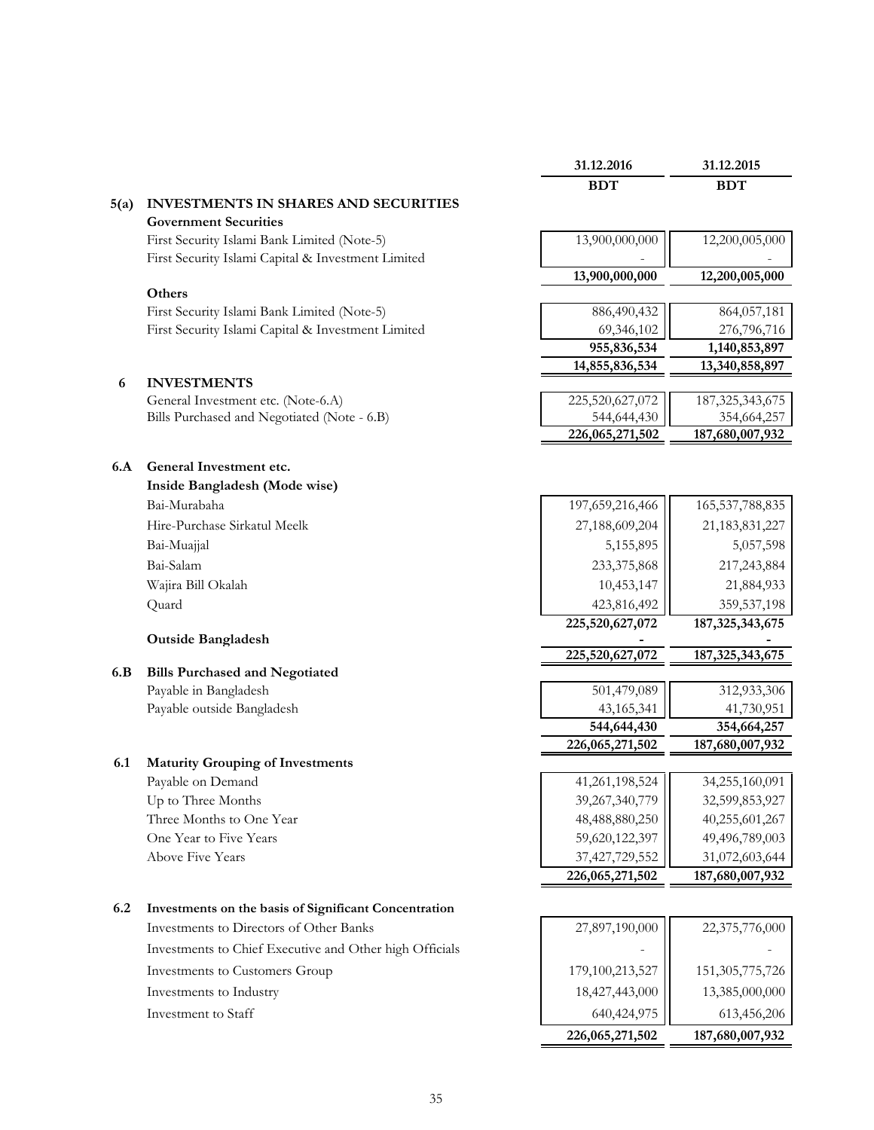|      |                                                                                                   | 31.12.2016                | 31.12.2015                   |
|------|---------------------------------------------------------------------------------------------------|---------------------------|------------------------------|
|      |                                                                                                   | <b>BDT</b>                | <b>BDT</b>                   |
| 5(a) | INVESTMENTS IN SHARES AND SECURITIES                                                              |                           |                              |
|      | <b>Government Securities</b>                                                                      |                           |                              |
|      | First Security Islami Bank Limited (Note-5)                                                       | 13,900,000,000            | 12,200,005,000               |
|      | First Security Islami Capital & Investment Limited                                                |                           |                              |
|      |                                                                                                   | 13,900,000,000            | 12,200,005,000               |
|      | Others                                                                                            |                           |                              |
|      | First Security Islami Bank Limited (Note-5)<br>First Security Islami Capital & Investment Limited | 886,490,432               | 864,057,181                  |
|      |                                                                                                   | 69,346,102<br>955,836,534 | 276,796,716<br>1,140,853,897 |
|      |                                                                                                   | 14,855,836,534            | 13,340,858,897               |
| 6    | <b>INVESTMENTS</b>                                                                                |                           |                              |
|      | General Investment etc. (Note-6.A)                                                                | 225,520,627,072           | 187, 325, 343, 675           |
|      | Bills Purchased and Negotiated (Note - 6.B)                                                       | 544,644,430               | 354,664,257                  |
|      |                                                                                                   | 226,065,271,502           | 187,680,007,932              |
| 6.A  | General Investment etc.                                                                           |                           |                              |
|      | Inside Bangladesh (Mode wise)                                                                     |                           |                              |
|      | Bai-Murabaha                                                                                      | 197,659,216,466           | 165, 537, 788, 835           |
|      | Hire-Purchase Sirkatul Meelk                                                                      | 27,188,609,204            | 21,183,831,227               |
|      | Bai-Muajjal                                                                                       | 5,155,895                 | 5,057,598                    |
|      | Bai-Salam                                                                                         | 233,375,868               | 217,243,884                  |
|      | Wajira Bill Okalah                                                                                | 10,453,147                | 21,884,933                   |
|      | Quard                                                                                             | 423,816,492               | 359,537,198                  |
|      |                                                                                                   | 225,520,627,072           | 187, 325, 343, 675           |
|      | <b>Outside Bangladesh</b>                                                                         |                           |                              |
|      |                                                                                                   | 225,520,627,072           | 187, 325, 343, 675           |
| 6.B  | <b>Bills Purchased and Negotiated</b>                                                             |                           |                              |
|      | Payable in Bangladesh                                                                             | 501,479,089               | 312,933,306                  |
|      | Payable outside Bangladesh                                                                        | 43,165,341                | 41,730,951                   |
|      |                                                                                                   | 544,644,430               | 354,664,257                  |
| 6.1  | <b>Maturity Grouping of Investments</b>                                                           | 226,065,271,502           | 187,680,007,932              |
|      | Payable on Demand                                                                                 | 41,261,198,524            | 34,255,160,091               |
|      | Up to Three Months                                                                                | 39,267,340,779            | 32,599,853,927               |
|      | Three Months to One Year                                                                          | 48,488,880,250            | 40,255,601,267               |
|      | One Year to Five Years                                                                            | 59,620,122,397            | 49,496,789,003               |
|      | <b>Above Five Years</b>                                                                           | 37,427,729,552            | 31,072,603,644               |
|      |                                                                                                   | 226,065,271,502           | 187,680,007,932              |
|      |                                                                                                   |                           |                              |
| 6.2  | Investments on the basis of Significant Concentration                                             |                           |                              |
|      | Investments to Directors of Other Banks                                                           | 27,897,190,000            | 22,375,776,000               |
|      | Investments to Chief Executive and Other high Officials                                           |                           |                              |
|      | Investments to Customers Group                                                                    | 179,100,213,527           | 151,305,775,726              |
|      | Investments to Industry                                                                           | 18,427,443,000            | 13,385,000,000               |
|      | Investment to Staff                                                                               | 640,424,975               | 613,456,206                  |
|      |                                                                                                   | 226,065,271,502           | 187,680,007,932              |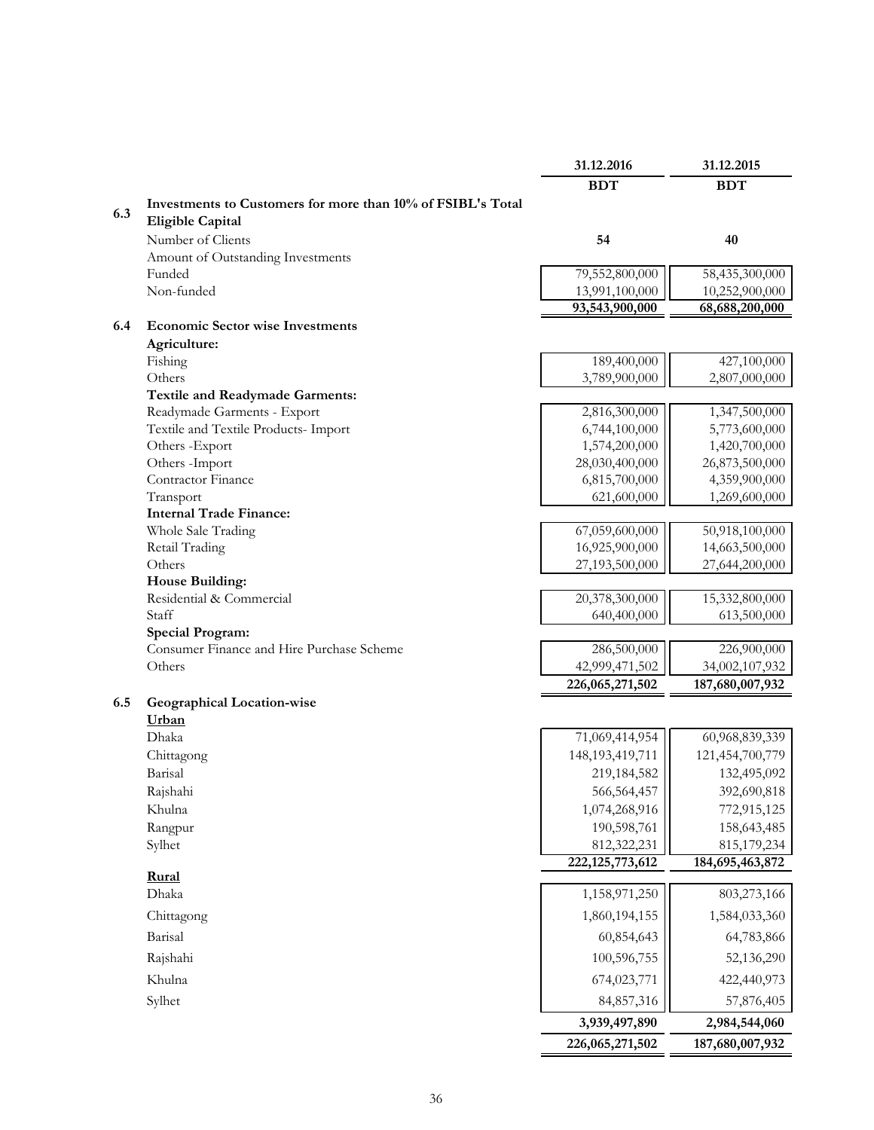|     |                                                             | 31.12.2016         | 31.12.2015         |
|-----|-------------------------------------------------------------|--------------------|--------------------|
|     |                                                             | <b>BDT</b>         | <b>BDT</b>         |
|     | Investments to Customers for more than 10% of FSIBL's Total |                    |                    |
| 6.3 | <b>Eligible Capital</b>                                     |                    |                    |
|     | Number of Clients                                           | 54                 | 40                 |
|     | Amount of Outstanding Investments                           |                    |                    |
|     | Funded                                                      | 79,552,800,000     | 58,435,300,000     |
|     | Non-funded                                                  | 13,991,100,000     | 10,252,900,000     |
|     |                                                             | 93,543,900,000     | 68,688,200,000     |
| 6.4 | <b>Economic Sector wise Investments</b>                     |                    |                    |
|     | Agriculture:                                                |                    |                    |
|     | Fishing                                                     | 189,400,000        | 427,100,000        |
|     | Others                                                      | 3,789,900,000      | 2,807,000,000      |
|     | <b>Textile and Readymade Garments:</b>                      |                    |                    |
|     | Readymade Garments - Export                                 | 2,816,300,000      | 1,347,500,000      |
|     | Textile and Textile Products- Import                        | 6,744,100,000      | 5,773,600,000      |
|     | Others -Export                                              | 1,574,200,000      | 1,420,700,000      |
|     | Others -Import                                              | 28,030,400,000     | 26,873,500,000     |
|     | Contractor Finance                                          | 6,815,700,000      | 4,359,900,000      |
|     | Transport                                                   | 621,600,000        | 1,269,600,000      |
|     | <b>Internal Trade Finance:</b>                              |                    |                    |
|     | Whole Sale Trading                                          | 67,059,600,000     | 50,918,100,000     |
|     | Retail Trading                                              | 16,925,900,000     | 14,663,500,000     |
|     | Others                                                      | 27,193,500,000     | 27,644,200,000     |
|     | <b>House Building:</b>                                      |                    |                    |
|     | Residential & Commercial                                    | 20,378,300,000     | 15,332,800,000     |
|     | Staff                                                       | 640,400,000        | 613,500,000        |
|     | <b>Special Program:</b>                                     |                    |                    |
|     | Consumer Finance and Hire Purchase Scheme                   | 286,500,000        | 226,900,000        |
|     | Others                                                      | 42,999,471,502     | 34,002,107,932     |
|     |                                                             | 226,065,271,502    | 187,680,007,932    |
| 6.5 | Geographical Location-wise                                  |                    |                    |
|     | Urban                                                       |                    |                    |
|     | Dhaka                                                       | 71,069,414,954     | 60,968,839,339     |
|     | Chittagong                                                  | 148, 193, 419, 711 | 121,454,700,779    |
|     | Barisal                                                     | 219,184,582        | 132,495,092        |
|     | Rajshahi                                                    | 566,564,457        | 392,690,818        |
|     | Khulna                                                      | 1,074,268,916      | 772,915,125        |
|     | Rangpur                                                     | 190,598,761        | 158,643,485        |
|     | Sylhet                                                      | 812,322,231        | 815,179,234        |
|     |                                                             | 222, 125, 773, 612 | 184, 695, 463, 872 |
|     | Rural                                                       |                    |                    |
|     | Dhaka                                                       | 1,158,971,250      | 803,273,166        |
|     | Chittagong                                                  | 1,860,194,155      | 1,584,033,360      |
|     | <b>Barisal</b>                                              | 60,854,643         | 64,783,866         |
|     |                                                             |                    |                    |
|     | Rajshahi                                                    | 100,596,755        | 52,136,290         |
|     | Khulna                                                      | 674,023,771        | 422,440,973        |
|     | Sylhet                                                      | 84,857,316         | 57,876,405         |
|     |                                                             | 3,939,497,890      | 2,984,544,060      |
|     |                                                             |                    |                    |
|     |                                                             | 226,065,271,502    | 187,680,007,932    |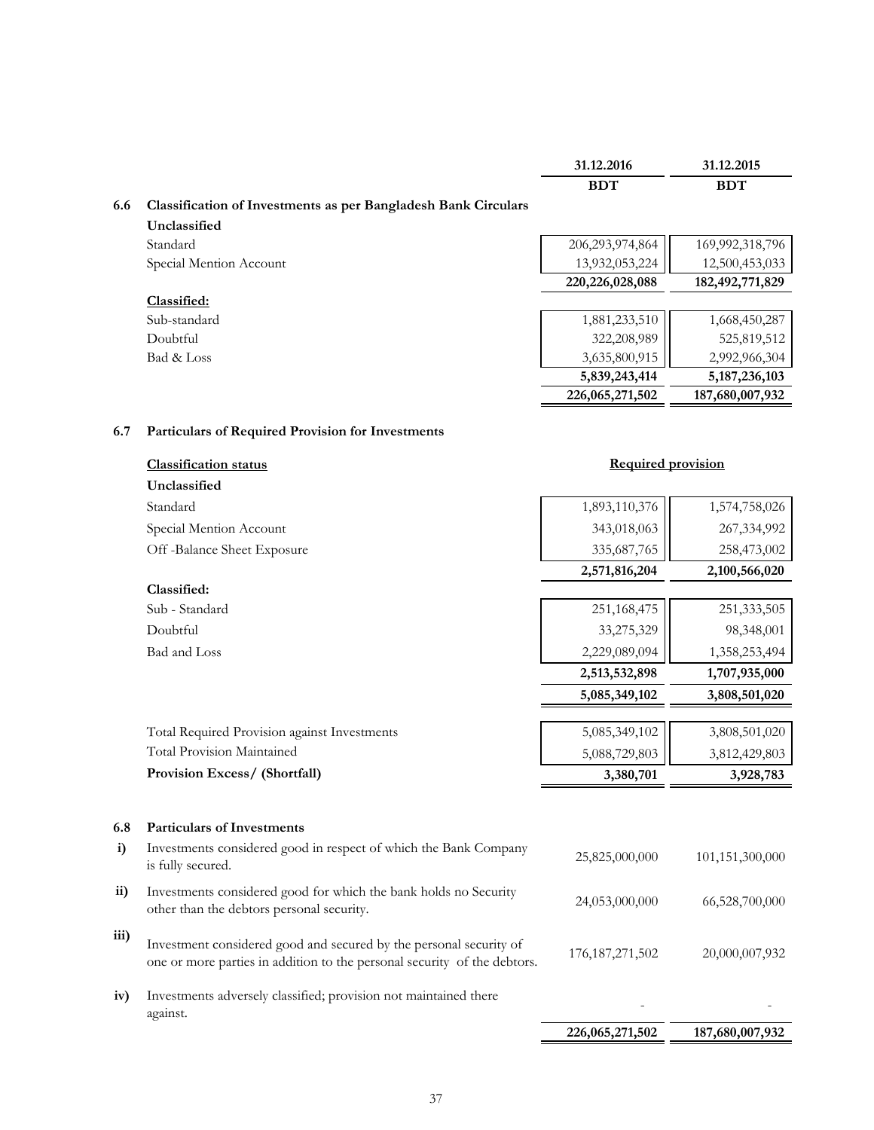|      |                                                                                                                                                | 31.12.2016                   | 31.12.2015                   |
|------|------------------------------------------------------------------------------------------------------------------------------------------------|------------------------------|------------------------------|
|      |                                                                                                                                                | <b>BDT</b>                   | <b>BDT</b>                   |
| 6.6  | <b>Classification of Investments as per Bangladesh Bank Circulars</b>                                                                          |                              |                              |
|      | Unclassified                                                                                                                                   |                              |                              |
|      | Standard                                                                                                                                       | 206,293,974,864              | 169,992,318,796              |
|      | Special Mention Account                                                                                                                        | 13,932,053,224               | 12,500,453,033               |
|      |                                                                                                                                                | 220, 226, 028, 088           | 182, 492, 771, 829           |
|      | Classified:<br>Sub-standard                                                                                                                    |                              |                              |
|      | Doubtful                                                                                                                                       | 1,881,233,510<br>322,208,989 | 1,668,450,287<br>525,819,512 |
|      | Bad & Loss                                                                                                                                     | 3,635,800,915                | 2,992,966,304                |
|      |                                                                                                                                                | 5,839,243,414                | 5, 187, 236, 103             |
|      |                                                                                                                                                | 226,065,271,502              | 187,680,007,932              |
|      |                                                                                                                                                |                              |                              |
| 6.7  | Particulars of Required Provision for Investments                                                                                              |                              |                              |
|      | <b>Classification status</b>                                                                                                                   | <b>Required provision</b>    |                              |
|      | Unclassified                                                                                                                                   |                              |                              |
|      | Standard                                                                                                                                       | 1,893,110,376                | 1,574,758,026                |
|      | Special Mention Account                                                                                                                        | 343,018,063                  | 267,334,992                  |
|      | Off-Balance Sheet Exposure                                                                                                                     | 335,687,765                  | 258,473,002                  |
|      |                                                                                                                                                | 2,571,816,204                | 2,100,566,020                |
|      | Classified:                                                                                                                                    |                              |                              |
|      | Sub - Standard                                                                                                                                 | 251,168,475                  | 251, 333, 505                |
|      | Doubtful                                                                                                                                       | 33,275,329                   | 98,348,001                   |
|      | Bad and Loss                                                                                                                                   | 2,229,089,094                | 1,358,253,494                |
|      |                                                                                                                                                | 2,513,532,898                | 1,707,935,000                |
|      |                                                                                                                                                | 5,085,349,102                | 3,808,501,020                |
|      |                                                                                                                                                |                              |                              |
|      | Total Required Provision against Investments                                                                                                   | 5,085,349,102                | 3,808,501,020                |
|      | <b>Total Provision Maintained</b>                                                                                                              | 5,088,729,803                | 3,812,429,803                |
|      | Provision Excess/ (Shortfall)                                                                                                                  | 3,380,701                    | 3,928,783                    |
|      |                                                                                                                                                |                              |                              |
| 6.8  | <b>Particulars of Investments</b>                                                                                                              |                              |                              |
| i)   | Investments considered good in respect of which the Bank Company<br>is fully secured.                                                          | 25,825,000,000               | 101,151,300,000              |
| ii)  | Investments considered good for which the bank holds no Security<br>other than the debtors personal security.                                  | 24,053,000,000               | 66,528,700,000               |
| iii) | Investment considered good and secured by the personal security of<br>one or more parties in addition to the personal security of the debtors. | 176, 187, 271, 502           | 20,000,007,932               |
| iv)  | Investments adversely classified; provision not maintained there<br>against.                                                                   |                              |                              |
|      |                                                                                                                                                | 226,065,271,502              | 187,680,007,932              |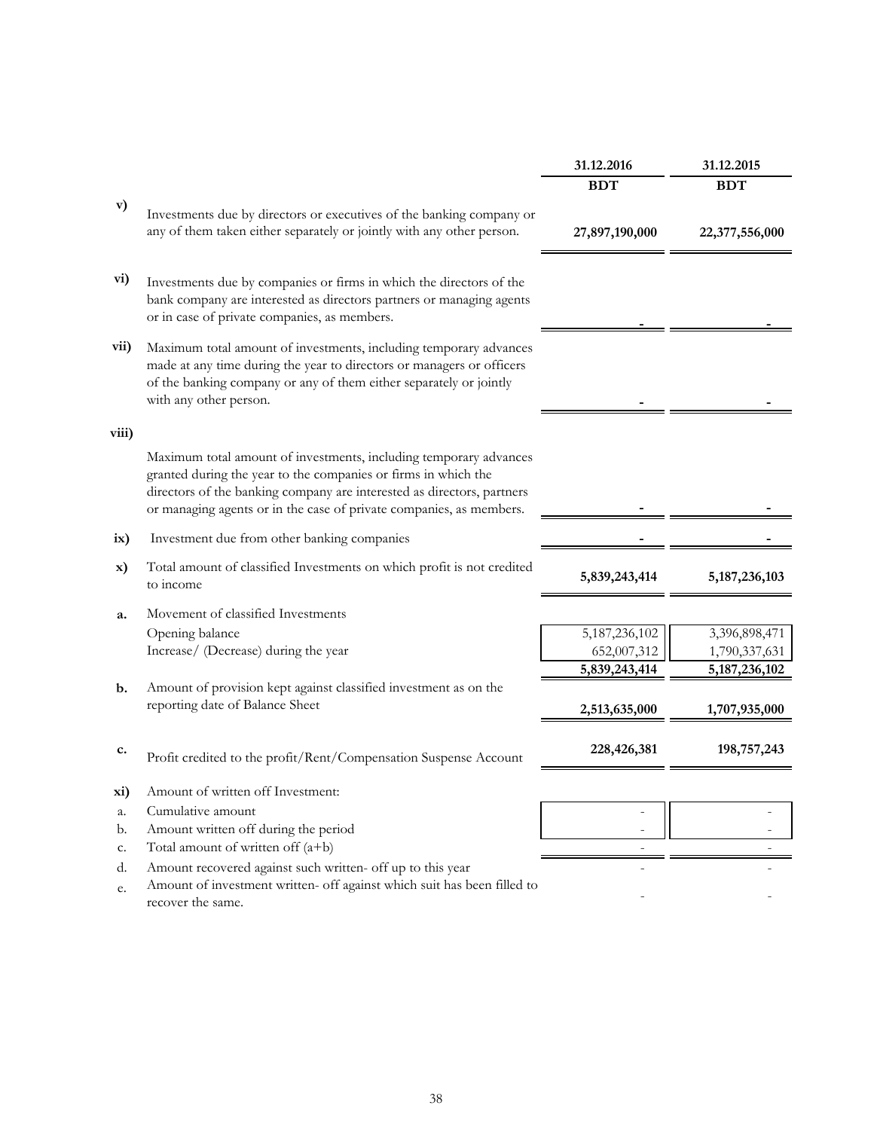|               |                                                                                                                                                                                                                                                                                      | 31.12.2016       | 31.12.2015       |
|---------------|--------------------------------------------------------------------------------------------------------------------------------------------------------------------------------------------------------------------------------------------------------------------------------------|------------------|------------------|
|               |                                                                                                                                                                                                                                                                                      | <b>BDT</b>       | <b>BDT</b>       |
| v)            | Investments due by directors or executives of the banking company or                                                                                                                                                                                                                 |                  |                  |
|               | any of them taken either separately or jointly with any other person.                                                                                                                                                                                                                | 27,897,190,000   | 22,377,556,000   |
| vi)           | Investments due by companies or firms in which the directors of the<br>bank company are interested as directors partners or managing agents<br>or in case of private companies, as members.                                                                                          |                  |                  |
| vii)          | Maximum total amount of investments, including temporary advances<br>made at any time during the year to directors or managers or officers<br>of the banking company or any of them either separately or jointly<br>with any other person.                                           |                  |                  |
| viii)         |                                                                                                                                                                                                                                                                                      |                  |                  |
|               | Maximum total amount of investments, including temporary advances<br>granted during the year to the companies or firms in which the<br>directors of the banking company are interested as directors, partners<br>or managing agents or in the case of private companies, as members. |                  |                  |
| ix)           | Investment due from other banking companies                                                                                                                                                                                                                                          |                  |                  |
| X)            | Total amount of classified Investments on which profit is not credited<br>to income                                                                                                                                                                                                  | 5,839,243,414    | 5, 187, 236, 103 |
| a.            | Movement of classified Investments                                                                                                                                                                                                                                                   |                  |                  |
|               | Opening balance                                                                                                                                                                                                                                                                      | 5, 187, 236, 102 | 3,396,898,471    |
|               | Increase/ (Decrease) during the year                                                                                                                                                                                                                                                 | 652,007,312      | 1,790,337,631    |
|               |                                                                                                                                                                                                                                                                                      | 5,839,243,414    | 5, 187, 236, 102 |
| $\mathbf b$ . | Amount of provision kept against classified investment as on the                                                                                                                                                                                                                     |                  |                  |
|               | reporting date of Balance Sheet                                                                                                                                                                                                                                                      | 2,513,635,000    | 1,707,935,000    |
| c.            | Profit credited to the profit/Rent/Compensation Suspense Account                                                                                                                                                                                                                     | 228,426,381      | 198,757,243      |
| xi)           | Amount of written off Investment:                                                                                                                                                                                                                                                    |                  |                  |
| a.            | Cumulative amount                                                                                                                                                                                                                                                                    |                  |                  |
| b.            | Amount written off during the period                                                                                                                                                                                                                                                 |                  |                  |
| c.            | Total amount of written off $(a+b)$                                                                                                                                                                                                                                                  |                  |                  |
| d.            | Amount recovered against such written- off up to this year                                                                                                                                                                                                                           |                  |                  |
| e.            | Amount of investment written- off against which suit has been filled to<br>recover the same.                                                                                                                                                                                         |                  |                  |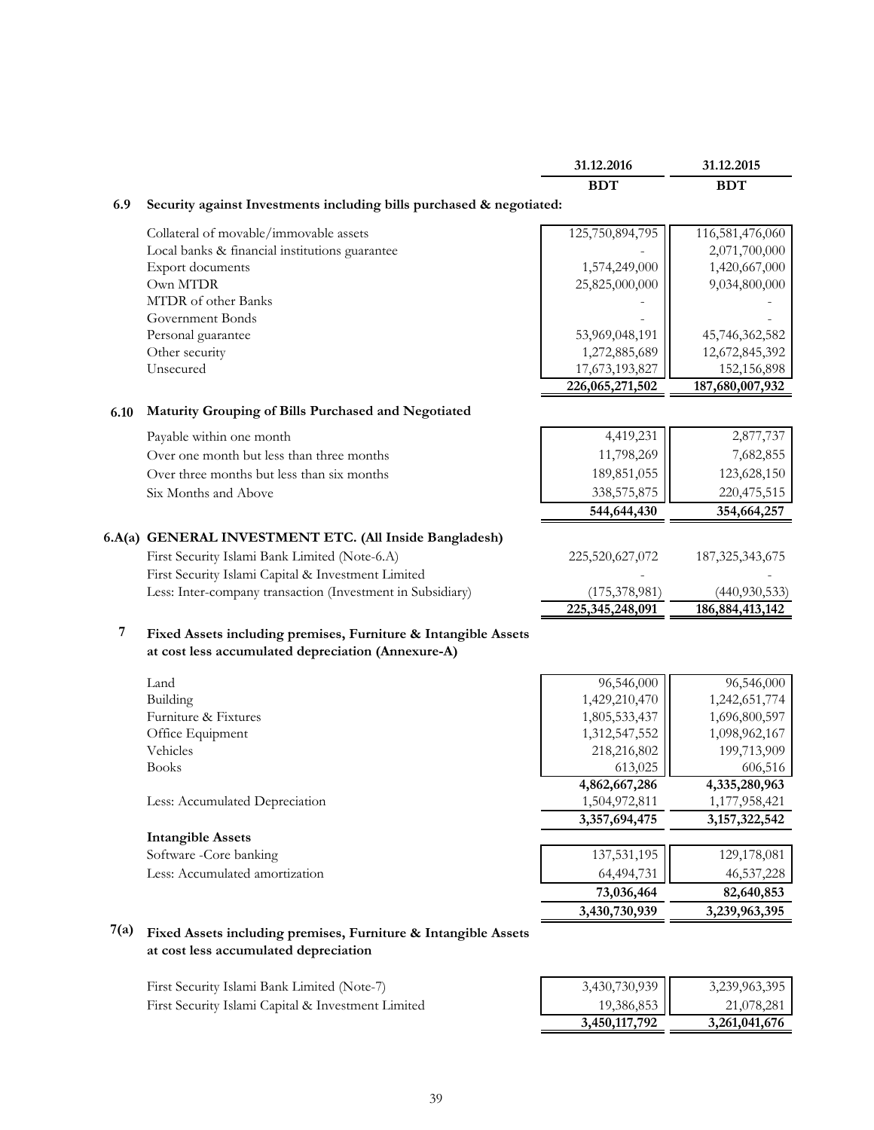|                |                                                                      | 31.12.2016      | 31.12.2015         |
|----------------|----------------------------------------------------------------------|-----------------|--------------------|
|                |                                                                      | <b>BDT</b>      | <b>BDT</b>         |
| 6.9            | Security against Investments including bills purchased & negotiated: |                 |                    |
|                | Collateral of movable/immovable assets                               | 125,750,894,795 | 116,581,476,060    |
|                | Local banks & financial institutions guarantee                       |                 | 2,071,700,000      |
|                | Export documents                                                     | 1,574,249,000   | 1,420,667,000      |
|                | Own MTDR                                                             | 25,825,000,000  | 9,034,800,000      |
|                | MTDR of other Banks                                                  |                 |                    |
|                | Government Bonds                                                     |                 |                    |
|                | Personal guarantee                                                   | 53,969,048,191  | 45,746,362,582     |
|                | Other security                                                       | 1,272,885,689   | 12,672,845,392     |
|                | Unsecured                                                            | 17,673,193,827  | 152,156,898        |
|                |                                                                      | 226,065,271,502 | 187,680,007,932    |
| 6.10           | Maturity Grouping of Bills Purchased and Negotiated                  |                 |                    |
|                | Payable within one month                                             | 4,419,231       | 2,877,737          |
|                | Over one month but less than three months                            | 11,798,269      | 7,682,855          |
|                | Over three months but less than six months                           | 189,851,055     | 123,628,150        |
|                | Six Months and Above                                                 | 338,575,875     | 220,475,515        |
|                |                                                                      | 544,644,430     | 354,664,257        |
|                | 6.A(a) GENERAL INVESTMENT ETC. (All Inside Bangladesh)               |                 |                    |
|                | First Security Islami Bank Limited (Note-6.A)                        | 225,520,627,072 | 187, 325, 343, 675 |
|                | First Security Islami Capital & Investment Limited                   |                 |                    |
|                | Less: Inter-company transaction (Investment in Subsidiary)           | (175, 378, 981) | (440, 930, 533)    |
|                |                                                                      | 225,345,248,091 | 186, 884, 413, 142 |
| $\overline{7}$ | Fixed Assets including premises, Furniture & Intangible Assets       |                 |                    |
|                | at cost less accumulated depreciation (Annexure-A)                   |                 |                    |
|                | Land                                                                 | 96,546,000      | 96,546,000         |
|                | Building                                                             | 1,429,210,470   | 1,242,651,774      |
|                | Furniture & Fixtures                                                 | 1,805,533,437   | 1,696,800,597      |
|                | Office Equipment                                                     | 1,312,547,552   | 1,098,962,167      |
|                | Vehicles                                                             | 218,216,802     | 199,713,909        |
|                | <b>Books</b>                                                         | 613,025         | 606,516            |
|                |                                                                      | 4,862,667,286   | 4,335,280,963      |
|                | Less: Accumulated Depreciation                                       | 1,504,972,811   | 1,177,958,421      |
|                |                                                                      | 3,357,694,475   | 3, 157, 322, 542   |
|                | <b>Intangible Assets</b>                                             |                 |                    |
|                | Software -Core banking                                               | 137,531,195     | 129,178,081        |
|                | Less: Accumulated amortization                                       | 64,494,731      | 46,537,228         |
|                |                                                                      | 73,036,464      | 82,640,853         |
|                |                                                                      | 3,430,730,939   | 3,239,963,395      |
| 7(a)           | Fixed Assets including premises, Furniture & Intangible Assets       |                 |                    |

#### **at cost less accumulated depreciation**

First Security Islami Bank Limited (Note-7) 3,430,730,939 3,239,963,395 First Security Islami Capital & Investment Limited 19,386,853 21,078,281  **3,450,117,792 3,261,041,676**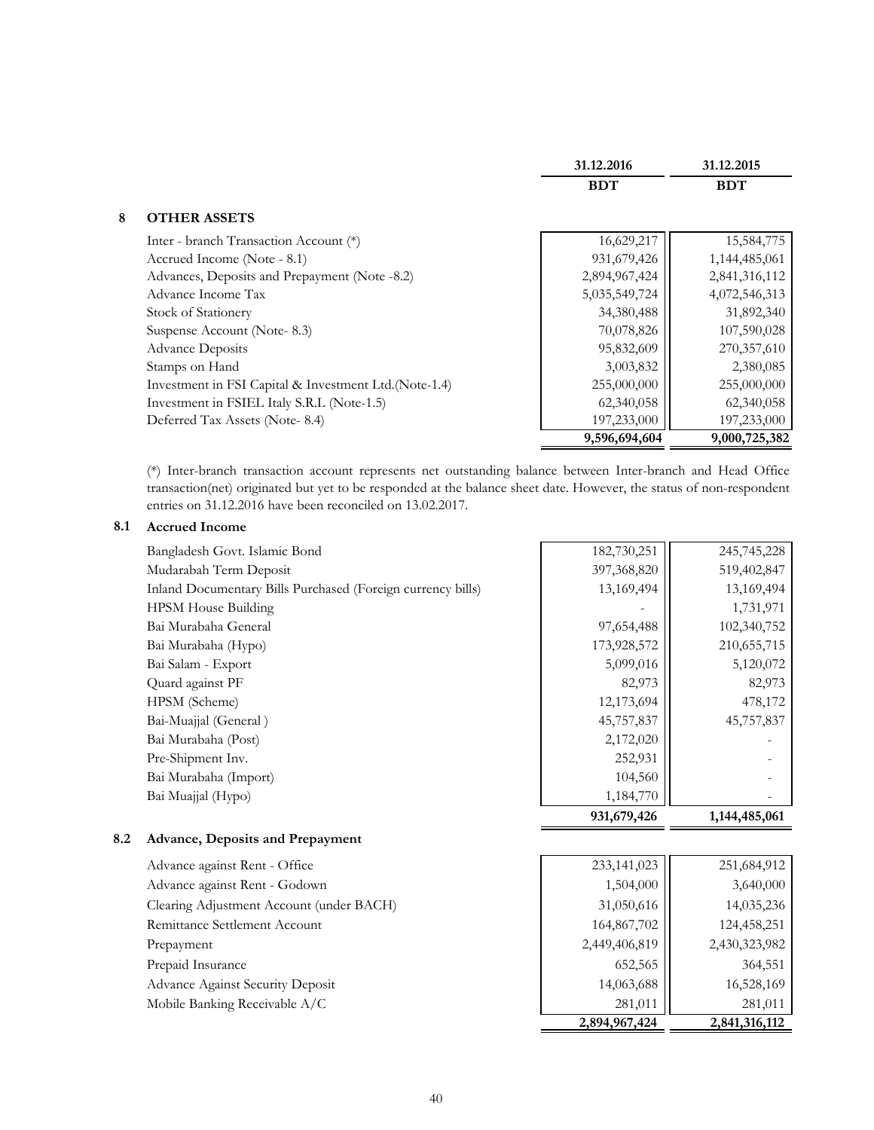|                                                        | 31.12.2016    | 31.12.2015    |
|--------------------------------------------------------|---------------|---------------|
|                                                        | <b>BDT</b>    | <b>BDT</b>    |
| 8<br><b>OTHER ASSETS</b>                               |               |               |
| Inter - branch Transaction Account (*)                 | 16,629,217    | 15,584,775    |
| Accrued Income (Note - 8.1)                            | 931,679,426   | 1,144,485,061 |
| Advances, Deposits and Prepayment (Note -8.2)          | 2,894,967,424 | 2,841,316,112 |
| Advance Income Tax                                     | 5,035,549,724 | 4,072,546,313 |
| Stock of Stationery                                    | 34,380,488    | 31,892,340    |
| Suspense Account (Note-8.3)                            | 70,078,826    | 107,590,028   |
| <b>Advance Deposits</b>                                | 95,832,609    | 270,357,610   |
| Stamps on Hand                                         | 3,003,832     | 2,380,085     |
| Investment in FSI Capital & Investment Ltd. (Note-1.4) | 255,000,000   | 255,000,000   |
| Investment in FSIEL Italy S.R.L (Note-1.5)             | 62,340,058    | 62,340,058    |
| Deferred Tax Assets (Note-8.4)                         | 197,233,000   | 197,233,000   |
|                                                        | 9,596,694,604 | 9,000,725,382 |

(\*) Inter-branch transaction account represents net outstanding balance between Inter-branch and Head Office transaction(net) originated but yet to be responded at the balance sheet date. However, the status of non-respondent entries on 31.12.2016 have been reconciled on 13.02.2017.

#### **8.1 Accrued Income**

|                                                             | 931,679,426 | 1,144,485,061 |
|-------------------------------------------------------------|-------------|---------------|
| Bai Muajjal (Hypo)                                          | 1,184,770   |               |
| Bai Murabaha (Import)                                       | 104,560     |               |
| Pre-Shipment Inv.                                           | 252,931     |               |
| Bai Murabaha (Post)                                         | 2,172,020   |               |
| Bai-Muajjal (General)                                       | 45,757,837  | 45,757,837    |
| HPSM (Scheme)                                               | 12,173,694  | 478,172       |
| Quard against PF                                            | 82,973      | 82,973        |
| Bai Salam - Export                                          | 5,099,016   | 5,120,072     |
| Bai Murabaha (Hypo)                                         | 173,928,572 | 210,655,715   |
| Bai Murabaha General                                        | 97,654,488  | 102,340,752   |
| <b>HPSM</b> House Building                                  |             | 1,731,971     |
| Inland Documentary Bills Purchased (Foreign currency bills) | 13,169,494  | 13,169,494    |
| Mudarabah Term Deposit                                      | 397,368,820 | 519,402,847   |
| Bangladesh Govt. Islamic Bond                               | 182,730,251 | 245,745,228   |
|                                                             |             |               |

#### **8.2 Advance, Deposits and Prepayment**

| Advance against Rent - Office            | 233,141,023   | 251,684,912   |
|------------------------------------------|---------------|---------------|
| Advance against Rent - Godown            | 1,504,000     | 3,640,000     |
| Clearing Adjustment Account (under BACH) | 31,050,616    | 14,035,236    |
| Remittance Settlement Account            | 164,867,702   | 124,458,251   |
| Prepayment                               | 2,449,406,819 | 2,430,323,982 |
| Prepaid Insurance                        | 652,565       | 364,551       |
| <b>Advance Against Security Deposit</b>  | 14,063,688    | 16,528,169    |
| Mobile Banking Receivable A/C            | 281,011       | 281,011       |
|                                          | 2,894,967,424 | 2,841,316,112 |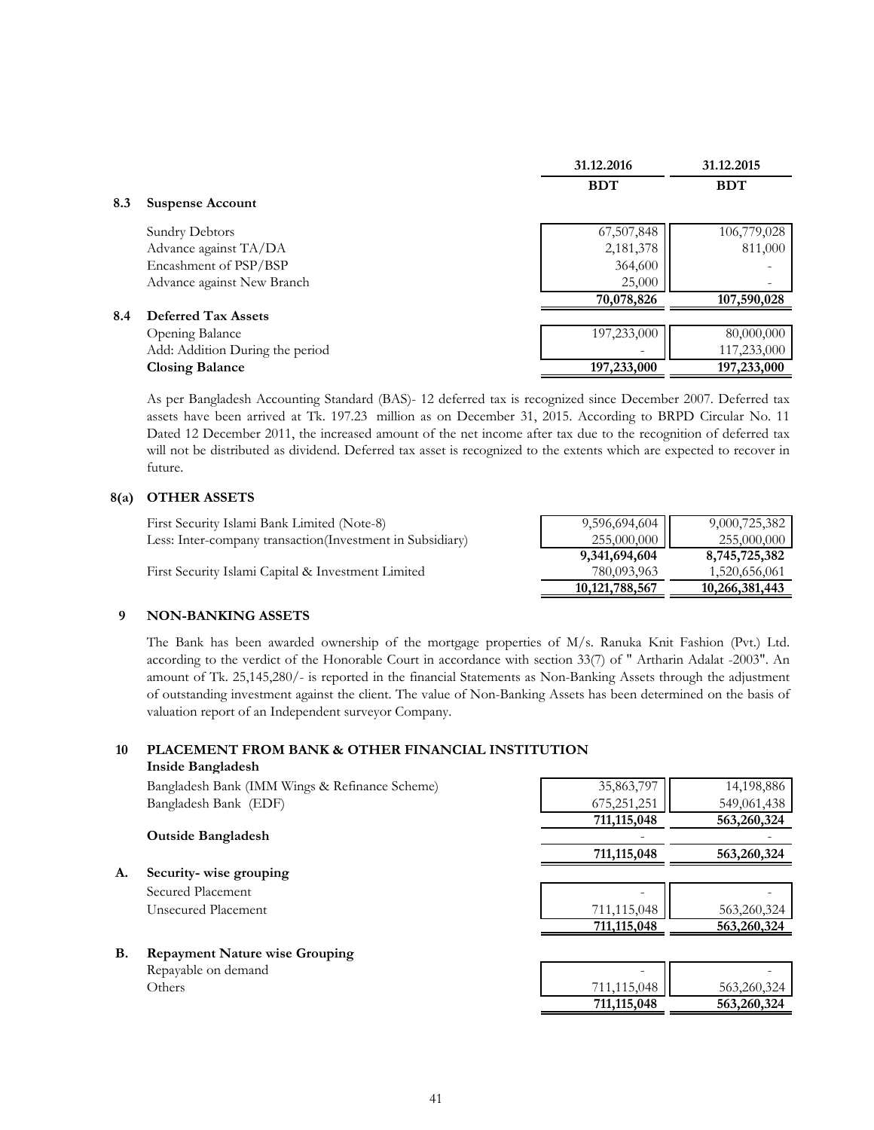|     |                                 | 31.12.2016  | 31.12.2015  |
|-----|---------------------------------|-------------|-------------|
|     |                                 | <b>BDT</b>  | <b>BDT</b>  |
| 8.3 | <b>Suspense Account</b>         |             |             |
|     | Sundry Debtors                  | 67,507,848  | 106,779,028 |
|     | Advance against TA/DA           | 2,181,378   | 811,000     |
|     | Encashment of PSP/BSP           | 364,600     |             |
|     | Advance against New Branch      | 25,000      |             |
|     |                                 | 70,078,826  | 107,590,028 |
| 8.4 | <b>Deferred Tax Assets</b>      |             |             |
|     | Opening Balance                 | 197,233,000 | 80,000,000  |
|     | Add: Addition During the period |             | 117,233,000 |
|     | <b>Closing Balance</b>          | 197,233,000 | 197,233,000 |

As per Bangladesh Accounting Standard (BAS)- 12 deferred tax is recognized since December 2007. Deferred tax assets have been arrived at Tk. 197.23 million as on December 31, 2015. According to BRPD Circular No. 11 Dated 12 December 2011, the increased amount of the net income after tax due to the recognition of deferred tax will not be distributed as dividend. Deferred tax asset is recognized to the extents which are expected to recover in future.

#### **8(a) OTHER ASSETS**

| First Security Islami Bank Limited (Note-8)                | 9,596,694,604     | 9,000,725,382  |
|------------------------------------------------------------|-------------------|----------------|
| Less: Inter-company transaction (Investment in Subsidiary) | 255,000,000       | 255,000,000    |
|                                                            | 9,341,694,604     | 8,745,725,382  |
| First Security Islami Capital & Investment Limited         | 780,093,963       | 1,520,656,061  |
|                                                            | 10, 121, 788, 567 | 10,266,381,443 |

#### **9 NON-BANKING ASSETS**

The Bank has been awarded ownership of the mortgage properties of M/s. Ranuka Knit Fashion (Pvt.) Ltd. according to the verdict of the Honorable Court in accordance with section 33(7) of " Artharin Adalat -2003". An amount of Tk. 25,145,280/- is reported in the financial Statements as Non-Banking Assets through the adjustment of outstanding investment against the client. The value of Non-Banking Assets has been determined on the basis of valuation report of an Independent surveyor Company.

#### **10 PLACEMENT FROM BANK & OTHER FINANCIAL INSTITUTION Inside Bangladesh**

|    | Bangladesh Bank (IMM Wings & Refinance Scheme) | 35,863,797    | 14,198,886  |
|----|------------------------------------------------|---------------|-------------|
|    | Bangladesh Bank (EDF)                          | 675,251,251   | 549,061,438 |
|    |                                                | 711,115,048   | 563,260,324 |
|    | <b>Outside Bangladesh</b>                      |               |             |
|    |                                                | 711, 115, 048 | 563,260,324 |
| А. | Security-wise grouping                         |               |             |
|    | Secured Placement                              |               |             |
|    | Unsecured Placement                            | 711,115,048   | 563,260,324 |
|    |                                                | 711,115,048   | 563,260,324 |
| B. | <b>Repayment Nature wise Grouping</b>          |               |             |
|    | Repayable on demand                            |               |             |
|    | Others                                         | 711,115,048   | 563,260,324 |

 **711,115,048 563,260,324**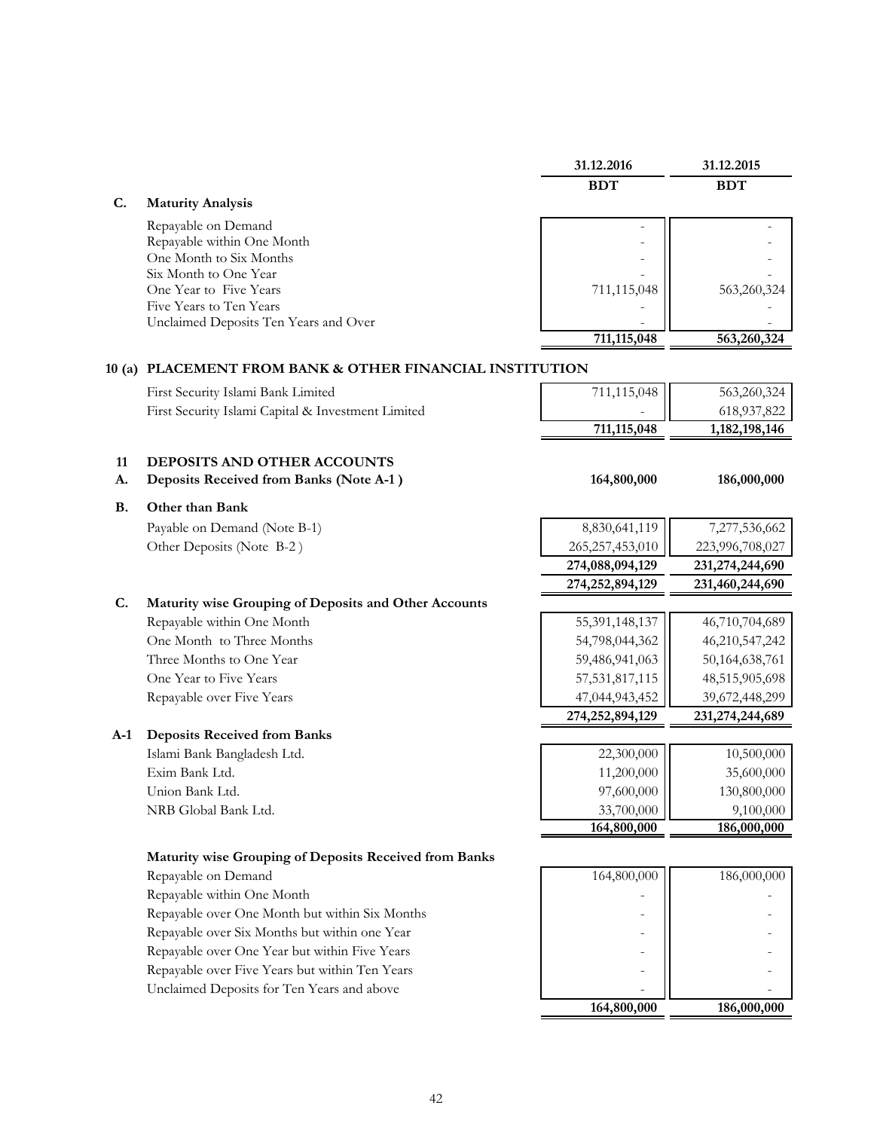|           |                                                          | 31.12.2016         | 31.12.2015      |
|-----------|----------------------------------------------------------|--------------------|-----------------|
|           |                                                          | <b>BDT</b>         | <b>BDT</b>      |
| C.        | <b>Maturity Analysis</b>                                 |                    |                 |
|           | Repayable on Demand                                      |                    |                 |
|           | Repayable within One Month                               |                    |                 |
|           | One Month to Six Months                                  |                    |                 |
|           | Six Month to One Year                                    |                    |                 |
|           | One Year to Five Years                                   | 711,115,048        | 563,260,324     |
|           | Five Years to Ten Years                                  |                    |                 |
|           | Unclaimed Deposits Ten Years and Over                    | 711,115,048        | 563,260,324     |
|           |                                                          |                    |                 |
|           | 10 (a) PLACEMENT FROM BANK & OTHER FINANCIAL INSTITUTION |                    |                 |
|           | First Security Islami Bank Limited                       | 711,115,048        | 563,260,324     |
|           | First Security Islami Capital & Investment Limited       |                    | 618,937,822     |
|           |                                                          | 711,115,048        | 1,182,198,146   |
|           |                                                          |                    |                 |
| 11        | DEPOSITS AND OTHER ACCOUNTS                              |                    |                 |
| A.        | Deposits Received from Banks (Note A-1)                  | 164,800,000        | 186,000,000     |
| <b>B.</b> | Other than Bank                                          |                    |                 |
|           | Payable on Demand (Note B-1)                             | 8,830,641,119      | 7,277,536,662   |
|           | Other Deposits (Note B-2)                                | 265,257,453,010    | 223,996,708,027 |
|           |                                                          | 274,088,094,129    | 231,274,244,690 |
|           |                                                          | 274, 252, 894, 129 | 231,460,244,690 |
| C.        | Maturity wise Grouping of Deposits and Other Accounts    |                    |                 |
|           | Repayable within One Month                               | 55,391,148,137     | 46,710,704,689  |
|           | One Month to Three Months                                | 54,798,044,362     | 46,210,547,242  |
|           | Three Months to One Year                                 | 59,486,941,063     | 50,164,638,761  |
|           | One Year to Five Years                                   | 57,531,817,115     | 48,515,905,698  |
|           | Repayable over Five Years                                | 47,044,943,452     | 39,672,448,299  |
|           |                                                          | 274,252,894,129    | 231,274,244,689 |
| $A-1$     | <b>Deposits Received from Banks</b>                      |                    |                 |
|           | Islami Bank Bangladesh Ltd.                              | 22,300,000         | 10,500,000      |
|           | Exim Bank Ltd.                                           | 11,200,000         | 35,600,000      |
|           | Union Bank Ltd.                                          | 97,600,000         | 130,800,000     |
|           | NRB Global Bank Ltd.                                     | 33,700,000         | 9,100,000       |
|           |                                                          | 164,800,000        | 186,000,000     |
|           |                                                          |                    |                 |
|           | Maturity wise Grouping of Deposits Received from Banks   |                    |                 |
|           | Repayable on Demand                                      | 164,800,000        | 186,000,000     |
|           | Repayable within One Month                               |                    |                 |
|           | Repayable over One Month but within Six Months           |                    |                 |
|           | Repayable over Six Months but within one Year            |                    |                 |
|           | Repayable over One Year but within Five Years            |                    |                 |
|           | Repayable over Five Years but within Ten Years           |                    |                 |
|           | Unclaimed Deposits for Ten Years and above               |                    |                 |
|           |                                                          | 164,800,000        | 186,000,000     |

#### 42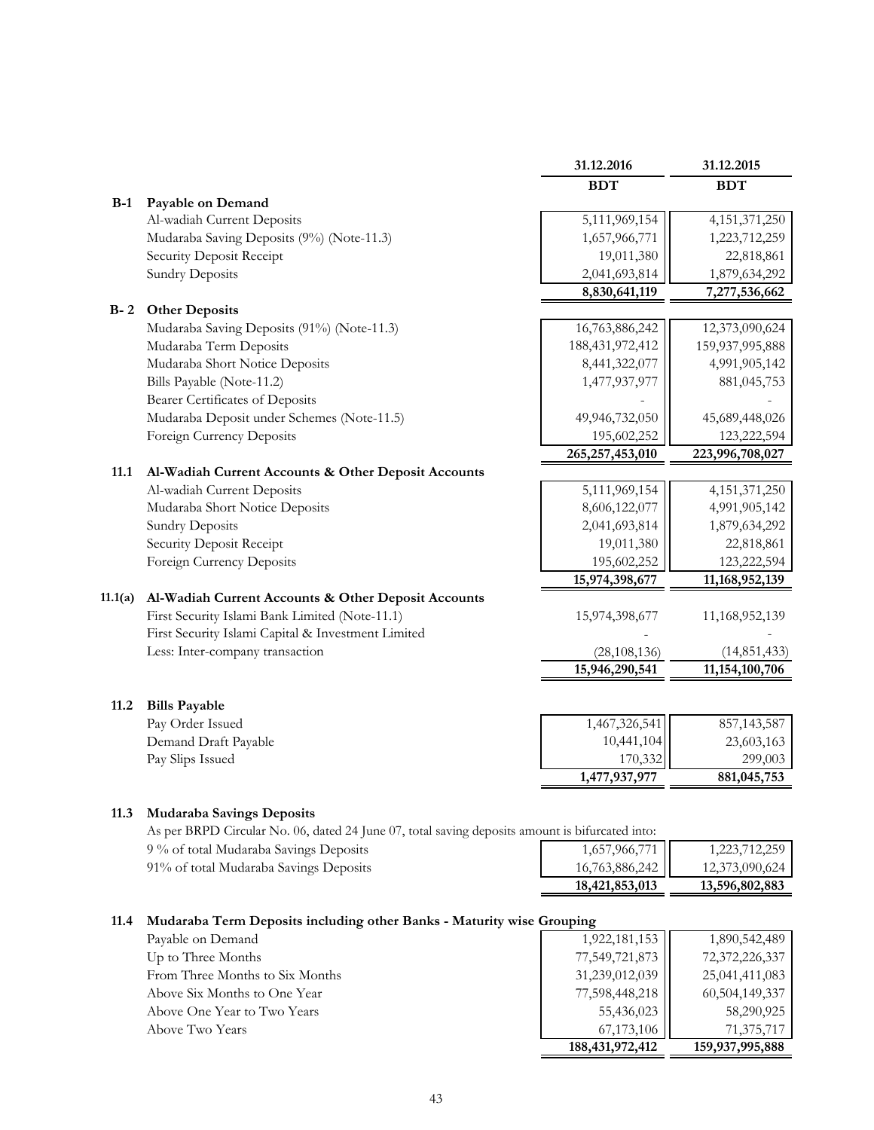|         |                                                                                                 | 31.12.2016         | 31.12.2015                  |
|---------|-------------------------------------------------------------------------------------------------|--------------------|-----------------------------|
|         |                                                                                                 | <b>BDT</b>         | <b>BDT</b>                  |
| $B-1$   | Payable on Demand                                                                               |                    |                             |
|         | Al-wadiah Current Deposits                                                                      | 5,111,969,154      | 4, 151, 371, 250            |
|         | Mudaraba Saving Deposits (9%) (Note-11.3)                                                       | 1,657,966,771      | 1,223,712,259               |
|         | Security Deposit Receipt                                                                        | 19,011,380         | 22,818,861                  |
|         | <b>Sundry Deposits</b>                                                                          | 2,041,693,814      | 1,879,634,292               |
|         |                                                                                                 | 8,830,641,119      | 7,277,536,662               |
| $B - 2$ | <b>Other Deposits</b>                                                                           |                    |                             |
|         | Mudaraba Saving Deposits (91%) (Note-11.3)                                                      | 16,763,886,242     | 12,373,090,624              |
|         | Mudaraba Term Deposits                                                                          | 188,431,972,412    | 159,937,995,888             |
|         | Mudaraba Short Notice Deposits                                                                  | 8,441,322,077      | 4,991,905,142               |
|         | Bills Payable (Note-11.2)                                                                       | 1,477,937,977      | 881,045,753                 |
|         | Bearer Certificates of Deposits                                                                 |                    |                             |
|         | Mudaraba Deposit under Schemes (Note-11.5)                                                      | 49,946,732,050     | 45,689,448,026              |
|         | Foreign Currency Deposits                                                                       | 195,602,252        | 123,222,594                 |
|         |                                                                                                 | 265, 257, 453, 010 | 223,996,708,027             |
| 11.1    | Al-Wadiah Current Accounts & Other Deposit Accounts                                             |                    |                             |
|         | Al-wadiah Current Deposits                                                                      | 5,111,969,154      | 4, 151, 371, 250            |
|         | Mudaraba Short Notice Deposits                                                                  | 8,606,122,077      | 4,991,905,142               |
|         | <b>Sundry Deposits</b>                                                                          | 2,041,693,814      | 1,879,634,292               |
|         | Security Deposit Receipt                                                                        | 19,011,380         | 22,818,861                  |
|         | Foreign Currency Deposits                                                                       | 195,602,252        | 123,222,594                 |
|         |                                                                                                 | 15,974,398,677     | 11,168,952,139              |
| 11.1(a) | Al-Wadiah Current Accounts & Other Deposit Accounts                                             |                    |                             |
|         | First Security Islami Bank Limited (Note-11.1)                                                  | 15,974,398,677     | 11,168,952,139              |
|         | First Security Islami Capital & Investment Limited                                              |                    |                             |
|         | Less: Inter-company transaction                                                                 | (28, 108, 136)     | (14, 851, 433)              |
|         |                                                                                                 | 15,946,290,541     | 11,154,100,706              |
|         |                                                                                                 |                    |                             |
| 11.2    | <b>Bills Payable</b>                                                                            | 1,467,326,541      |                             |
|         | Pay Order Issued<br>Demand Draft Payable                                                        | 10,441,104         | 857, 143, 587<br>23,603,163 |
|         | Pay Slips Issued                                                                                | 170,332            | 299,003                     |
|         |                                                                                                 | 1,477,937,977      | 881,045,753                 |
|         |                                                                                                 |                    |                             |
| 11.3    | <b>Mudaraba Savings Deposits</b>                                                                |                    |                             |
|         | As per BRPD Circular No. 06, dated 24 June 07, total saving deposits amount is bifurcated into: |                    |                             |
|         | 9 % of total Mudaraba Savings Deposits                                                          | 1,657,966,771      | 1,223,712,259               |
|         | 91% of total Mudaraba Savings Deposits                                                          | 16,763,886,242     | 12,373,090,624              |
|         |                                                                                                 | 18,421,853,013     | 13,596,802,883              |
|         |                                                                                                 |                    |                             |
| 11.4    | Mudaraba Term Deposits including other Banks - Maturity wise Grouping                           |                    |                             |
|         | Payable on Demand                                                                               | 1,922,181,153      | 1,890,542,489               |
|         | Up to Three Months                                                                              | 77,549,721,873     | 72,372,226,337              |
|         | From Three Months to Six Months                                                                 | 31,239,012,039     | 25,041,411,083              |
|         | Above Six Months to One Year                                                                    | 77,598,448,218     | 60,504,149,337              |
|         | Above One Year to Two Years                                                                     | 55,436,023         | 58,290,925                  |
|         | Above Two Years                                                                                 | 67,173,106         | 71,375,717                  |
|         |                                                                                                 |                    |                             |

| 188, 431, 972, 412 | 159,937,995,888 |
|--------------------|-----------------|
| 67,173,106         | 71,375,717      |
| 55,436,023         | 58,290,925      |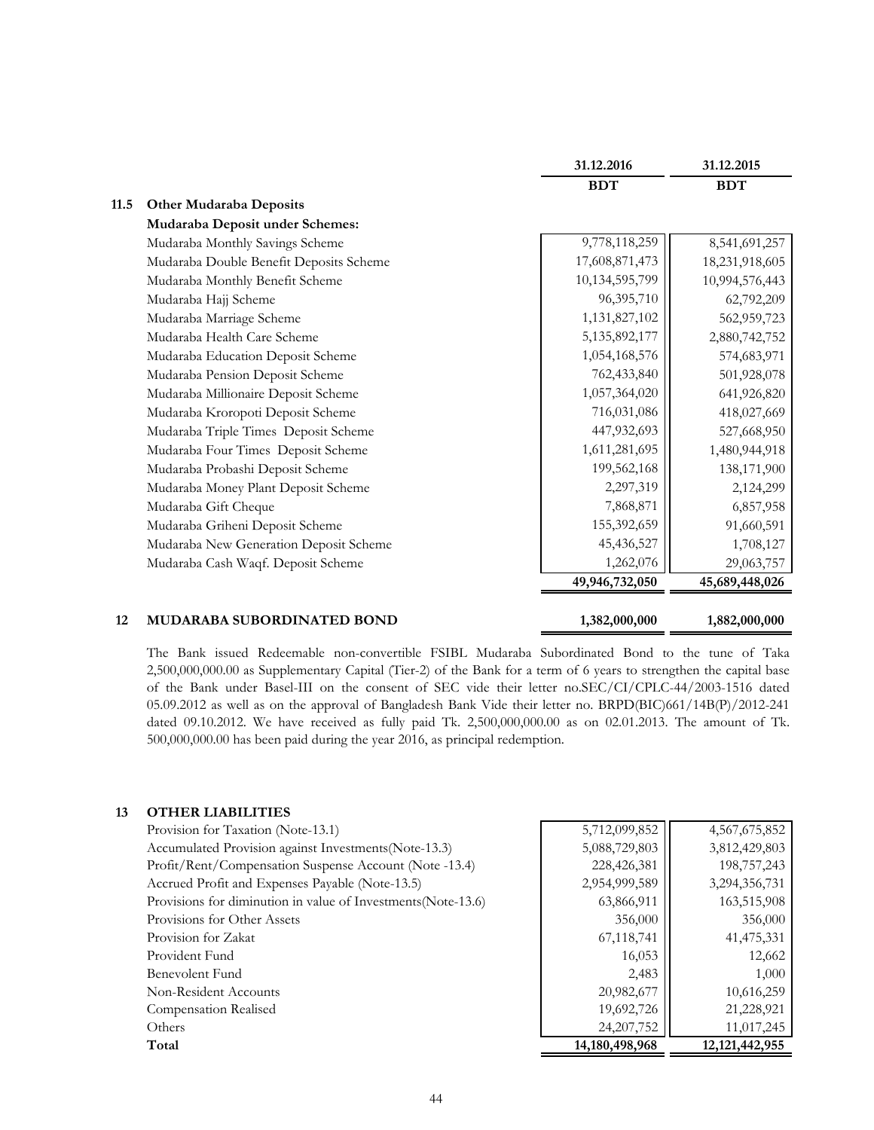|      |                                         | 31.12.2016     | 31.12.2015     |
|------|-----------------------------------------|----------------|----------------|
|      |                                         | <b>BDT</b>     | <b>BDT</b>     |
| 11.5 | <b>Other Mudaraba Deposits</b>          |                |                |
|      | Mudaraba Deposit under Schemes:         |                |                |
|      | Mudaraba Monthly Savings Scheme         | 9,778,118,259  | 8,541,691,257  |
|      | Mudaraba Double Benefit Deposits Scheme | 17,608,871,473 | 18,231,918,605 |
|      | Mudaraba Monthly Benefit Scheme         | 10,134,595,799 | 10,994,576,443 |
|      | Mudaraba Hajj Scheme                    | 96,395,710     | 62,792,209     |
|      | Mudaraba Marriage Scheme                | 1,131,827,102  | 562,959,723    |
|      | Mudaraba Health Care Scheme             | 5,135,892,177  | 2,880,742,752  |
|      | Mudaraba Education Deposit Scheme       | 1,054,168,576  | 574,683,971    |
|      | Mudaraba Pension Deposit Scheme         | 762,433,840    | 501,928,078    |
|      | Mudaraba Millionaire Deposit Scheme     | 1,057,364,020  | 641,926,820    |
|      | Mudaraba Kroropoti Deposit Scheme       | 716,031,086    | 418,027,669    |
|      | Mudaraba Triple Times Deposit Scheme    | 447,932,693    | 527,668,950    |
|      | Mudaraba Four Times Deposit Scheme      | 1,611,281,695  | 1,480,944,918  |
|      | Mudaraba Probashi Deposit Scheme        | 199,562,168    | 138,171,900    |
|      | Mudaraba Money Plant Deposit Scheme     | 2,297,319      | 2,124,299      |
|      | Mudaraba Gift Cheque                    | 7,868,871      | 6,857,958      |
|      | Mudaraba Griheni Deposit Scheme         | 155,392,659    | 91,660,591     |
|      | Mudaraba New Generation Deposit Scheme  | 45,436,527     | 1,708,127      |
|      | Mudaraba Cash Waqf. Deposit Scheme      | 1,262,076      | 29,063,757     |
|      |                                         | 49,946,732,050 | 45,689,448,026 |
|      |                                         |                |                |
| 12   | MUDARABA SUBORDINATED BOND              | 1,382,000,000  | 1,882,000,000  |

The Bank issued Redeemable non-convertible FSIBL Mudaraba Subordinated Bond to the tune of Taka 2,500,000,000.00 as Supplementary Capital (Tier-2) of the Bank for a term of 6 years to strengthen the capital base of the Bank under Basel-III on the consent of SEC vide their letter no.SEC/CI/CPLC-44/2003-1516 dated 05.09.2012 as well as on the approval of Bangladesh Bank Vide their letter no. BRPD(BIC)661/14B(P)/2012-241 dated 09.10.2012. We have received as fully paid Tk. 2,500,000,000.00 as on 02.01.2013. The amount of Tk. 500,000,000.00 has been paid during the year 2016, as principal redemption.

#### **13 OTHER LIABILITIES**

| Accumulated Provision against Investments (Note-13.3)<br>5,088,729,803<br>3,812,429,803<br>198,757,243<br>Profit/Rent/Compensation Suspense Account (Note -13.4)<br>228,426,381<br>Accrued Profit and Expenses Payable (Note-13.5)<br>2,954,999,589<br>3,294,356,731<br>Provisions for diminution in value of Investments (Note-13.6)<br>63,866,911<br>163,515,908<br>Provisions for Other Assets<br>356,000<br>356,000<br>67,118,741<br>41, 475, 331<br>Provision for Zakat<br>16,053<br>12,662<br>Provident Fund<br>Benevolent Fund<br>2,483<br>1,000<br>20,982,677<br>10,616,259<br>Non-Resident Accounts<br>19,692,726<br>21,228,921<br>Compensation Realised<br>11,017,245<br>24, 207, 752<br>Others<br>14, 180, 498, 968<br>Total<br>12, 121, 442, 955 | Provision for Taxation (Note-13.1) | 5,712,099,852 | 4,567,675,852 |
|--------------------------------------------------------------------------------------------------------------------------------------------------------------------------------------------------------------------------------------------------------------------------------------------------------------------------------------------------------------------------------------------------------------------------------------------------------------------------------------------------------------------------------------------------------------------------------------------------------------------------------------------------------------------------------------------------------------------------------------------------------------|------------------------------------|---------------|---------------|
|                                                                                                                                                                                                                                                                                                                                                                                                                                                                                                                                                                                                                                                                                                                                                              |                                    |               |               |
|                                                                                                                                                                                                                                                                                                                                                                                                                                                                                                                                                                                                                                                                                                                                                              |                                    |               |               |
|                                                                                                                                                                                                                                                                                                                                                                                                                                                                                                                                                                                                                                                                                                                                                              |                                    |               |               |
|                                                                                                                                                                                                                                                                                                                                                                                                                                                                                                                                                                                                                                                                                                                                                              |                                    |               |               |
|                                                                                                                                                                                                                                                                                                                                                                                                                                                                                                                                                                                                                                                                                                                                                              |                                    |               |               |
|                                                                                                                                                                                                                                                                                                                                                                                                                                                                                                                                                                                                                                                                                                                                                              |                                    |               |               |
|                                                                                                                                                                                                                                                                                                                                                                                                                                                                                                                                                                                                                                                                                                                                                              |                                    |               |               |
|                                                                                                                                                                                                                                                                                                                                                                                                                                                                                                                                                                                                                                                                                                                                                              |                                    |               |               |
|                                                                                                                                                                                                                                                                                                                                                                                                                                                                                                                                                                                                                                                                                                                                                              |                                    |               |               |
|                                                                                                                                                                                                                                                                                                                                                                                                                                                                                                                                                                                                                                                                                                                                                              |                                    |               |               |
|                                                                                                                                                                                                                                                                                                                                                                                                                                                                                                                                                                                                                                                                                                                                                              |                                    |               |               |
|                                                                                                                                                                                                                                                                                                                                                                                                                                                                                                                                                                                                                                                                                                                                                              |                                    |               |               |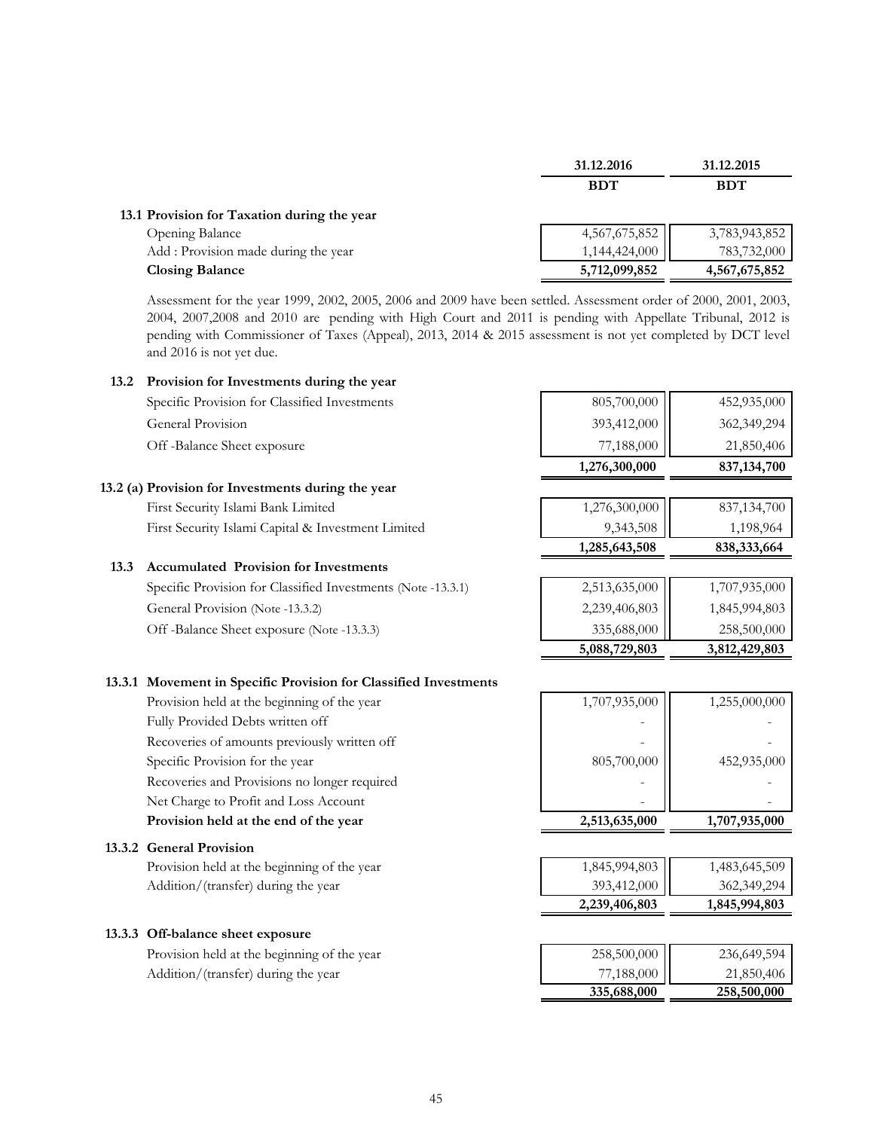|                                             | 31.12.2016                               | 31.12.2015    |
|---------------------------------------------|------------------------------------------|---------------|
|                                             | <b>BDT</b>                               | <b>BDT</b>    |
| 13.1 Provision for Taxation during the year |                                          |               |
| Opening Balance                             | $4,567,675,852$ <sub>1,144,424,000</sub> | 3,783,943,852 |
| Add : Provision made during the year        |                                          | 783,732,000   |
| <b>Closing Balance</b>                      | 5,712,099,852                            | 4,567,675,852 |

Assessment for the year 1999, 2002, 2005, 2006 and 2009 have been settled. Assessment order of 2000, 2001, 2003, 2004, 2007,2008 and 2010 are pending with High Court and 2011 is pending with Appellate Tribunal, 2012 is pending with Commissioner of Taxes (Appeal), 2013, 2014 & 2015 assessment is not yet completed by DCT level and 2016 is not yet due.

#### **13.2 Provision for Investments during the year**

|                                               | 1,276,300,000 | 837, 134, 700 |
|-----------------------------------------------|---------------|---------------|
| Off-Balance Sheet exposure                    | 77,188,000    | 21,850,406    |
| General Provision                             | 393,412,000   | 362,349,294   |
| Specific Provision for Classified Investments | 805,700,000   | 452,935,000   |

#### **13.2 (a) Provision for Investments during the year**

First Security Islami Bank Limited First Security Islami Capital & Investment Limited

#### **13.3 Accumulated Provision for Investments**

| Specific Provision for Classified Investments (Note -13.3.1) | 2,513,635,000 | 1,707,935,000 |
|--------------------------------------------------------------|---------------|---------------|
| General Provision (Note -13.3.2)                             | 2,239,406,803 | 1,845,994,803 |
| Off -Balance Sheet exposure (Note -13.3.3)                   | 335,688,000   | 258,500,000   |

# **13.3.1 Movement in Specific Provision for Classified Investments**

Provision held at the beginning of the year Fully Provided Debts written off Recoveries of amounts previously written off Specific Provision for the year Recoveries and Provisions no longer required Net Charge to Profit and Loss Account Provision held at the end of the year

#### **13.3.2 General Provision**

Provision held at the beginning of the year Addition/(transfer) during the year

#### **13.3.3 Off-balance sheet exposure**

Provision held at the beginning of the year Addition/(transfer) during the year

| 1,276,300,000 | 837,134,700   |
|---------------|---------------|
| 9,343,508     | 1,198,964     |
| 1,285,643,508 | 838,333,664   |
|               |               |
| 2,513,635,000 | 1,707,935,000 |
| 2,239,406,803 | 1,845,994,803 |
| 335,688,000   | 258,500,000   |
| 5,088,729,803 | 3,812,429,803 |
|               |               |
| 1,707,935,000 | 1,255,000,000 |
|               |               |
|               |               |
| 805,700,000   | 452,935,000   |
|               |               |
|               |               |
| 2,513,635,000 | 1,707,935,000 |
|               |               |
| 1,845,994,803 | 1,483,645,509 |
| 393,412,000   | 362,349,294   |
| 2,239,406,803 | 1,845,994,803 |

| 258,500,000 | 236,649,594 |
|-------------|-------------|
| 77,188,000  | 21,850,406  |
| 335,688,000 | 258,500,000 |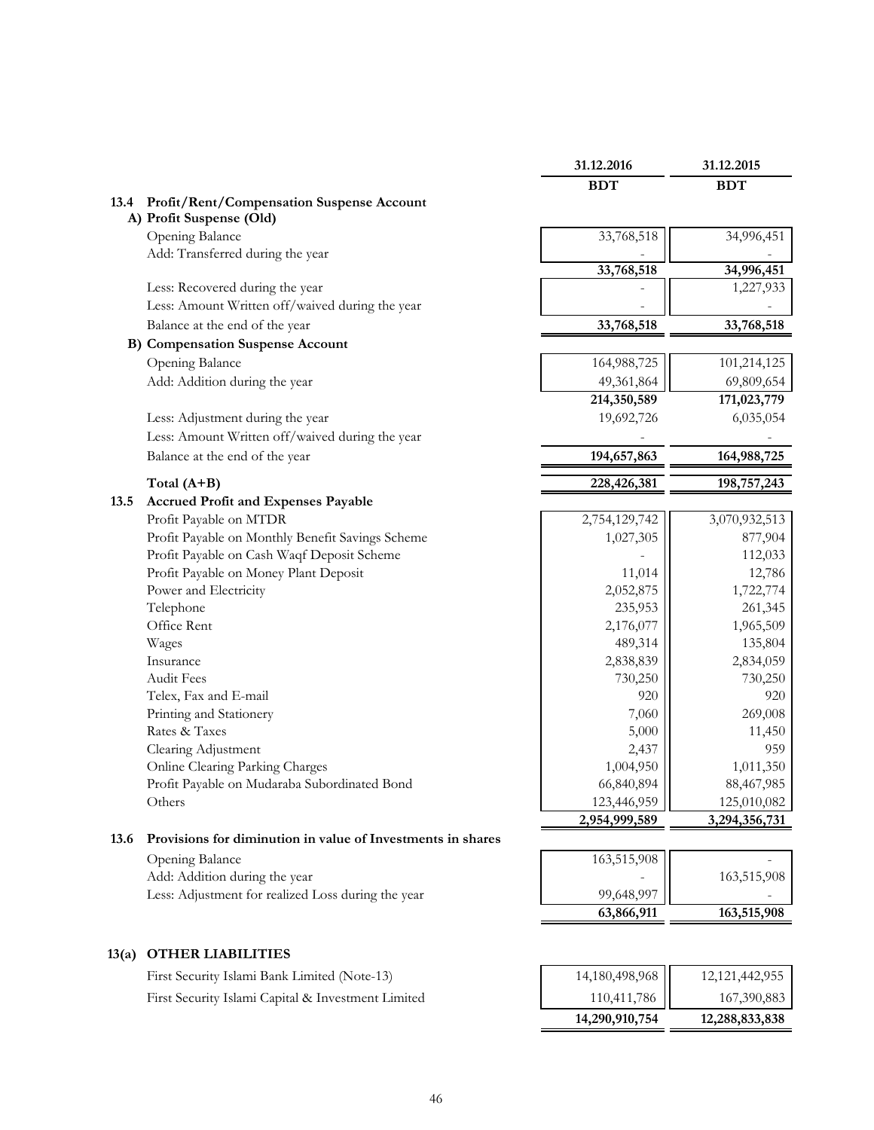|       |                                                             | 31.12.2016    | 31.12.2015    |
|-------|-------------------------------------------------------------|---------------|---------------|
|       |                                                             | <b>BDT</b>    | <b>BDT</b>    |
| 13.4  | Profit/Rent/Compensation Suspense Account                   |               |               |
|       | A) Profit Suspense (Old)                                    |               |               |
|       | Opening Balance                                             | 33,768,518    | 34,996,451    |
|       | Add: Transferred during the year                            |               |               |
|       |                                                             | 33,768,518    | 34,996,451    |
|       | Less: Recovered during the year                             |               | 1,227,933     |
|       | Less: Amount Written off/waived during the year             |               |               |
|       | Balance at the end of the year                              | 33,768,518    | 33,768,518    |
|       | <b>B)</b> Compensation Suspense Account                     |               |               |
|       | Opening Balance                                             | 164,988,725   | 101,214,125   |
|       | Add: Addition during the year                               | 49,361,864    | 69,809,654    |
|       |                                                             | 214,350,589   | 171,023,779   |
|       | Less: Adjustment during the year                            | 19,692,726    | 6,035,054     |
|       | Less: Amount Written off/waived during the year             |               |               |
|       | Balance at the end of the year                              | 194,657,863   | 164,988,725   |
|       | Total $(A+B)$                                               | 228,426,381   | 198,757,243   |
| 13.5  | <b>Accrued Profit and Expenses Payable</b>                  |               |               |
|       | Profit Payable on MTDR                                      | 2,754,129,742 | 3,070,932,513 |
|       | Profit Payable on Monthly Benefit Savings Scheme            | 1,027,305     | 877,904       |
|       | Profit Payable on Cash Waqf Deposit Scheme                  |               | 112,033       |
|       | Profit Payable on Money Plant Deposit                       | 11,014        | 12,786        |
|       | Power and Electricity                                       | 2,052,875     | 1,722,774     |
|       | Telephone                                                   | 235,953       | 261,345       |
|       | Office Rent                                                 | 2,176,077     | 1,965,509     |
|       | Wages                                                       | 489,314       | 135,804       |
|       | Insurance                                                   | 2,838,839     | 2,834,059     |
|       | Audit Fees                                                  | 730,250       | 730,250       |
|       | Telex, Fax and E-mail                                       | 920           | 920           |
|       | Printing and Stationery                                     | 7,060         | 269,008       |
|       | Rates & Taxes                                               | 5,000         | 11,450        |
|       | Clearing Adjustment                                         | 2,437         | 959           |
|       | Online Clearing Parking Charges                             | 1,004,950     | 1,011,350     |
|       | Profit Payable on Mudaraba Subordinated Bond                | 66,840,894    | 88,467,985    |
|       | Others                                                      | 123,446,959   | 125,010,082   |
|       |                                                             | 2,954,999,589 | 3,294,356,731 |
| 13.6  | Provisions for diminution in value of Investments in shares |               |               |
|       | Opening Balance                                             | 163,515,908   |               |
|       | Add: Addition during the year                               |               | 163,515,908   |
|       | Less: Adjustment for realized Loss during the year          | 99,648,997    |               |
|       |                                                             | 63,866,911    | 163,515,908   |
|       |                                                             |               |               |
| 13(a) | <b>OTHER LIABILITIES</b>                                    |               |               |

First Security Islami Bank Limited (Note-13) First Security Islami Capital & Investment Limited

|                                                                          | 12, 121, 442, 955 |
|--------------------------------------------------------------------------|-------------------|
| $\begin{array}{c c} 14{,}180{,}498{,}968 \\ 110{,}411{,}786 \end{array}$ | 167,390,883       |
| 14,290,910,754                                                           | 12,288,833,838    |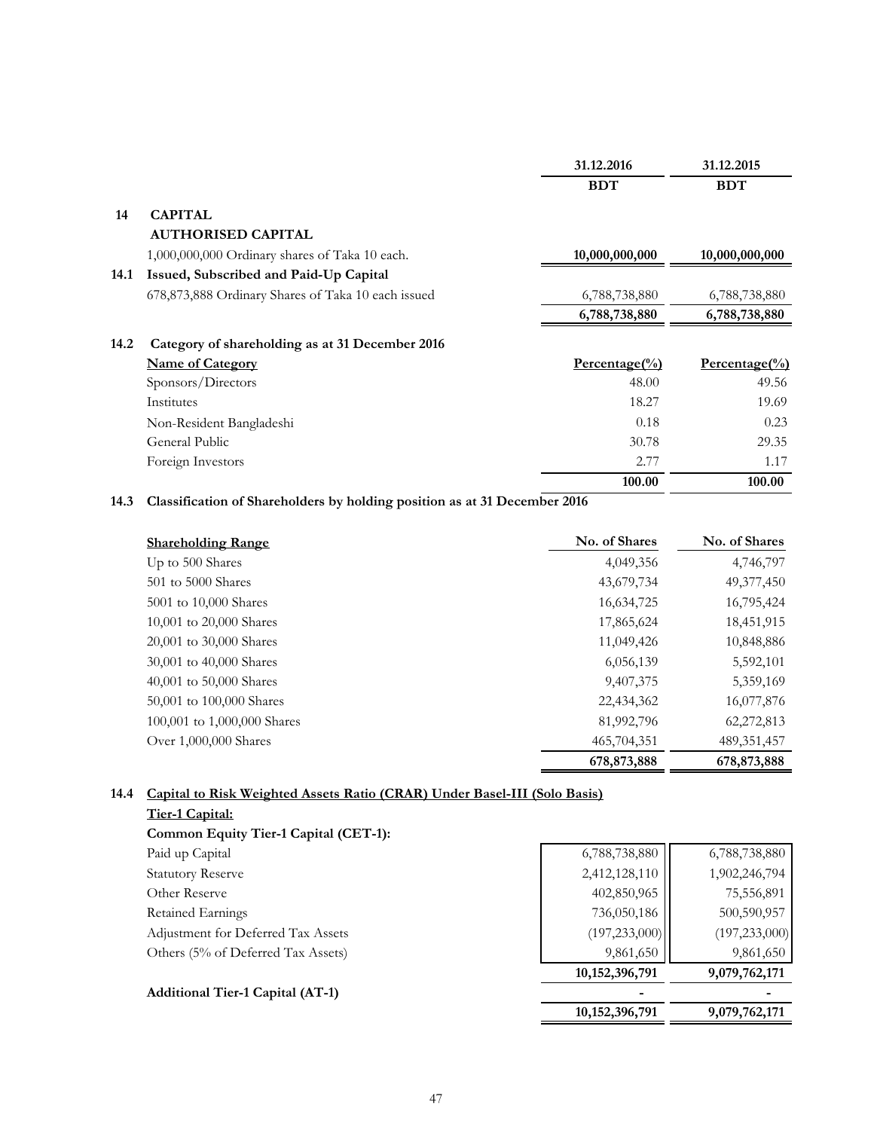|      |                                                    | 31.12.2016     | 31.12.2015                  |
|------|----------------------------------------------------|----------------|-----------------------------|
|      |                                                    | <b>BDT</b>     | <b>BDT</b>                  |
| 14   | <b>CAPITAL</b>                                     |                |                             |
|      | <b>AUTHORISED CAPITAL</b>                          |                |                             |
|      | 1,000,000,000 Ordinary shares of Taka 10 each.     | 10,000,000,000 | 10,000,000,000              |
| 14.1 | Issued, Subscribed and Paid-Up Capital             |                |                             |
|      | 678,873,888 Ordinary Shares of Taka 10 each issued | 6,788,738,880  | 6,788,738,880               |
|      |                                                    | 6,788,738,880  | 6,788,738,880               |
| 14.2 | Category of shareholding as at 31 December 2016    |                |                             |
|      | <b>Name of Category</b>                            | $Percentage()$ | $Percentage$ <sup>(%)</sup> |
|      | Sponsors/Directors                                 | 48.00          | 49.56                       |
|      | Institutes                                         | 18.27          | 19.69                       |
|      | Non-Resident Bangladeshi                           | 0.18           | 0.23                        |
|      | General Public                                     | 30.78          | 29.35                       |
|      | Foreign Investors                                  | 2.77           | 1.17                        |
|      |                                                    | 100.00         | 100.00                      |

### **14.3 Classification of Shareholders by holding position as at 31 December 2016**

| <b>Shareholding Range</b>   | No. of Shares | No. of Shares |
|-----------------------------|---------------|---------------|
| Up to 500 Shares            | 4,049,356     | 4,746,797     |
| 501 to 5000 Shares          | 43,679,734    | 49,377,450    |
| 5001 to 10,000 Shares       | 16,634,725    | 16,795,424    |
| 10,001 to 20,000 Shares     | 17,865,624    | 18,451,915    |
| 20,001 to 30,000 Shares     | 11,049,426    | 10,848,886    |
| 30,001 to 40,000 Shares     | 6,056,139     | 5,592,101     |
| 40,001 to 50,000 Shares     | 9,407,375     | 5,359,169     |
| 50,001 to 100,000 Shares    | 22,434,362    | 16,077,876    |
| 100,001 to 1,000,000 Shares | 81,992,796    | 62,272,813    |
| Over 1,000,000 Shares       | 465,704,351   | 489, 351, 457 |
|                             | 678,873,888   | 678,873,888   |

### **14.4 Capital to Risk Weighted Assets Ratio (CRAR) Under Basel-III (Solo Basis)**

|                                         | 10, 152, 396, 791 | 9,079,762,171   |
|-----------------------------------------|-------------------|-----------------|
| <b>Additional Tier-1 Capital (AT-1)</b> |                   |                 |
|                                         | 10, 152, 396, 791 | 9,079,762,171   |
| Others (5% of Deferred Tax Assets)      | 9,861,650         | 9,861,650       |
| Adjustment for Deferred Tax Assets      | (197, 233, 000)   | (197, 233, 000) |
| Retained Earnings                       | 736,050,186       | 500,590,957     |
| Other Reserve                           | 402,850,965       | 75,556,891      |
| <b>Statutory Reserve</b>                | 2,412,128,110     | 1,902,246,794   |
| Paid up Capital                         | 6,788,738,880     | 6,788,738,880   |
| Common Equity Tier-1 Capital (CET-1):   |                   |                 |
| Tier-1 Capital:                         |                   |                 |
|                                         |                   |                 |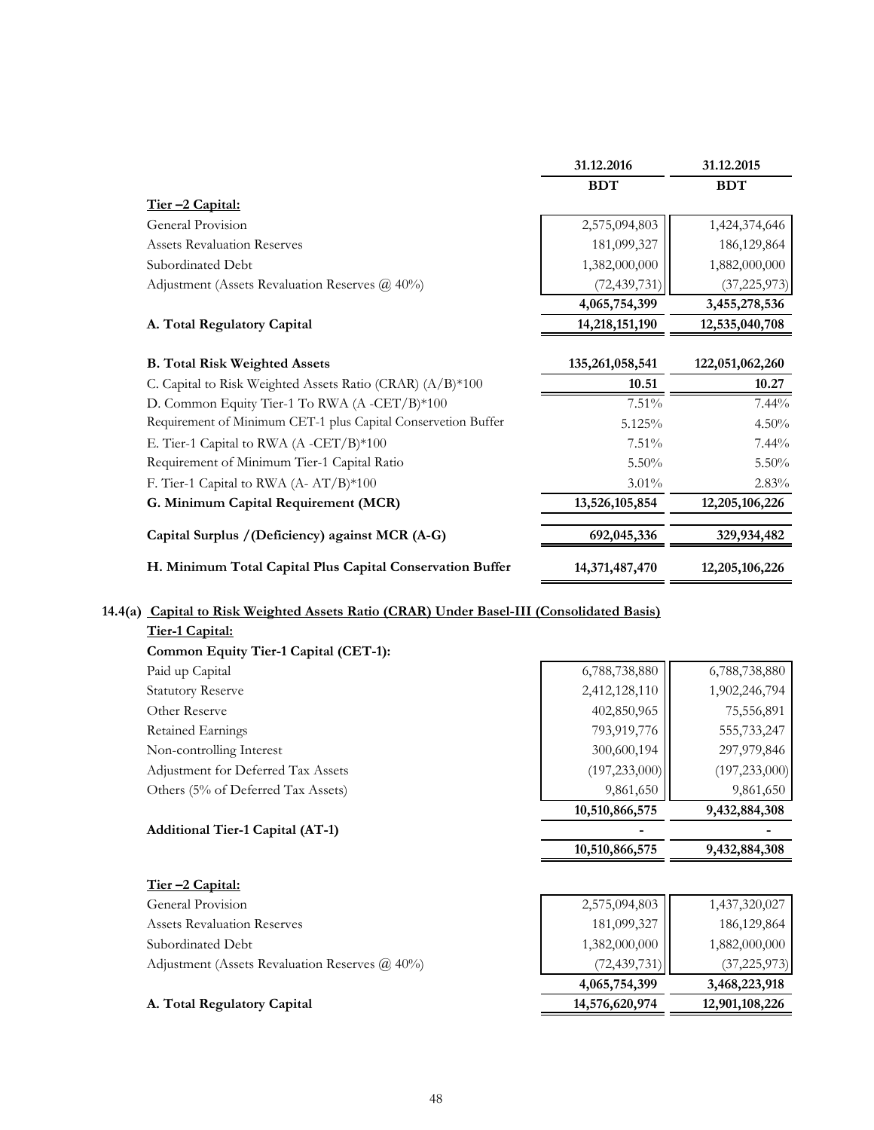|                                                               | 31.12.2016      | 31.12.2015      |
|---------------------------------------------------------------|-----------------|-----------------|
|                                                               | <b>BDT</b>      | <b>BDT</b>      |
| Tier-2 Capital:                                               |                 |                 |
| General Provision                                             | 2,575,094,803   | 1,424,374,646   |
| <b>Assets Revaluation Reserves</b>                            | 181,099,327     | 186, 129, 864   |
| Subordinated Debt                                             | 1,382,000,000   | 1,882,000,000   |
| Adjustment (Assets Revaluation Reserves $\omega$ 40%)         | (72, 439, 731)  | (37, 225, 973)  |
|                                                               | 4,065,754,399   | 3,455,278,536   |
| A. Total Regulatory Capital                                   | 14,218,151,190  | 12,535,040,708  |
| <b>B. Total Risk Weighted Assets</b>                          | 135,261,058,541 | 122,051,062,260 |
| C. Capital to Risk Weighted Assets Ratio (CRAR) (A/B)*100     | 10.51           | 10.27           |
| D. Common Equity Tier-1 To RWA (A-CET/B)*100                  | 7.51%           | $7.44\%$        |
| Requirement of Minimum CET-1 plus Capital Conservetion Buffer | 5.125%          | 4.50%           |
| E. Tier-1 Capital to RWA (A -CET/B)*100                       | 7.51%           | $7.44\%$        |
| Requirement of Minimum Tier-1 Capital Ratio                   | $5.50\%$        | $5.50\%$        |
| F. Tier-1 Capital to RWA (A- AT/B)*100                        | $3.01\%$        | $2.83\%$        |
| G. Minimum Capital Requirement (MCR)                          | 13,526,105,854  | 12,205,106,226  |
| Capital Surplus / (Deficiency) against MCR (A-G)              | 692,045,336     | 329,934,482     |
| H. Minimum Total Capital Plus Capital Conservation Buffer     | 14,371,487,470  | 12,205,106,226  |

### **14.4(a) Capital to Risk Weighted Assets Ratio (CRAR) Under Basel-III (Consolidated Basis)**

| <b>Additional Tier-1 Capital (AT-1)</b> |                 |                 |
|-----------------------------------------|-----------------|-----------------|
|                                         | 10,510,866,575  | 9,432,884,308   |
| Others (5% of Deferred Tax Assets)      | 9,861,650       | 9,861,650       |
| Adjustment for Deferred Tax Assets      | (197, 233, 000) | (197, 233, 000) |
| Non-controlling Interest                | 300,600,194     | 297,979,846     |
| Retained Earnings                       | 793,919,776     | 555,733,247     |
| Other Reserve                           | 402,850,965     | 75,556,891      |
| <b>Statutory Reserve</b>                | 2,412,128,110   | 1,902,246,794   |
| Paid up Capital                         | 6,788,738,880   | 6,788,738,880   |
| Common Equity Tier-1 Capital (CET-1):   |                 |                 |
| Tier-1 Capital:                         |                 |                 |
|                                         |                 |                 |

|                                                       | 10,510,866,575 | 9,432,884,308  |
|-------------------------------------------------------|----------------|----------------|
| <u>Tier –2 Capital:</u>                               |                |                |
| General Provision                                     | 2,575,094,803  | 1,437,320,027  |
| <b>Assets Revaluation Reserves</b>                    | 181,099,327    | 186, 129, 864  |
| Subordinated Debt                                     | 1,382,000,000  | 1,882,000,000  |
| Adjustment (Assets Revaluation Reserves $\omega$ 40%) | (72, 439, 731) | (37, 225, 973) |
|                                                       | 4,065,754,399  | 3,468,223,918  |
| A. Total Regulatory Capital                           | 14,576,620,974 | 12,901,108,226 |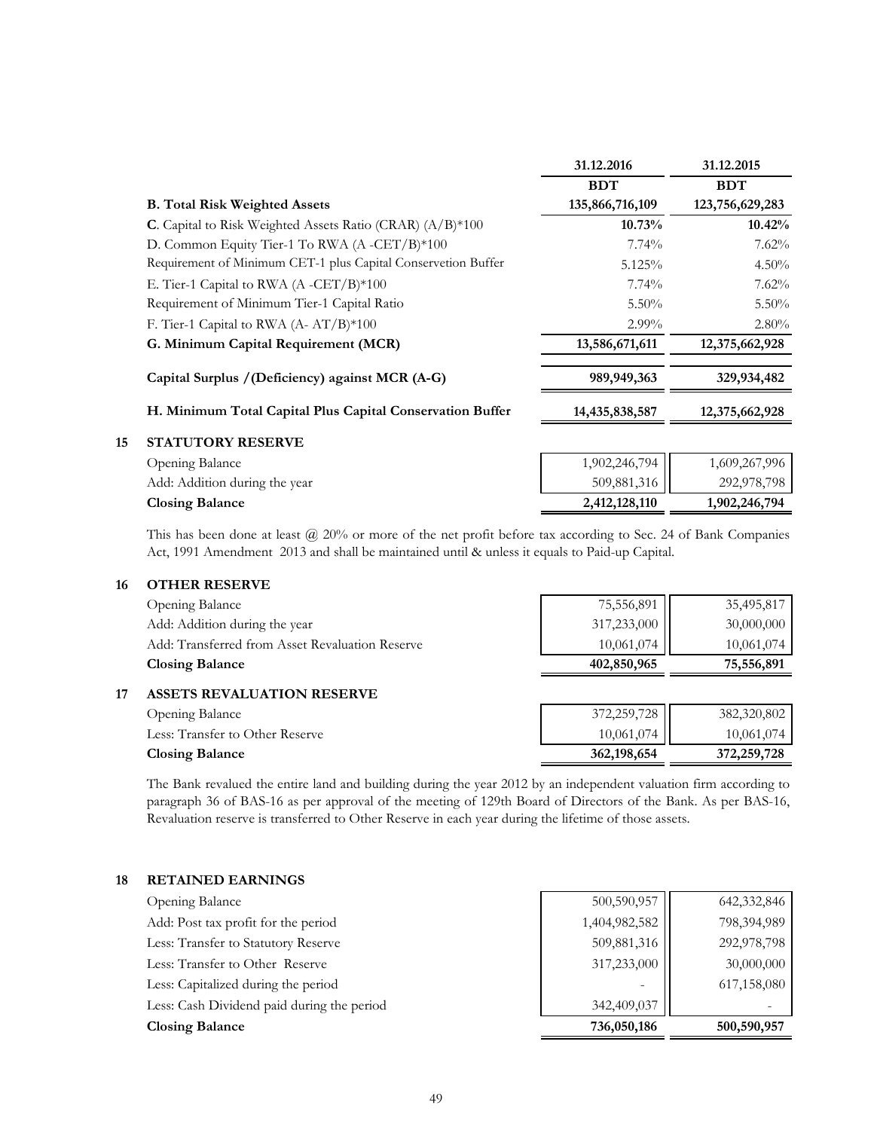|    |                                                               | 31.12.2016      | 31.12.2015      |
|----|---------------------------------------------------------------|-----------------|-----------------|
|    |                                                               | <b>BDT</b>      | <b>BDT</b>      |
|    | <b>B.</b> Total Risk Weighted Assets                          | 135,866,716,109 | 123,756,629,283 |
|    | C. Capital to Risk Weighted Assets Ratio (CRAR) (A/B)*100     | 10.73%          | 10.42%          |
|    | D. Common Equity Tier-1 To RWA (A-CET/B)*100                  | $7.74\%$        | 7.62%           |
|    | Requirement of Minimum CET-1 plus Capital Conservetion Buffer | 5.125%          | 4.50%           |
|    | E. Tier-1 Capital to RWA (A -CET/B) $*100$                    | $7.74\%$        | 7.62%           |
|    | Requirement of Minimum Tier-1 Capital Ratio                   | $5.50\%$        | $5.50\%$        |
|    | F. Tier-1 Capital to RWA (A-AT/B)*100                         | $2.99\%$        | $2.80\%$        |
|    | G. Minimum Capital Requirement (MCR)                          | 13,586,671,611  | 12,375,662,928  |
|    | Capital Surplus / (Deficiency) against MCR (A-G)              | 989,949,363     | 329,934,482     |
|    | H. Minimum Total Capital Plus Capital Conservation Buffer     | 14,435,838,587  | 12,375,662,928  |
| 15 | <b>STATUTORY RESERVE</b>                                      |                 |                 |
|    | Opening Balance                                               | 1,902,246,794   | 1,609,267,996   |
|    | Add: Addition during the year                                 | 509,881,316     | 292,978,798     |
|    | <b>Closing Balance</b>                                        | 2,412,128,110   | 1,902,246,794   |

This has been done at least @ 20% or more of the net profit before tax according to Sec. 24 of Bank Companies Act, 1991 Amendment 2013 and shall be maintained until & unless it equals to Paid-up Capital.

#### **16 OTHER RESERVE**

|    | Opening Balance                                 | 75,556,891  | 35,495,817  |
|----|-------------------------------------------------|-------------|-------------|
|    | Add: Addition during the year                   | 317,233,000 | 30,000,000  |
|    | Add: Transferred from Asset Revaluation Reserve | 10,061,074  | 10,061,074  |
|    | <b>Closing Balance</b>                          | 402,850,965 | 75,556,891  |
| 17 | <b>ASSETS REVALUATION RESERVE</b>               |             |             |
|    | Opening Balance                                 | 372,259,728 | 382,320,802 |
|    | Less: Transfer to Other Reserve                 | 10,061,074  | 10,061,074  |

**Closing Balance 362,198,654 372,259,728** The Bank revalued the entire land and building during the year 2012 by an independent valuation firm according to paragraph 36 of BAS-16 as per approval of the meeting of 129th Board of Directors of the Bank. As per BAS-16,

Revaluation reserve is transferred to Other Reserve in each year during the lifetime of those assets.

# **18 RETAINED EARNINGS** Opening Balance 500,590,957 642,332,846 Add: Post tax profit for the period 1,404,982,582 798,394,989 Less: Transfer to Statutory Reserve 509,881,316 309,881,316 292,978,798 Less: Transfer to Other Reserve 317,233,000 30,000,000 30,000,000 Less: Capitalized during the period 617,158,080 Less: Cash Dividend paid during the period 342,409,037 **Closing Balance 736,050,186 500,590,957**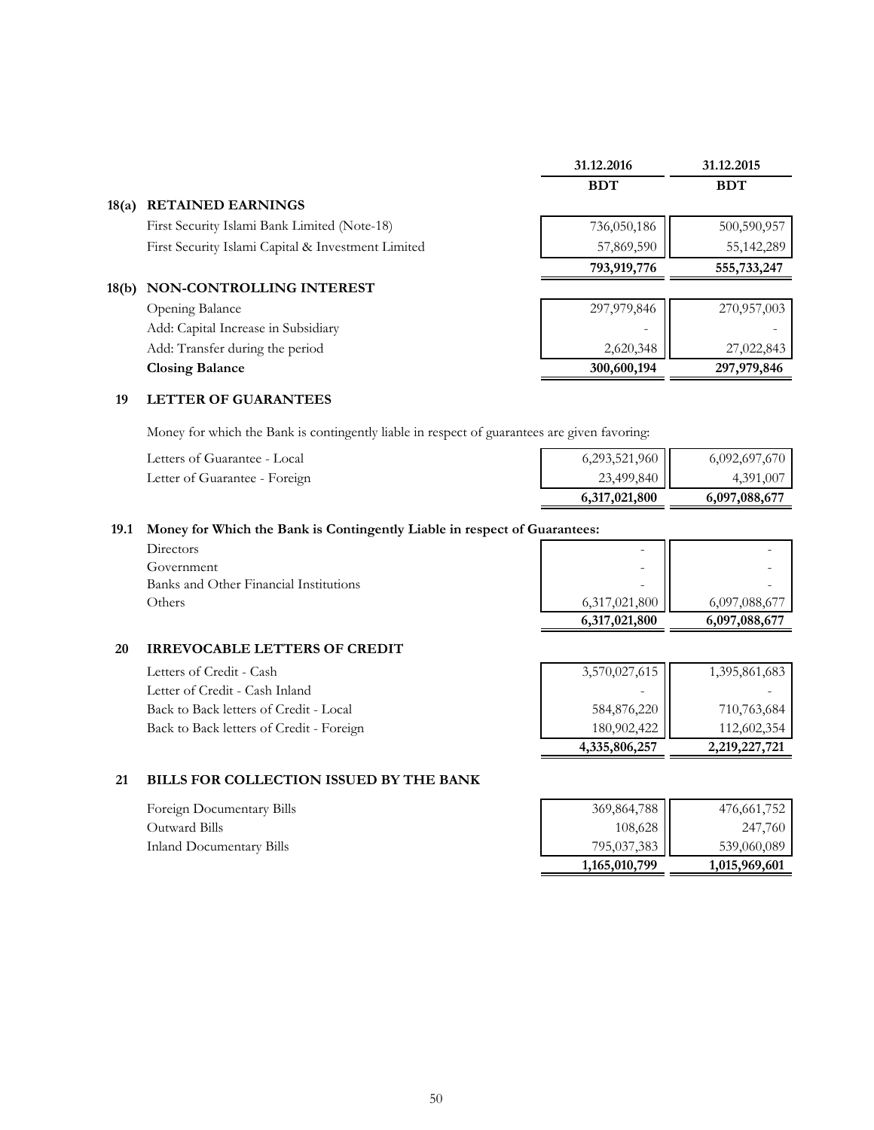|       |                                                    | 31.12.2016  | 31.12.2015  |
|-------|----------------------------------------------------|-------------|-------------|
|       |                                                    | <b>BDT</b>  | <b>BDT</b>  |
| 18(a) | <b>RETAINED EARNINGS</b>                           |             |             |
|       | First Security Islami Bank Limited (Note-18)       | 736,050,186 | 500,590,957 |
|       | First Security Islami Capital & Investment Limited | 57,869,590  | 55,142,289  |
|       |                                                    | 793,919,776 | 555,733,247 |
| 18(b) | NON-CONTROLLING INTEREST                           |             |             |
|       | Opening Balance                                    | 297,979,846 | 270,957,003 |
|       | Add: Capital Increase in Subsidiary                |             |             |
|       | Add: Transfer during the period                    | 2,620,348   | 27,022,843  |
|       | <b>Closing Balance</b>                             | 300,600,194 | 297,979,846 |
|       |                                                    |             |             |

#### **19 LETTER OF GUARANTEES**

Money for which the Bank is contingently liable in respect of guarantees are given favoring:

| Letters of Guarantee - Local  | 6,293,521,960 | 6,092,697,670 |
|-------------------------------|---------------|---------------|
| Letter of Guarantee - Foreign | 23,499,840    | 4,391,007     |
|                               | 6,317,021,800 | 6,097,088,677 |

#### **19.1 Money for Which the Bank is Contingently Liable in respect of Guarantees:**

| Directors                              |
|----------------------------------------|
| Government                             |
| Banks and Other Financial Institutions |
| Others                                 |

| Others                                 | 6,317,021,800<br>6,317,021,800 | 6,097,088,677<br>6,097,088,677 |
|----------------------------------------|--------------------------------|--------------------------------|
| Banks and Other Financial Institutions |                                |                                |
| Government                             | -                              |                                |
| Directors                              |                                |                                |
|                                        |                                |                                |

#### **20 IRREVOCABLE LETTERS OF CREDIT**

| Letters of Credit - Cash                 | 3,570,027,615 | 1,395,861,683 |
|------------------------------------------|---------------|---------------|
| Letter of Credit - Cash Inland           |               |               |
| Back to Back letters of Credit - Local   | 584,876,220   | 710,763,684   |
| Back to Back letters of Credit - Foreign | 180,902,422   | 112,602,354   |
|                                          | 4,335,806,257 | 2,219,227,721 |

#### **21 BILLS FOR COLLECTION ISSUED BY THE BANK**

Foreign Documentary Bills Outward Bills Inland Documentary Bills

| $\left.\begin{array}{c} 369,864,788 \\ 108,628 \\ 795,037,383 \end{array}\right $ | 476,661,752   |
|-----------------------------------------------------------------------------------|---------------|
|                                                                                   | 247,760       |
|                                                                                   | 539,060,089   |
| 1,165,010,799                                                                     | 1,015,969,601 |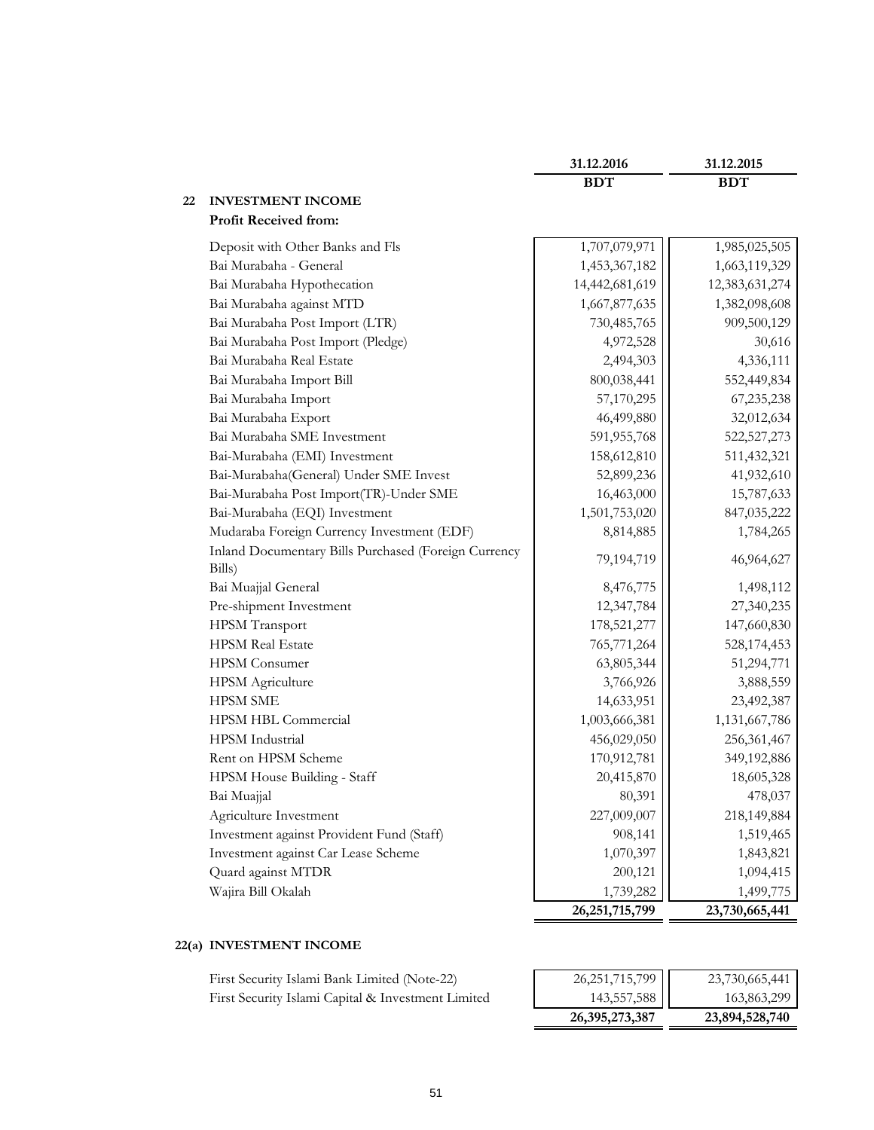|                                                                | 31.12.2016        | 31.12.2015     |
|----------------------------------------------------------------|-------------------|----------------|
|                                                                | <b>BDT</b>        | <b>BDT</b>     |
| <b>INVESTMENT INCOME</b><br>22<br><b>Profit Received from:</b> |                   |                |
|                                                                |                   |                |
| Deposit with Other Banks and Fls                               | 1,707,079,971     | 1,985,025,505  |
| Bai Murabaha - General                                         | 1,453,367,182     | 1,663,119,329  |
| Bai Murabaha Hypothecation                                     | 14,442,681,619    | 12,383,631,274 |
| Bai Murabaha against MTD                                       | 1,667,877,635     | 1,382,098,608  |
| Bai Murabaha Post Import (LTR)                                 | 730,485,765       | 909,500,129    |
| Bai Murabaha Post Import (Pledge)                              | 4,972,528         | 30,616         |
| Bai Murabaha Real Estate                                       | 2,494,303         | 4,336,111      |
| Bai Murabaha Import Bill                                       | 800,038,441       | 552,449,834    |
| Bai Murabaha Import                                            | 57,170,295        | 67,235,238     |
| Bai Murabaha Export                                            | 46,499,880        | 32,012,634     |
| Bai Murabaha SME Investment                                    | 591,955,768       | 522,527,273    |
| Bai-Murabaha (EMI) Investment                                  | 158,612,810       | 511,432,321    |
| Bai-Murabaha(General) Under SME Invest                         | 52,899,236        | 41,932,610     |
| Bai-Murabaha Post Import(TR)-Under SME                         | 16,463,000        | 15,787,633     |
| Bai-Murabaha (EQI) Investment                                  | 1,501,753,020     | 847,035,222    |
| Mudaraba Foreign Currency Investment (EDF)                     | 8,814,885         | 1,784,265      |
| Inland Documentary Bills Purchased (Foreign Currency<br>Bills) | 79,194,719        | 46,964,627     |
| Bai Muajjal General                                            | 8,476,775         | 1,498,112      |
| Pre-shipment Investment                                        | 12,347,784        | 27,340,235     |
| <b>HPSM</b> Transport                                          | 178,521,277       | 147,660,830    |
| <b>HPSM Real Estate</b>                                        | 765,771,264       | 528,174,453    |
| <b>HPSM</b> Consumer                                           | 63,805,344        | 51,294,771     |
| <b>HPSM</b> Agriculture                                        | 3,766,926         | 3,888,559      |
| <b>HPSM SME</b>                                                | 14,633,951        | 23,492,387     |
| HPSM HBL Commercial                                            | 1,003,666,381     | 1,131,667,786  |
| HPSM Industrial                                                | 456,029,050       | 256,361,467    |
| Rent on HPSM Scheme                                            | 170,912,781       | 349,192,886    |
| HPSM House Building - Staff                                    | 20,415,870        | 18,605,328     |
| Bai Muajjal                                                    | 80,391            | 478,037        |
| Agriculture Investment                                         | 227,009,007       | 218,149,884    |
| Investment against Provident Fund (Staff)                      | 908,141           | 1,519,465      |
| Investment against Car Lease Scheme                            | 1,070,397         | 1,843,821      |
| Quard against MTDR                                             | 200,121           | 1,094,415      |
| Wajira Bill Okalah                                             | 1,739,282         | 1,499,775      |
|                                                                | 26, 251, 715, 799 | 23,730,665,441 |

#### **22(a) INVESTMENT INCOME**

| First Security Islami Bank Limited (Note-22)       | 26, 251, 715, 799 | 23,730,665,441 |
|----------------------------------------------------|-------------------|----------------|
| First Security Islami Capital & Investment Limited | 143,557,588       | 163,863,299    |

| 26,395,273,387    | 23,894,528,740 |
|-------------------|----------------|
| 143,557,588       | 163,863,299    |
| 26, 251, 715, 799 | 23,730,665,441 |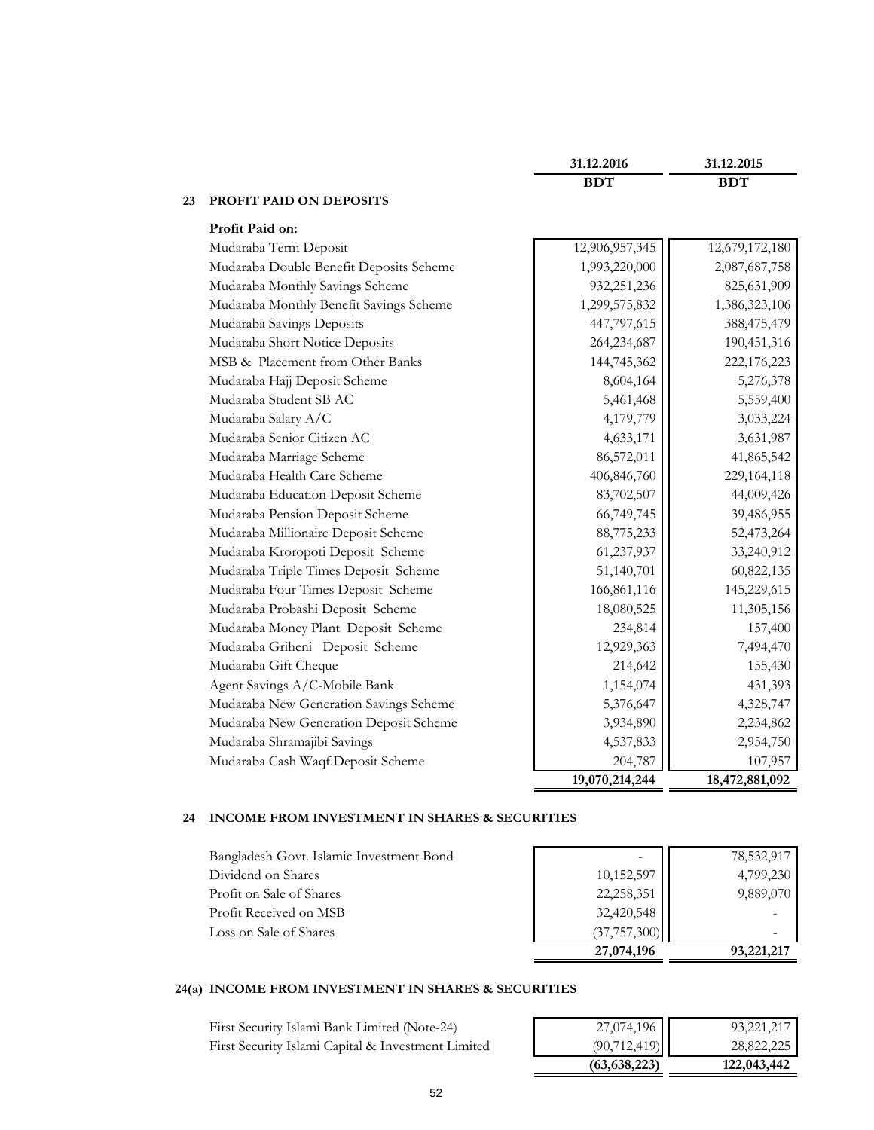|    |                                         | 31.12.2016     | 31.12.2015     |
|----|-----------------------------------------|----------------|----------------|
|    |                                         | <b>BDT</b>     | <b>BDT</b>     |
| 23 | <b>PROFIT PAID ON DEPOSITS</b>          |                |                |
|    | Profit Paid on:                         |                |                |
|    | Mudaraba Term Deposit                   | 12,906,957,345 | 12,679,172,180 |
|    | Mudaraba Double Benefit Deposits Scheme | 1,993,220,000  | 2,087,687,758  |
|    | Mudaraba Monthly Savings Scheme         | 932,251,236    | 825,631,909    |
|    | Mudaraba Monthly Benefit Savings Scheme | 1,299,575,832  | 1,386,323,106  |
|    | Mudaraba Savings Deposits               | 447,797,615    | 388,475,479    |
|    | Mudaraba Short Notice Deposits          | 264,234,687    | 190,451,316    |
|    | MSB & Placement from Other Banks        | 144,745,362    | 222,176,223    |
|    | Mudaraba Hajj Deposit Scheme            | 8,604,164      | 5,276,378      |
|    | Mudaraba Student SB AC                  | 5,461,468      | 5,559,400      |
|    | Mudaraba Salary A/C                     | 4,179,779      | 3,033,224      |
|    | Mudaraba Senior Citizen AC              | 4,633,171      | 3,631,987      |
|    | Mudaraba Marriage Scheme                | 86,572,011     | 41,865,542     |
|    | Mudaraba Health Care Scheme             | 406,846,760    | 229, 164, 118  |
|    | Mudaraba Education Deposit Scheme       | 83,702,507     | 44,009,426     |
|    | Mudaraba Pension Deposit Scheme         | 66,749,745     | 39,486,955     |
|    | Mudaraba Millionaire Deposit Scheme     | 88,775,233     | 52,473,264     |
|    | Mudaraba Kroropoti Deposit Scheme       | 61,237,937     | 33,240,912     |
|    | Mudaraba Triple Times Deposit Scheme    | 51,140,701     | 60,822,135     |
|    | Mudaraba Four Times Deposit Scheme      | 166,861,116    | 145,229,615    |
|    | Mudaraba Probashi Deposit Scheme        | 18,080,525     | 11,305,156     |
|    | Mudaraba Money Plant Deposit Scheme     | 234,814        | 157,400        |
|    | Mudaraba Griheni Deposit Scheme         | 12,929,363     | 7,494,470      |
|    | Mudaraba Gift Cheque                    | 214,642        | 155,430        |
|    | Agent Savings A/C-Mobile Bank           | 1,154,074      | 431,393        |
|    | Mudaraba New Generation Savings Scheme  | 5,376,647      | 4,328,747      |
|    | Mudaraba New Generation Deposit Scheme  | 3,934,890      | 2,234,862      |
|    | Mudaraba Shramajibi Savings             | 4,537,833      | 2,954,750      |
|    | Mudaraba Cash Waqf.Deposit Scheme       | 204,787        | 107,957        |
|    |                                         | 19,070,214,244 | 18,472,881,092 |

#### **24 INCOME FROM INVESTMENT IN SHARES & SECURITIES**

|                                          | 27,074,196     | 93,221,217 |
|------------------------------------------|----------------|------------|
| Loss on Sale of Shares                   | (37, 757, 300) |            |
| Profit Received on MSB                   | 32,420,548     |            |
| Profit on Sale of Shares                 | 22,258,351     | 9,889,070  |
| Dividend on Shares                       | 10,152,597     | 4,799,230  |
| Bangladesh Govt. Islamic Investment Bond |                | 78,532,917 |

#### **24(a) INCOME FROM INVESTMENT IN SHARES & SECURITIES**

First Security Islami Bank Limited (Note-24) First Security Islami Capital & Investment Limited

| 27,074,196     | 93,221,217  |
|----------------|-------------|
| (90, 712, 419) | 28,822,225  |
| (63, 638, 223) | 122,043,442 |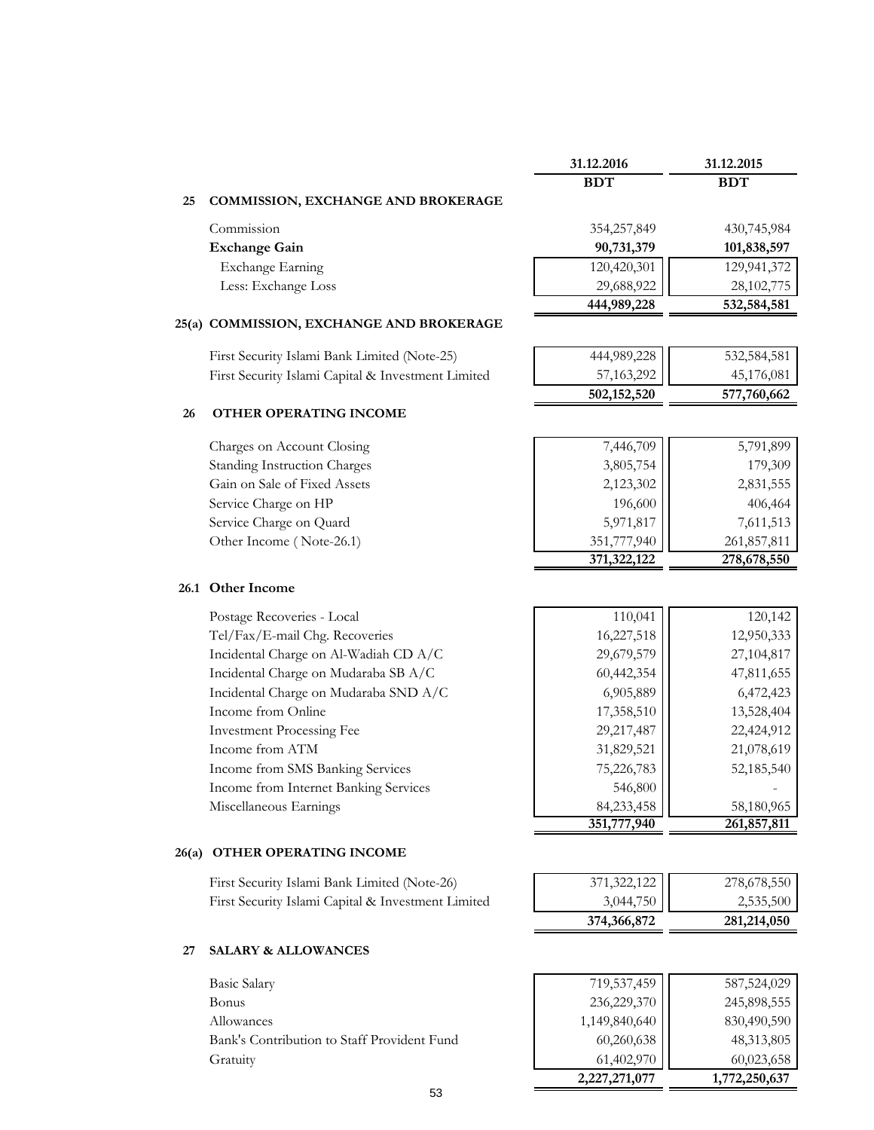|       |                                                    | 31.12.2016    | 31.12.2015  |
|-------|----------------------------------------------------|---------------|-------------|
|       |                                                    | <b>BDT</b>    | <b>BDT</b>  |
| 25    | COMMISSION, EXCHANGE AND BROKERAGE                 |               |             |
|       | Commission                                         | 354,257,849   | 430,745,984 |
|       | <b>Exchange Gain</b>                               | 90,731,379    | 101,838,597 |
|       | <b>Exchange Earning</b>                            | 120,420,301   | 129,941,372 |
|       | Less: Exchange Loss                                | 29,688,922    | 28,102,775  |
|       |                                                    | 444,989,228   | 532,584,581 |
|       | 25(a) COMMISSION, EXCHANGE AND BROKERAGE           |               |             |
|       | First Security Islami Bank Limited (Note-25)       | 444,989,228   | 532,584,581 |
|       | First Security Islami Capital & Investment Limited | 57,163,292    | 45,176,081  |
|       |                                                    | 502,152,520   | 577,760,662 |
| 26    | OTHER OPERATING INCOME                             |               |             |
|       | Charges on Account Closing                         | 7,446,709     | 5,791,899   |
|       | <b>Standing Instruction Charges</b>                | 3,805,754     | 179,309     |
|       | Gain on Sale of Fixed Assets                       | 2,123,302     | 2,831,555   |
|       | Service Charge on HP                               | 196,600       | 406,464     |
|       | Service Charge on Quard                            | 5,971,817     | 7,611,513   |
|       | Other Income (Note-26.1)                           | 351,777,940   | 261,857,811 |
|       |                                                    | 371,322,122   | 278,678,550 |
|       | 26.1 Other Income                                  |               |             |
|       | Postage Recoveries - Local                         | 110,041       | 120,142     |
|       | Tel/Fax/E-mail Chg. Recoveries                     | 16,227,518    | 12,950,333  |
|       | Incidental Charge on Al-Wadiah CD A/C              | 29,679,579    | 27,104,817  |
|       | Incidental Charge on Mudaraba SB A/C               | 60,442,354    | 47,811,655  |
|       | Incidental Charge on Mudaraba SND A/C              | 6,905,889     | 6,472,423   |
|       | Income from Online                                 | 17,358,510    | 13,528,404  |
|       | <b>Investment Processing Fee</b>                   | 29,217,487    | 22,424,912  |
|       | Income from ATM                                    | 31,829,521    | 21,078,619  |
|       | Income from SMS Banking Services                   | 75,226,783    | 52,185,540  |
|       | Income from Internet Banking Services              | 546,800       |             |
|       | Miscellaneous Earnings                             | 84,233,458    | 58,180,965  |
|       |                                                    | 351,777,940   | 261,857,811 |
| 26(a) | OTHER OPERATING INCOME                             |               |             |
|       | First Security Islami Bank Limited (Note-26)       | 371,322,122   | 278,678,550 |
|       | First Security Islami Capital & Investment Limited | 3,044,750     | 2,535,500   |
|       |                                                    | 374,366,872   | 281,214,050 |
| 27    | <b>SALARY &amp; ALLOWANCES</b>                     |               |             |
|       | <b>Basic Salary</b>                                | 719,537,459   | 587,524,029 |
|       | Bonus                                              | 236,229,370   | 245,898,555 |
|       | Allowances                                         | 1,149,840,640 | 830,490,590 |
|       | Bank's Contribution to Staff Provident Fund        | 60,260,638    | 48,313,805  |
|       | Gratuity                                           | 61,402,970    | 60,023,658  |
|       |                                                    |               |             |

#### 53

 **2,227,271,077 1,772,250,637**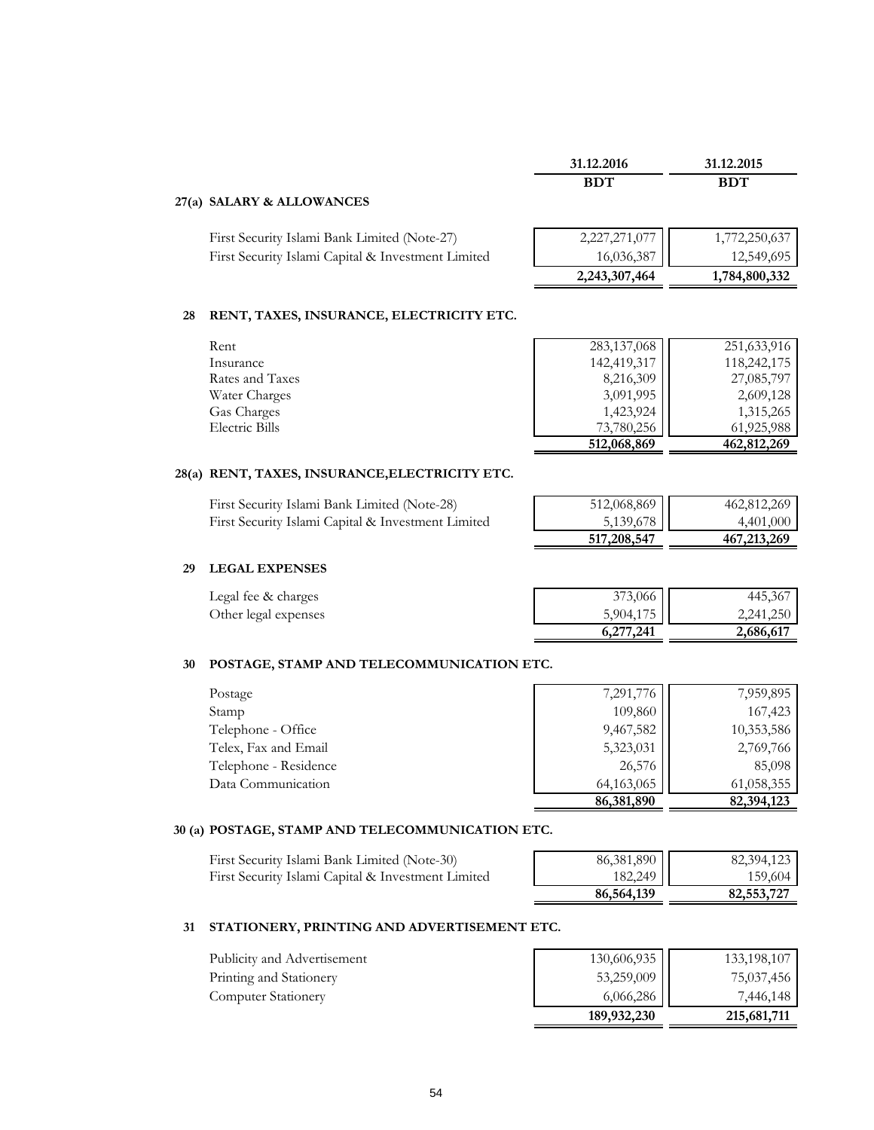|    |                                                    | 31.12.2016    | 31.12.2015    |
|----|----------------------------------------------------|---------------|---------------|
|    |                                                    | <b>BDT</b>    | <b>BDT</b>    |
|    | 27(a) SALARY & ALLOWANCES                          |               |               |
|    | First Security Islami Bank Limited (Note-27)       | 2,227,271,077 | 1,772,250,637 |
|    | First Security Islami Capital & Investment Limited | 16,036,387    | 12,549,695    |
|    |                                                    | 2,243,307,464 | 1,784,800,332 |
| 28 | RENT, TAXES, INSURANCE, ELECTRICITY ETC.           |               |               |
|    | Rent                                               | 283,137,068   | 251,633,916   |
|    | Insurance                                          | 142,419,317   | 118,242,175   |
|    | Rates and Taxes                                    | 8,216,309     | 27,085,797    |
|    | Water Charges                                      | 3,091,995     | 2,609,128     |

# **28(a) RENT, TAXES, INSURANCE,ELECTRICITY ETC.**

| First Security Islami Bank Limited (Note-28)       | 512,068,869 | 462,812,269 |
|----------------------------------------------------|-------------|-------------|
| First Security Islami Capital & Investment Limited | 5,139,678   | 4.401.000   |
|                                                    | 517,208,547 | 467,213,269 |

Gas Charges 1,423,924 1,315,265<br>Electric Bills 1,315,265 1,925,988 Electric Bills 73,780,256 61,925,988<br>512,068,869 462,812,269

#### **29 LEGAL EXPENSES**

| Legal fee & charges  | 373,066   | 445,367   |
|----------------------|-----------|-----------|
| Other legal expenses | 5,904,175 | 2,241,250 |
|                      | 6,277,241 | 2,686,617 |

#### **30 POSTAGE, STAMP AND TELECOMMUNICATION ETC.**

|                       | 86,381,890 | 82,394,123 |
|-----------------------|------------|------------|
| Data Communication    | 64,163,065 | 61,058,355 |
| Telephone - Residence | 26,576     | 85,098     |
| Telex, Fax and Email  | 5,323,031  | 2,769,766  |
| Telephone - Office    | 9,467,582  | 10,353,586 |
| Stamp                 | 109,860    | 167,423    |
| Postage               | 7,291,776  | 7,959,895  |

#### **30 (a) POSTAGE, STAMP AND TELECOMMUNICATION ETC.**

| First Security Islami Bank Limited (Note-30)       | 86,381,890 | 82,394,123 |
|----------------------------------------------------|------------|------------|
| First Security Islami Capital & Investment Limited | 182,249    | 159,604    |

| 86,381,890 | 82,394,123 |
|------------|------------|
| 182,249    | 159,604    |
| 86,564,139 | 82,553,727 |

**512,068,869** 

#### **31 STATIONERY, PRINTING AND ADVERTISEMENT ETC.**

|                             | 189,932,230 | 215,681,711 |
|-----------------------------|-------------|-------------|
| <b>Computer Stationery</b>  | 6,066,286   | 7,446,148   |
| Printing and Stationery     | 53,259,009  | 75,037,456  |
| Publicity and Advertisement | 130,606,935 | 133,198,107 |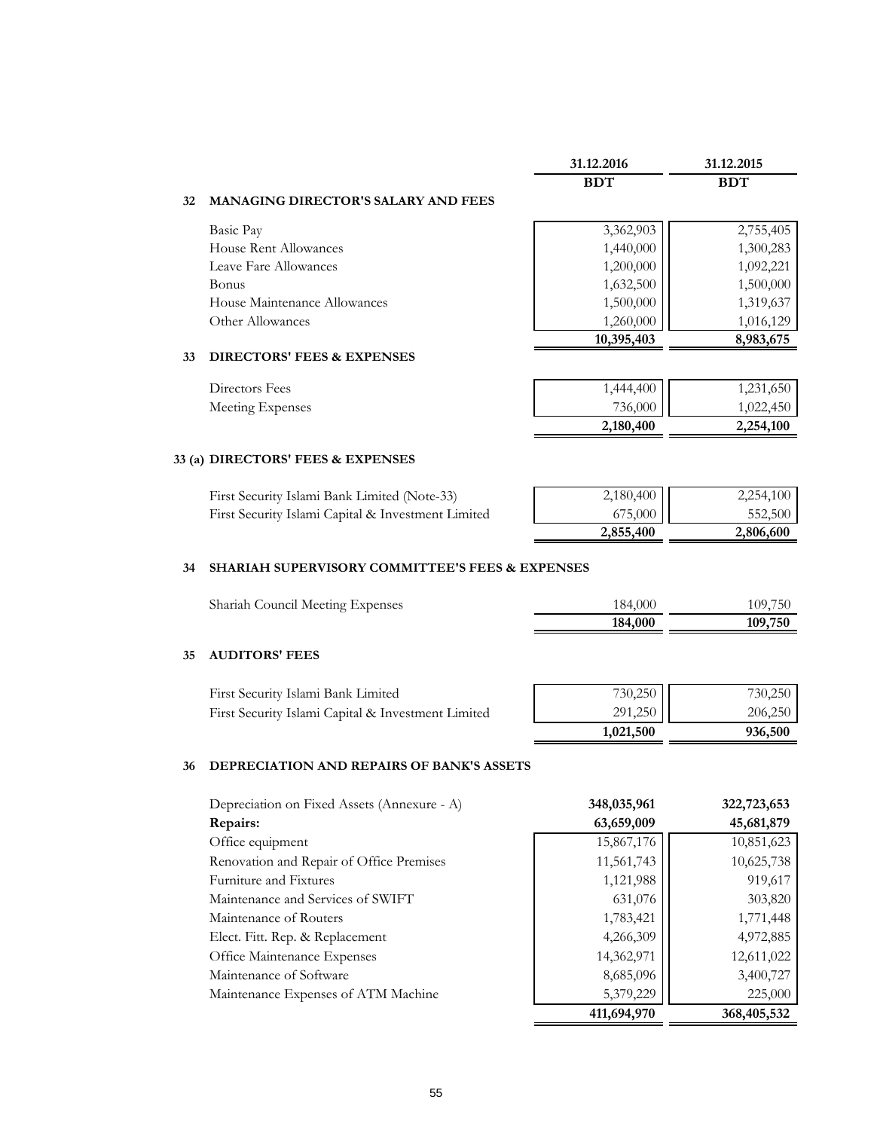|                                                   | 31.12.2016 | 31.12.2015 |
|---------------------------------------------------|------------|------------|
|                                                   | <b>BDT</b> | <b>BDT</b> |
| <b>MANAGING DIRECTOR'S SALARY AND FEES</b><br>32. |            |            |
| Basic Pay                                         | 3,362,903  | 2,755,405  |
| House Rent Allowances                             | 1,440,000  | 1,300,283  |
| Leave Fare Allowances                             | 1,200,000  | 1,092,221  |
| <b>Bonus</b>                                      | 1,632,500  | 1,500,000  |
| House Maintenance Allowances                      | 1,500,000  | 1,319,637  |
| Other Allowances                                  | 1,260,000  | 1,016,129  |
|                                                   | 10,395,403 | 8,983,675  |

#### **33 DIRECTORS' FEES & EXPENSES**

Directors Fees Meeting Expenses

| 1,444,400<br>736,000 | 1,231,650 |
|----------------------|-----------|
|                      | 1,022,450 |
| 2,180,400            | 2,254,100 |

## **33 (a) DIRECTORS' FEES & EXPENSES**

| First Security Islami Bank Limited (Note-33)       | $2,180,400$ | 2,254,100 |
|----------------------------------------------------|-------------|-----------|
| First Security Islami Capital & Investment Limited | 675,000 H   | 552.500   |
|                                                    | 2,855,400   | 2,806,600 |

#### **34 SHARIAH SUPERVISORY COMMITTEE'S FEES & EXPENSES**

| Shariah Council Meeting Expenses | 184,000 | 109,750 |
|----------------------------------|---------|---------|
|                                  | 184,000 | 109,750 |

#### **35 AUDITORS' FEES**

|                                                    | 1,021,500 | 936,500 |
|----------------------------------------------------|-----------|---------|
| First Security Islami Capital & Investment Limited | 291,250   | 206,250 |
| First Security Islami Bank Limited                 | $730,250$ | 730,250 |

#### **36 DEPRECIATION AND REPAIRS OF BANK'S ASSETS**

| Depreciation on Fixed Assets (Annexure - A) | 348,035,961 | 322,723,653 |
|---------------------------------------------|-------------|-------------|
| Repairs:                                    | 63,659,009  | 45,681,879  |
| Office equipment                            | 15,867,176  | 10,851,623  |
| Renovation and Repair of Office Premises    | 11,561,743  | 10,625,738  |
| Furniture and Fixtures                      | 1,121,988   | 919,617     |
| Maintenance and Services of SWIFT           | 631,076     | 303,820     |
| Maintenance of Routers                      | 1,783,421   | 1,771,448   |
| Elect. Fitt. Rep. & Replacement             | 4,266,309   | 4,972,885   |
| Office Maintenance Expenses                 | 14,362,971  | 12,611,022  |
| Maintenance of Software                     | 8,685,096   | 3,400,727   |
| Maintenance Expenses of ATM Machine         | 5,379,229   | 225,000     |
|                                             | 411,694,970 | 368,405,532 |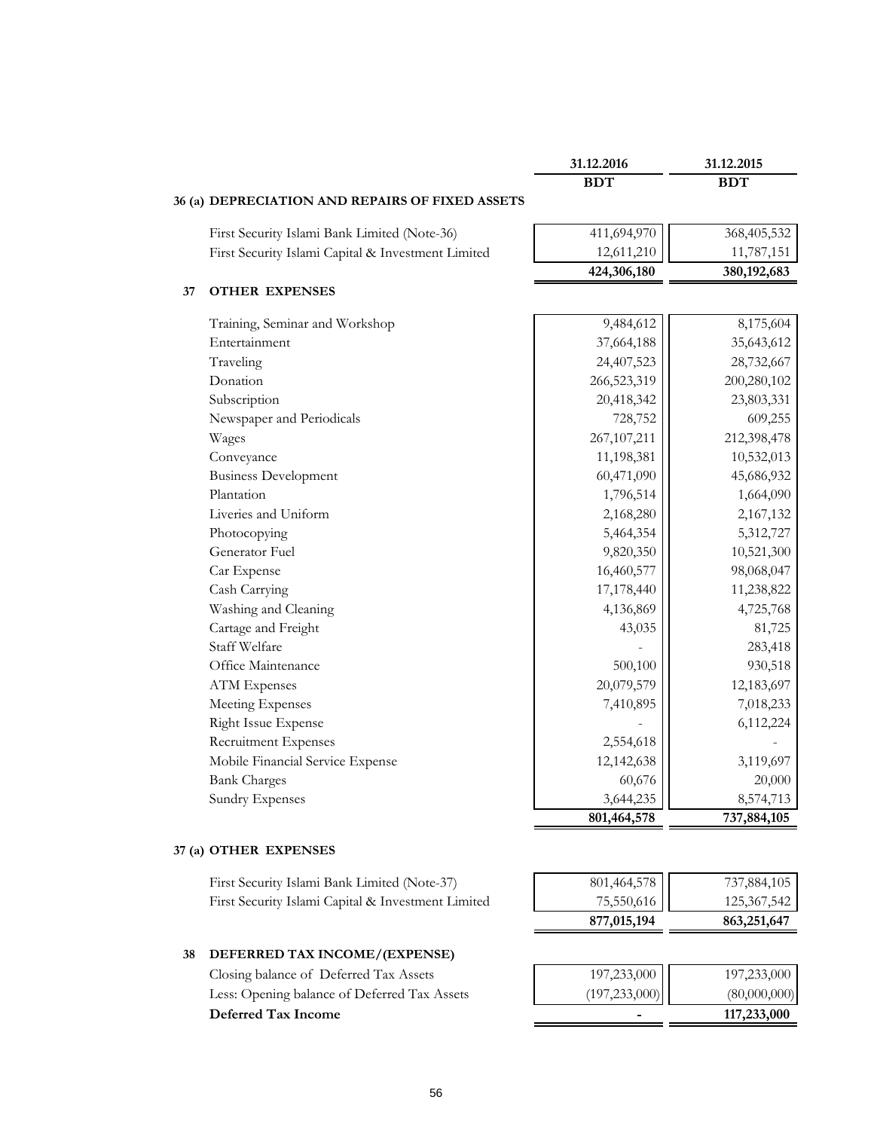|                                                    | 31.12.2016    | 31.12.2015    |
|----------------------------------------------------|---------------|---------------|
|                                                    | <b>BDT</b>    | <b>BDT</b>    |
| 36 (a) DEPRECIATION AND REPAIRS OF FIXED ASSETS    |               |               |
| First Security Islami Bank Limited (Note-36)       | 411,694,970   | 368,405,532   |
| First Security Islami Capital & Investment Limited | 12,611,210    | 11,787,151    |
|                                                    | 424,306,180   | 380, 192, 683 |
| <b>OTHER EXPENSES</b>                              |               |               |
| Training, Seminar and Workshop                     | 9,484,612     | 8,175,604     |
| Entertainment                                      | 37,664,188    | 35,643,612    |
| Traveling                                          | 24,407,523    | 28,732,667    |
| Donation                                           | 266,523,319   | 200,280,102   |
| Subscription                                       | 20,418,342    | 23,803,331    |
| Newspaper and Periodicals                          | 728,752       | 609,255       |
| Wages                                              | 267, 107, 211 | 212,398,478   |
| Conveyance                                         | 11,198,381    | 10,532,013    |
| <b>Business Development</b>                        | 60,471,090    | 45,686,932    |
| Plantation                                         | 1,796,514     | 1,664,090     |
| Liveries and Uniform                               | 2,168,280     | 2,167,132     |
| Photocopying                                       | 5,464,354     | 5,312,727     |
| Generator Fuel                                     | 9,820,350     | 10,521,300    |
| Car Expense                                        | 16,460,577    | 98,068,047    |
| Cash Carrying                                      | 17,178,440    | 11,238,822    |
| Washing and Cleaning                               | 4,136,869     | 4,725,768     |
| Cartage and Freight                                | 43,035        | 81,725        |
| Staff Welfare                                      |               | 283,418       |
| Office Maintenance                                 | 500,100       | 930,518       |
| <b>ATM</b> Expenses                                | 20,079,579    | 12,183,697    |
| Meeting Expenses                                   | 7,410,895     | 7,018,233     |
| Right Issue Expense                                |               | 6,112,224     |
| Recruitment Expenses                               | 2,554,618     |               |
| Mobile Financial Service Expense                   | 12,142,638    | 3,119,697     |
| <b>Bank Charges</b>                                | 60,676        | 20,000        |
| <b>Sundry Expenses</b>                             | 3,644,235     | 8,574,713     |
|                                                    | 801,464,578   | 737,884,105   |

First Security Islami Bank Limited (Note-37) 801,464,578 737,884,105 First Security Islami Capital & Investment Limited 75,550,616 | 125,367,542

# **877,015,194 863,251,647**

#### **38 DEFERRED TAX INCOME/(EXPENSE)**

Closing balance of Deferred Tax Assets Less: Opening balance of Deferred Tax Assets **Deferred Tax Income**  $=$ 

| $\begin{bmatrix} 197,233,000 \\ (197,233,000) \end{bmatrix}$ | 197,233,000                 |
|--------------------------------------------------------------|-----------------------------|
|                                                              | (80,000,000)<br>117,233,000 |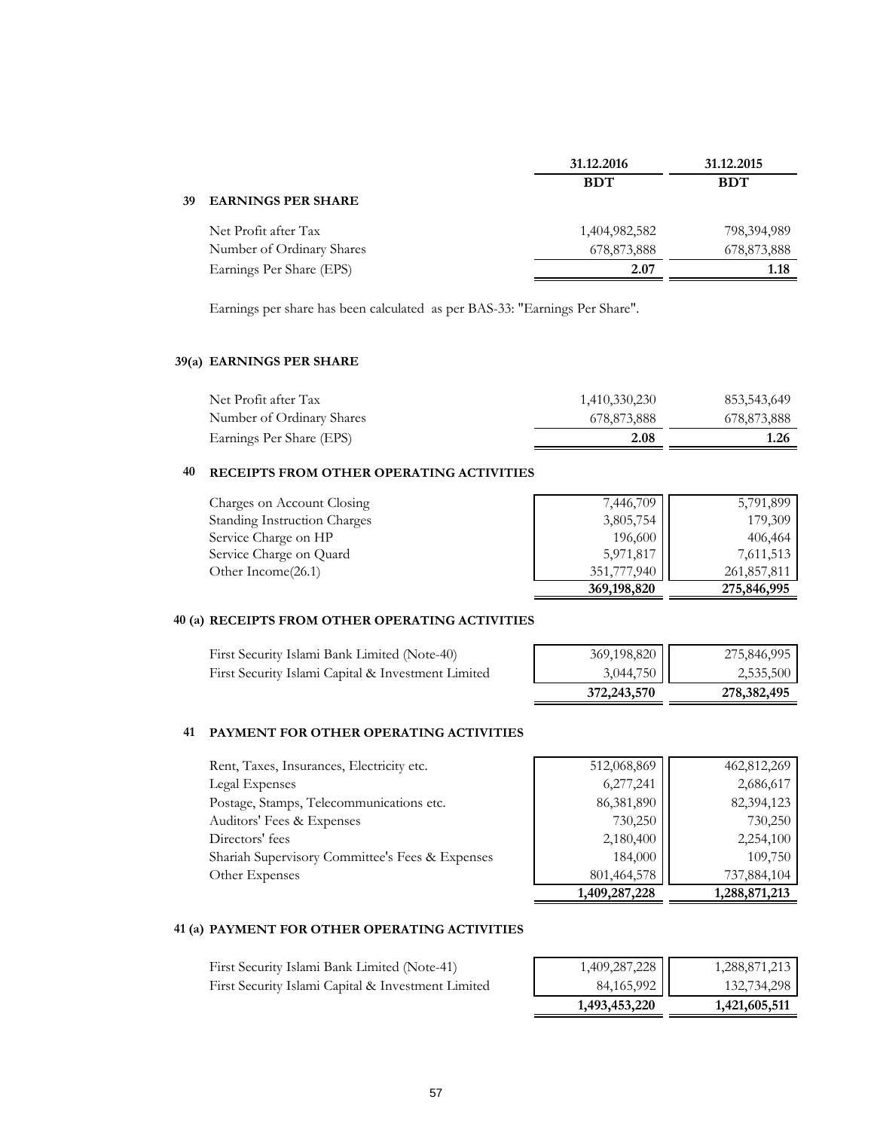| 31.12.2016    | 31.12.2015  |
|---------------|-------------|
| <b>BDT</b>    | <b>BDT</b>  |
|               |             |
| 1,404,982,582 | 798,394,989 |
| 678,873,888   | 678,873,888 |
| 2.07          | 1.18        |
|               |             |

Earnings per share has been calculated as per BAS-33: "Earnings Per Share".

#### **39(a) EARNINGS PER SHARE**

| Net Profit after Tax      | 1,410,330,230 | 853,543,649 |
|---------------------------|---------------|-------------|
| Number of Ordinary Shares | 678,873,888   | 678,873,888 |
| Earnings Per Share (EPS)  | 2.08          | 1.26        |

#### **40 RECEIPTS FROM OTHER OPERATING ACTIVITIES**

| Charges on Account Closing          | 7,446,709     | 5,791,899   |
|-------------------------------------|---------------|-------------|
| <b>Standing Instruction Charges</b> | 3,805,754     | 179,309     |
| Service Charge on HP                | 196,600       | 406,464     |
| Service Charge on Quard             | 5,971,817     | 7,611,513   |
| Other Income(26.1)                  | 351,777,940   | 261,857,811 |
|                                     | 369, 198, 820 | 275,846,995 |

#### **40 (a) RECEIPTS FROM OTHER OPERATING ACTIVITIES**

| First Security Islami Bank Limited (Note-40)       | 369,198,820   | 275,846,995   |
|----------------------------------------------------|---------------|---------------|
| First Security Islami Capital & Investment Limited | 3,044,750     | 2,535,500     |
|                                                    | 372, 243, 570 | 278, 382, 495 |

#### **41 PAYMENT FOR OTHER OPERATING ACTIVITIES**

| Rent, Taxes, Insurances, Electricity etc.       | 512,068,869 | 462,812,269 |
|-------------------------------------------------|-------------|-------------|
| Legal Expenses                                  | 6,277,241   | 2,686,617   |
| Postage, Stamps, Telecommunications etc.        | 86,381,890  | 82,394,123  |
| Auditors' Fees & Expenses                       | 730,250     | 730,250     |
| Directors' fees                                 | 2,180,400   | 2,254,100   |
| Shariah Supervisory Committee's Fees & Expenses | 184,000     | 109,750     |
| Other Expenses                                  | 801,464,578 | 737,884,104 |

| 512,068,869   | 462,812,269   |
|---------------|---------------|
| 6,277,241     | 2,686,617     |
| 86,381,890    | 82,394,123    |
| 730,250       | 730,250       |
| 2,180,400     | 2,254,100     |
| 184,000       | 109,750       |
| 801,464,578   | 737,884,104   |
| 1,409,287,228 | 1,288,871,213 |

#### **41 (a) PAYMENT FOR OTHER OPERATING ACTIVITIES**

|                                                    | 1,493,453,220 | 1,421,605,511 |
|----------------------------------------------------|---------------|---------------|
| First Security Islami Capital & Investment Limited | 84,165,992    | 132,734,298   |
| First Security Islami Bank Limited (Note-41)       | 1,409,287,228 | 1,288,871,213 |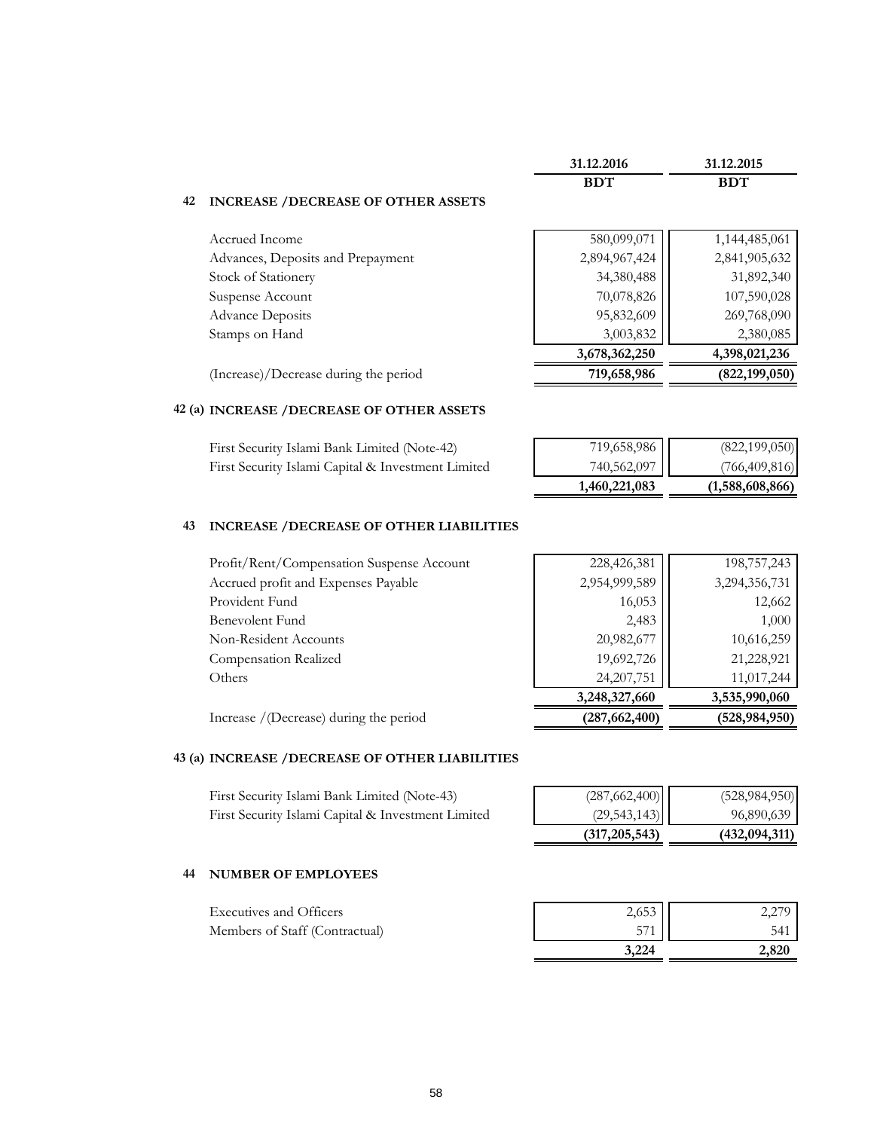|    |                                           | 31.12.2016    | 31.12.2015      |
|----|-------------------------------------------|---------------|-----------------|
|    |                                           | <b>BDT</b>    | <b>BDT</b>      |
| 42 | <b>INCREASE /DECREASE OF OTHER ASSETS</b> |               |                 |
|    | Accrued Income                            | 580,099,071   | 1,144,485,061   |
|    | Advances, Deposits and Prepayment         | 2,894,967,424 | 2,841,905,632   |
|    | Stock of Stationery                       | 34,380,488    | 31,892,340      |
|    | Suspense Account                          | 70,078,826    | 107,590,028     |
|    | <b>Advance Deposits</b>                   | 95,832,609    | 269,768,090     |
|    | Stamps on Hand                            | 3,003,832     | 2,380,085       |
|    |                                           | 3,678,362,250 | 4,398,021,236   |
|    | (Increase)/Decrease during the period     | 719,658,986   | (822, 199, 050) |
|    |                                           |               |                 |

#### **42 (a) INCREASE /DECREASE OF OTHER ASSETS**

|                                                    | 1,460,221,083 | (1,588,608,866) |
|----------------------------------------------------|---------------|-----------------|
| First Security Islami Capital & Investment Limited | 740,562,097   | (766, 409, 816) |
| First Security Islami Bank Limited (Note-42)       | 719,658,986   | (822, 199, 050) |

#### **43 INCREASE /DECREASE OF OTHER LIABILITIES**

| 3,248,327,660 | 3,535,990,060 |
|---------------|---------------|
| 24, 207, 751  | 11,017,244    |
| 19,692,726    | 21,228,921    |
| 20,982,677    | 10,616,259    |
| 2,483         | 1,000         |
| 16,053        | 12,662        |
| 2,954,999,589 | 3,294,356,731 |
| 228,426,381   | 198,757,243   |
|               |               |

Increase /(Decrease) during the period **(287,662,400) (528,984,950)**

#### **43 (a) INCREASE /DECREASE OF OTHER LIABILITIES**

First Security Islami Bank Limited (Note-43) (287,662,400) (528,984,950) First Security Islami Capital & Investment Limited (29,543,143) | 96,890,639

#### **44 NUMBER OF EMPLOYEES**

|                                | 3.224 | 2.820 |
|--------------------------------|-------|-------|
| Members of Staff (Contractual) | 571   | 541   |
| <b>Executives and Officers</b> | 2,653 | 2.279 |

 **(317,205,543) (432,094,311)**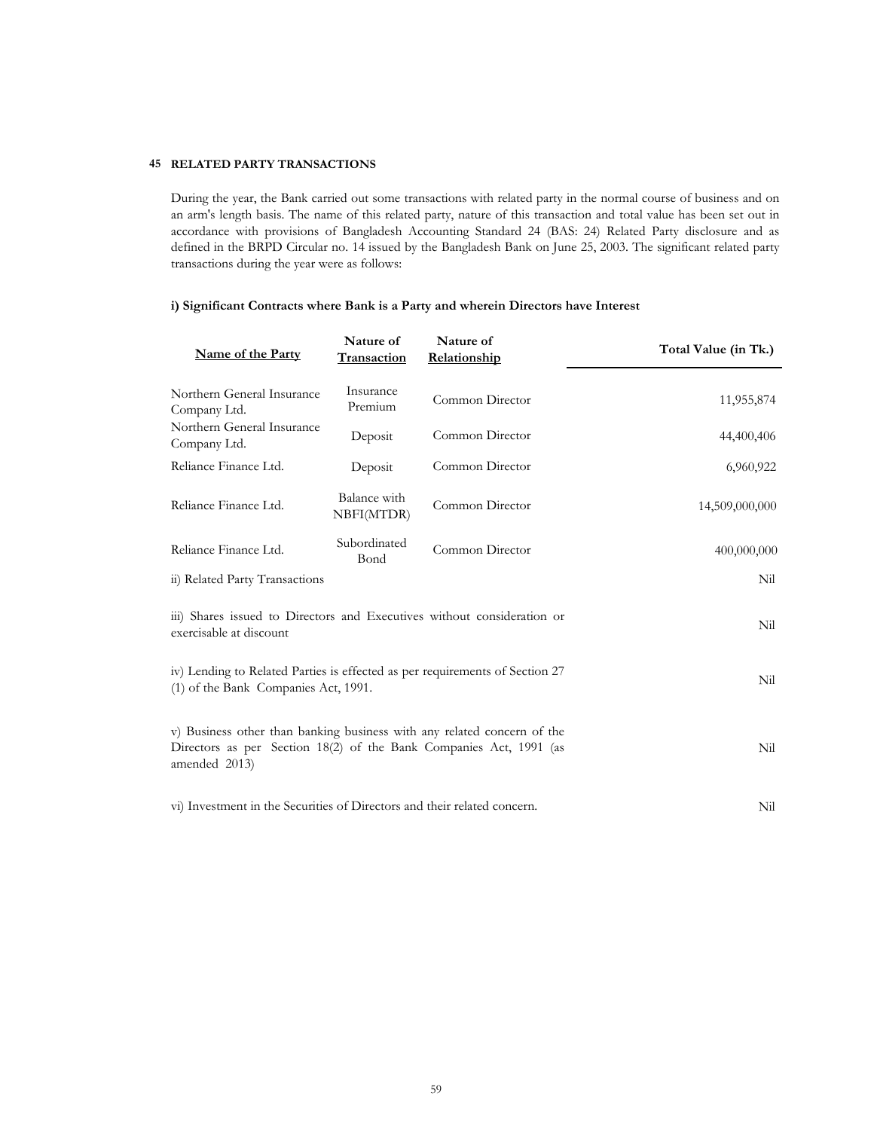#### **45 RELATED PARTY TRANSACTIONS**

During the year, the Bank carried out some transactions with related party in the normal course of business and on an arm's length basis. The name of this related party, nature of this transaction and total value has been set out in accordance with provisions of Bangladesh Accounting Standard 24 (BAS: 24) Related Party disclosure and as defined in the BRPD Circular no. 14 issued by the Bangladesh Bank on June 25, 2003. The significant related party transactions during the year were as follows:

#### **i) Significant Contracts where Bank is a Party and wherein Directors have Interest**

| <b>Name of the Party</b>                                                                                                                                              | Nature of<br>Transaction   | Nature of<br>Relationship | Total Value (in Tk.) |  |  |  |
|-----------------------------------------------------------------------------------------------------------------------------------------------------------------------|----------------------------|---------------------------|----------------------|--|--|--|
| Northern General Insurance<br>Company Ltd.                                                                                                                            | Insurance<br>Premium       | Common Director           | 11,955,874           |  |  |  |
| Northern General Insurance<br>Company Ltd.                                                                                                                            | Deposit                    | Common Director           | 44,400,406           |  |  |  |
| Reliance Finance Ltd.                                                                                                                                                 | Deposit                    | Common Director           | 6,960,922            |  |  |  |
| Reliance Finance Ltd.                                                                                                                                                 | Balance with<br>NBFI(MTDR) | Common Director           | 14,509,000,000       |  |  |  |
| Reliance Finance Ltd.                                                                                                                                                 | Subordinated<br>Bond       | Common Director           | 400,000,000          |  |  |  |
| ii) Related Party Transactions                                                                                                                                        |                            |                           | Nil                  |  |  |  |
| iii) Shares issued to Directors and Executives without consideration or<br>Nil<br>exercisable at discount                                                             |                            |                           |                      |  |  |  |
| iv) Lending to Related Parties is effected as per requirements of Section 27<br>Nil<br>(1) of the Bank Companies Act, 1991.                                           |                            |                           |                      |  |  |  |
| v) Business other than banking business with any related concern of the<br>Directors as per Section 18(2) of the Bank Companies Act, 1991 (as<br>Nil<br>amended 2013) |                            |                           |                      |  |  |  |
| vi) Investment in the Securities of Directors and their related concern.<br>Nil                                                                                       |                            |                           |                      |  |  |  |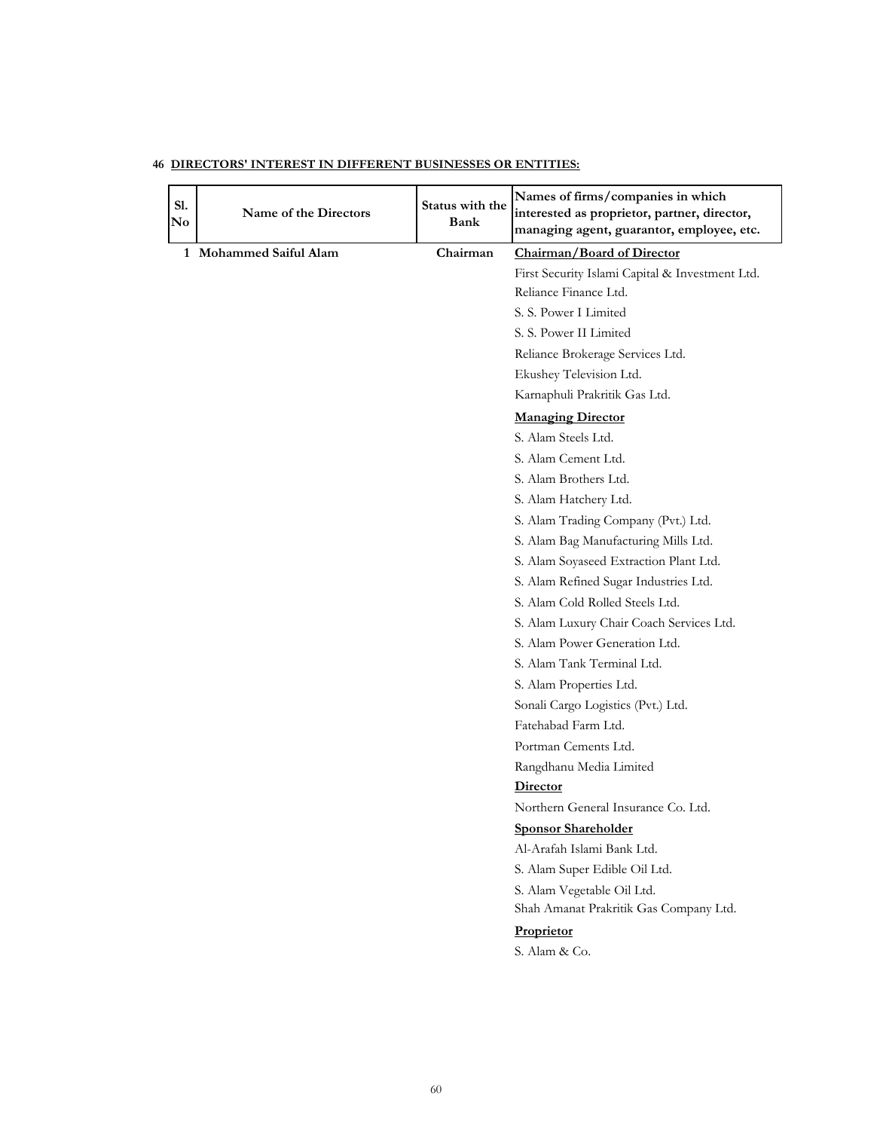| S1.<br>$\mathbf{N}\mathbf{o}$ | Name of the Directors  | Status with the<br>Bank | Names of firms/companies in which<br>interested as proprietor, partner, director,<br>managing agent, guarantor, employee, etc. |
|-------------------------------|------------------------|-------------------------|--------------------------------------------------------------------------------------------------------------------------------|
|                               | 1 Mohammed Saiful Alam | Chairman                | Chairman/Board of Director                                                                                                     |
|                               |                        |                         | First Security Islami Capital & Investment Ltd.                                                                                |
|                               |                        |                         | Reliance Finance Ltd.                                                                                                          |
|                               |                        |                         | S. S. Power I Limited                                                                                                          |
|                               |                        |                         | S. S. Power II Limited                                                                                                         |
|                               |                        |                         | Reliance Brokerage Services Ltd.                                                                                               |
|                               |                        |                         | Ekushey Television Ltd.                                                                                                        |
|                               |                        |                         | Karnaphuli Prakritik Gas Ltd.                                                                                                  |
|                               |                        |                         | <b>Managing Director</b>                                                                                                       |
|                               |                        |                         | S. Alam Steels Ltd.                                                                                                            |
|                               |                        |                         | S. Alam Cement Ltd.                                                                                                            |
|                               |                        |                         | S. Alam Brothers Ltd.                                                                                                          |
|                               |                        |                         | S. Alam Hatchery Ltd.                                                                                                          |
|                               |                        |                         | S. Alam Trading Company (Pvt.) Ltd.                                                                                            |
|                               |                        |                         | S. Alam Bag Manufacturing Mills Ltd.                                                                                           |
|                               |                        |                         | S. Alam Soyaseed Extraction Plant Ltd.                                                                                         |
|                               |                        |                         | S. Alam Refined Sugar Industries Ltd.                                                                                          |
|                               |                        |                         | S. Alam Cold Rolled Steels Ltd.                                                                                                |
|                               |                        |                         | S. Alam Luxury Chair Coach Services Ltd.                                                                                       |
|                               |                        |                         | S. Alam Power Generation Ltd.                                                                                                  |
|                               |                        |                         | S. Alam Tank Terminal Ltd.                                                                                                     |
|                               |                        |                         | S. Alam Properties Ltd.                                                                                                        |
|                               |                        |                         | Sonali Cargo Logistics (Pvt.) Ltd.                                                                                             |
|                               |                        |                         | Fatehabad Farm Ltd.                                                                                                            |
|                               |                        |                         | Portman Cements Ltd.                                                                                                           |
|                               |                        |                         | Rangdhanu Media Limited                                                                                                        |
|                               |                        |                         | Director                                                                                                                       |
|                               |                        |                         | Northern General Insurance Co. Ltd.                                                                                            |
|                               |                        |                         | <b>Sponsor Shareholder</b>                                                                                                     |
|                               |                        |                         | Al-Arafah Islami Bank Ltd.                                                                                                     |
|                               |                        |                         | S. Alam Super Edible Oil Ltd.                                                                                                  |
|                               |                        |                         | S. Alam Vegetable Oil Ltd.                                                                                                     |
|                               |                        |                         | Shah Amanat Prakritik Gas Company Ltd.                                                                                         |
|                               |                        |                         | Proprietor                                                                                                                     |
|                               |                        |                         | S. Alam & Co.                                                                                                                  |
|                               |                        |                         |                                                                                                                                |
|                               |                        |                         |                                                                                                                                |
|                               |                        |                         |                                                                                                                                |

#### **46 DIRECTORS' INTEREST IN DIFFERENT BUSINESSES OR ENTITIES:**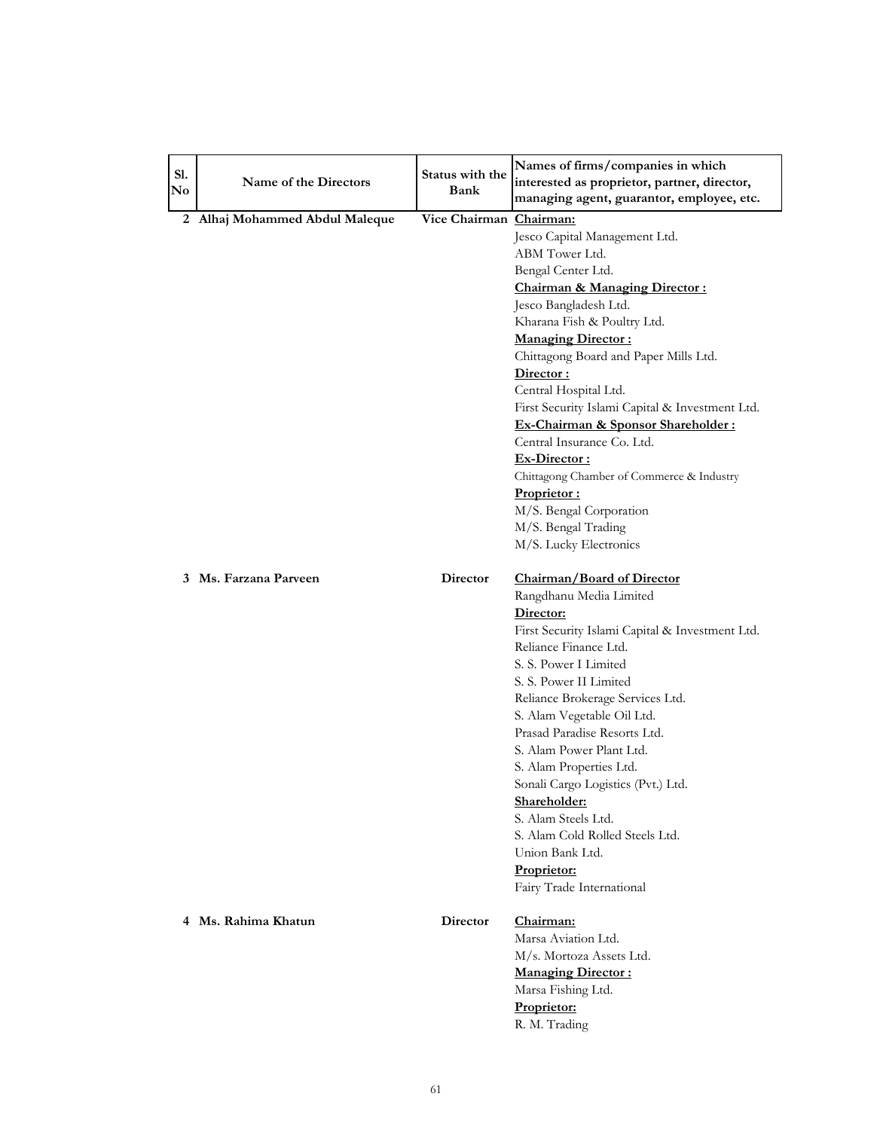| S1.<br>$\mathbf{N}\mathbf{o}$ | Name of the Directors          | Status with the<br>Bank | Names of firms/companies in which<br>interested as proprietor, partner, director,<br>managing agent, guarantor, employee, etc. |
|-------------------------------|--------------------------------|-------------------------|--------------------------------------------------------------------------------------------------------------------------------|
|                               | 2 Alhaj Mohammed Abdul Maleque | Vice Chairman Chairman: |                                                                                                                                |
|                               |                                |                         | Jesco Capital Management Ltd.                                                                                                  |
|                               |                                |                         | ABM Tower Ltd.                                                                                                                 |
|                               |                                |                         | Bengal Center Ltd.                                                                                                             |
|                               |                                |                         | <b>Chairman &amp; Managing Director:</b>                                                                                       |
|                               |                                |                         | Jesco Bangladesh Ltd.                                                                                                          |
|                               |                                |                         | Kharana Fish & Poultry Ltd.                                                                                                    |
|                               |                                |                         | <b>Managing Director:</b>                                                                                                      |
|                               |                                |                         | Chittagong Board and Paper Mills Ltd.                                                                                          |
|                               |                                |                         | Director:                                                                                                                      |
|                               |                                |                         | Central Hospital Ltd.                                                                                                          |
|                               |                                |                         | First Security Islami Capital & Investment Ltd.                                                                                |
|                               |                                |                         | Ex-Chairman & Sponsor Shareholder:                                                                                             |
|                               |                                |                         | Central Insurance Co. Ltd.                                                                                                     |
|                               |                                |                         | Ex-Director:                                                                                                                   |
|                               |                                |                         | Chittagong Chamber of Commerce & Industry                                                                                      |
|                               |                                |                         | Proprietor:                                                                                                                    |
|                               |                                |                         | M/S. Bengal Corporation                                                                                                        |
|                               |                                |                         | M/S. Bengal Trading                                                                                                            |
|                               |                                |                         | M/S. Lucky Electronics                                                                                                         |
|                               | 3 Ms. Farzana Parveen          | Director                | Chairman/Board of Director                                                                                                     |
|                               |                                |                         | Rangdhanu Media Limited                                                                                                        |
|                               |                                |                         | Director:                                                                                                                      |
|                               |                                |                         | First Security Islami Capital & Investment Ltd.                                                                                |
|                               |                                |                         | Reliance Finance Ltd.                                                                                                          |
|                               |                                |                         | S. S. Power I Limited                                                                                                          |
|                               |                                |                         | S. S. Power II Limited                                                                                                         |
|                               |                                |                         | Reliance Brokerage Services Ltd.                                                                                               |
|                               |                                |                         | S. Alam Vegetable Oil Ltd.                                                                                                     |
|                               |                                |                         | Prasad Paradise Resorts Ltd.                                                                                                   |
|                               |                                |                         | S. Alam Power Plant Ltd.                                                                                                       |
|                               |                                |                         | S. Alam Properties Ltd.                                                                                                        |
|                               |                                |                         | Sonali Cargo Logistics (Pvt.) Ltd.                                                                                             |
|                               |                                |                         | <u>Shareholder:</u>                                                                                                            |
|                               |                                |                         | S. Alam Steels Ltd.<br>S. Alam Cold Rolled Steels Ltd.                                                                         |
|                               |                                |                         | Union Bank Ltd.                                                                                                                |
|                               |                                |                         |                                                                                                                                |
|                               |                                |                         | <b>Proprietor:</b><br>Fairy Trade International                                                                                |
|                               |                                |                         |                                                                                                                                |
|                               | 4 Ms. Rahima Khatun            | Director                | Chairman:                                                                                                                      |
|                               |                                |                         | Marsa Aviation Ltd.                                                                                                            |
|                               |                                |                         | M/s. Mortoza Assets Ltd.                                                                                                       |
|                               |                                |                         | <b>Managing Director:</b>                                                                                                      |
|                               |                                |                         | Marsa Fishing Ltd.                                                                                                             |
|                               |                                |                         | Proprietor:                                                                                                                    |
|                               |                                |                         | R. M. Trading                                                                                                                  |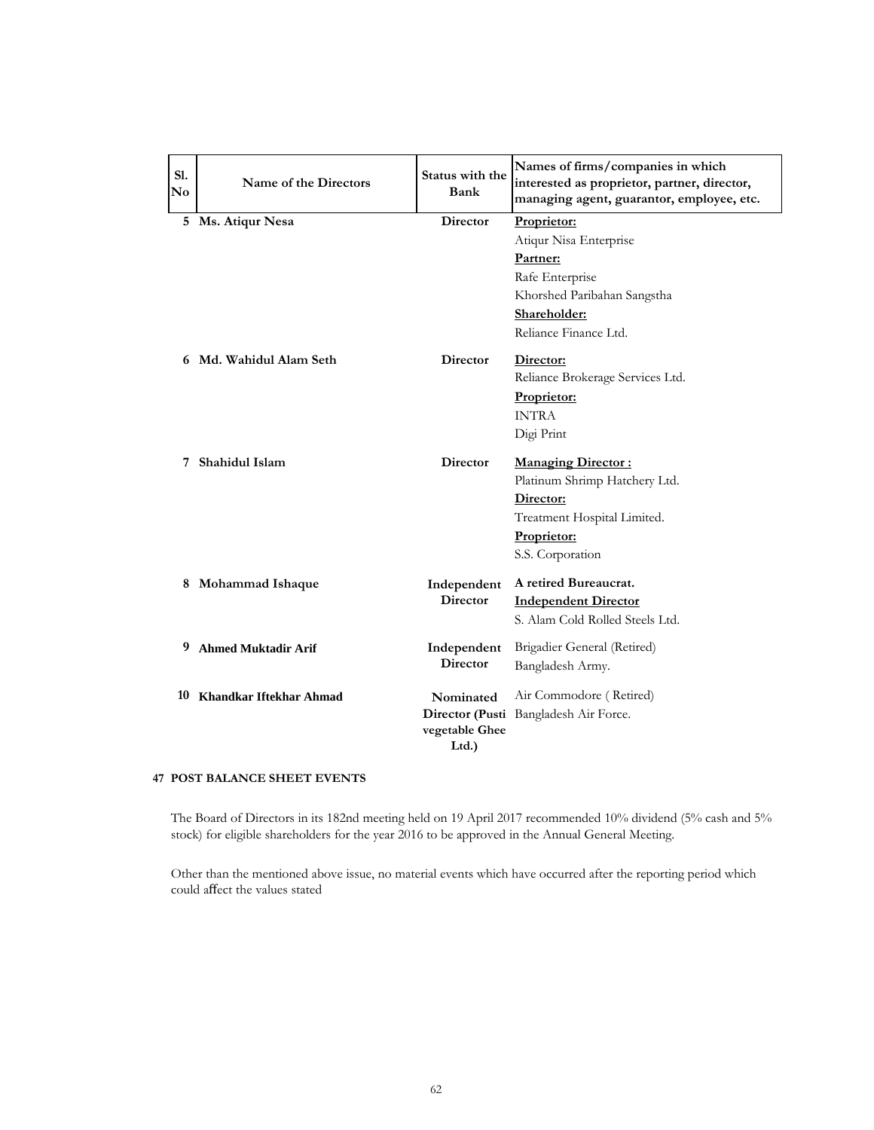| SI.<br>$\mathbf{N}\mathbf{o}$ | Name of the Directors      | Status with the<br>Bank | Names of firms/companies in which<br>interested as proprietor, partner, director,<br>managing agent, guarantor, employee, etc. |
|-------------------------------|----------------------------|-------------------------|--------------------------------------------------------------------------------------------------------------------------------|
|                               | 5 Ms. Atiqur Nesa          | <b>Director</b>         | Proprietor:                                                                                                                    |
|                               |                            |                         | Atiqur Nisa Enterprise                                                                                                         |
|                               |                            |                         | Partner:                                                                                                                       |
|                               |                            |                         | Rafe Enterprise                                                                                                                |
|                               |                            |                         | Khorshed Paribahan Sangstha                                                                                                    |
|                               |                            |                         | Shareholder:                                                                                                                   |
|                               |                            |                         | Reliance Finance Ltd.                                                                                                          |
|                               | 6 Md. Wahidul Alam Seth    | <b>Director</b>         | Director:                                                                                                                      |
|                               |                            |                         | Reliance Brokerage Services Ltd.                                                                                               |
|                               |                            |                         | Proprietor:                                                                                                                    |
|                               |                            |                         | <b>INTRA</b>                                                                                                                   |
|                               |                            |                         | Digi Print                                                                                                                     |
|                               | 7 Shahidul Islam           | <b>Director</b>         | <b>Managing Director:</b>                                                                                                      |
|                               |                            |                         | Platinum Shrimp Hatchery Ltd.                                                                                                  |
|                               |                            |                         | Director:                                                                                                                      |
|                               |                            |                         | Treatment Hospital Limited.                                                                                                    |
|                               |                            |                         | Proprietor:                                                                                                                    |
|                               |                            |                         | S.S. Corporation                                                                                                               |
|                               | 8 Mohammad Ishaque         | Independent             | A retired Bureaucrat.                                                                                                          |
|                               |                            | <b>Director</b>         | <b>Independent Director</b>                                                                                                    |
|                               |                            |                         | S. Alam Cold Rolled Steels Ltd.                                                                                                |
| 9                             | <b>Ahmed Muktadir Arif</b> | Independent             | Brigadier General (Retired)                                                                                                    |
|                               |                            | <b>Director</b>         | Bangladesh Army.                                                                                                               |
|                               | 10 Khandkar Iftekhar Ahmad | Nominated               | Air Commodore (Retired)                                                                                                        |
|                               |                            |                         | Director (Pusti Bangladesh Air Force.                                                                                          |
|                               |                            | vegetable Ghee          |                                                                                                                                |
|                               |                            | Ltd.)                   |                                                                                                                                |

#### **47 POST BALANCE SHEET EVENTS**

The Board of Directors in its 182nd meeting held on 19 April 2017 recommended 10% dividend (5% cash and 5% stock) for eligible shareholders for the year 2016 to be approved in the Annual General Meeting.

Other than the mentioned above issue, no material events which have occurred after the reporting period which could affect the values stated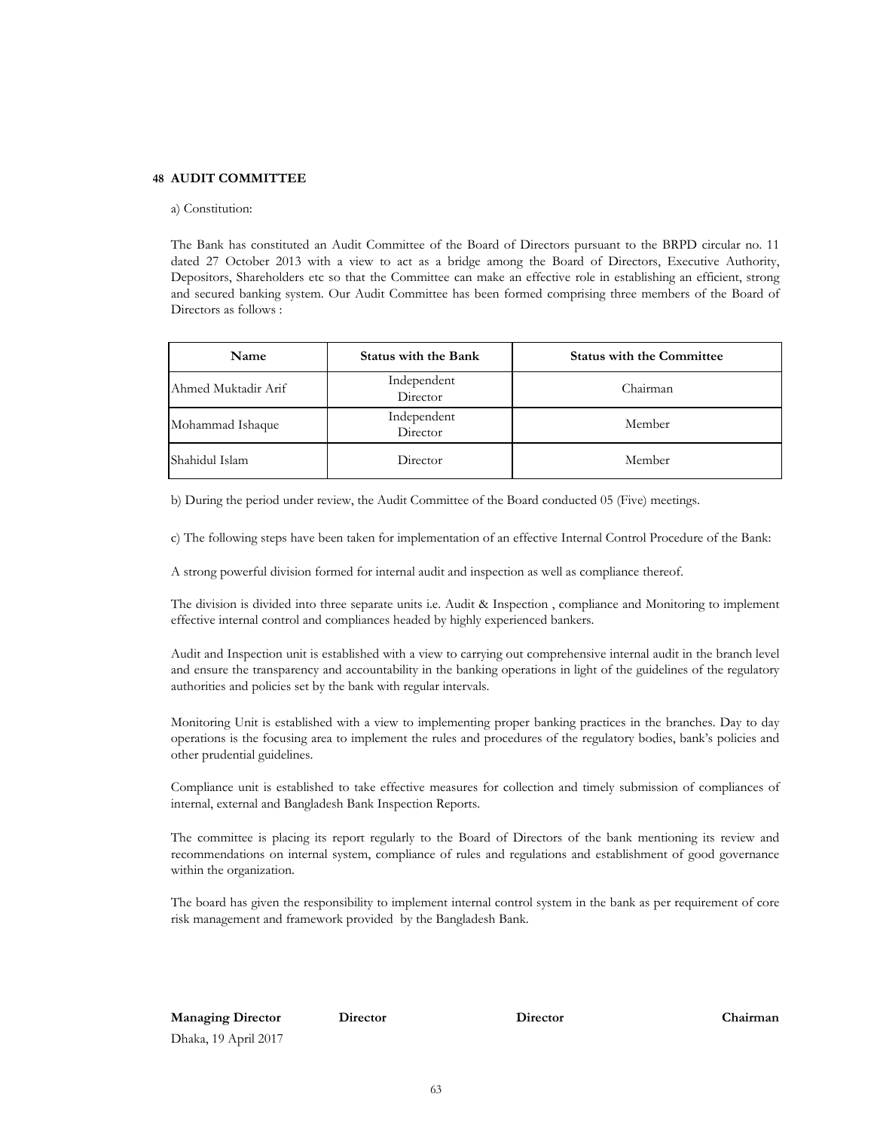#### **48 AUDIT COMMITTEE**

#### a) Constitution:

The Bank has constituted an Audit Committee of the Board of Directors pursuant to the BRPD circular no. 11 dated 27 October 2013 with a view to act as a bridge among the Board of Directors, Executive Authority, Depositors, Shareholders etc so that the Committee can make an effective role in establishing an efficient, strong and secured banking system. Our Audit Committee has been formed comprising three members of the Board of Directors as follows :

| Name                | <b>Status with the Bank</b> | <b>Status with the Committee</b> |
|---------------------|-----------------------------|----------------------------------|
| Ahmed Muktadir Arif | Independent<br>Director     | Chairman                         |
| Mohammad Ishaque    | Independent<br>Director     | Member                           |
| Shahidul Islam      | Director                    | Member                           |

b) During the period under review, the Audit Committee of the Board conducted 05 (Five) meetings.

c) The following steps have been taken for implementation of an effective Internal Control Procedure of the Bank:

A strong powerful division formed for internal audit and inspection as well as compliance thereof.

The division is divided into three separate units i.e. Audit & Inspection , compliance and Monitoring to implement effective internal control and compliances headed by highly experienced bankers.

Audit and Inspection unit is established with a view to carrying out comprehensive internal audit in the branch level and ensure the transparency and accountability in the banking operations in light of the guidelines of the regulatory authorities and policies set by the bank with regular intervals.

Monitoring Unit is established with a view to implementing proper banking practices in the branches. Day to day operations is the focusing area to implement the rules and procedures of the regulatory bodies, bank's policies and other prudential guidelines.

Compliance unit is established to take effective measures for collection and timely submission of compliances of internal, external and Bangladesh Bank Inspection Reports.

The committee is placing its report regularly to the Board of Directors of the bank mentioning its review and recommendations on internal system, compliance of rules and regulations and establishment of good governance within the organization.

The board has given the responsibility to implement internal control system in the bank as per requirement of core risk management and framework provided by the Bangladesh Bank.

**Managing Director Director Chairman** Dhaka, 19 April 2017

**Director**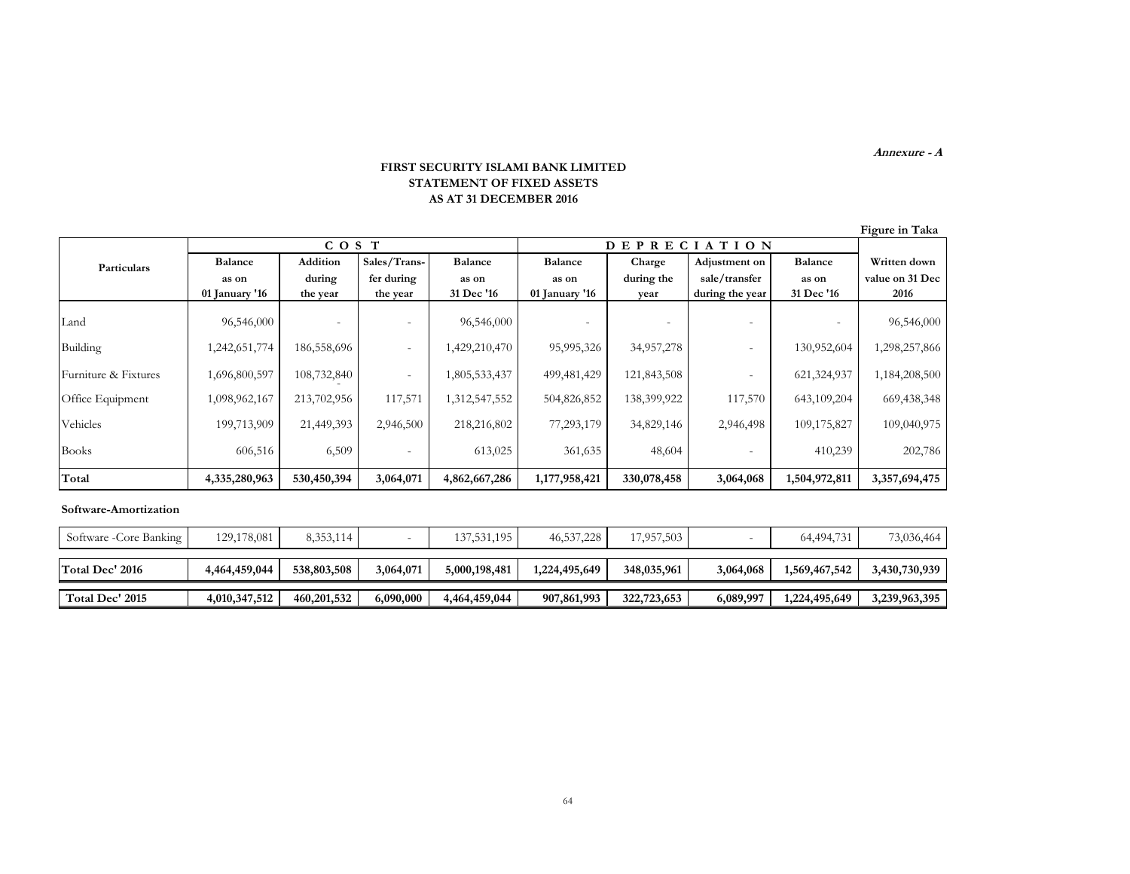**Annexure - A**

#### **FIRST SECURITY ISLAMI BANK LIMITED STATEMENT OF FIXED ASSETS AS AT 31 DECEMBER 2016**

| Figure in Taka |  |
|----------------|--|
|                |  |
|                |  |

|                      | COS T          |             |                          |                |                | <b>DEPRECIATION</b> |                 |                |                 |
|----------------------|----------------|-------------|--------------------------|----------------|----------------|---------------------|-----------------|----------------|-----------------|
| Particulars          | <b>Balance</b> | Addition    | Sales/Trans-             | <b>Balance</b> | <b>Balance</b> | Charge              | Adjustment on   | <b>Balance</b> | Written down    |
|                      | as on          | during      | fer during               | as on          | as on          | during the          | sale/transfer   | as on          | value on 31 Dec |
|                      | 01 January '16 | the year    | the year                 | 31 Dec '16     | 01 January '16 | year                | during the year | 31 Dec '16     | 2016            |
| Land                 | 96,546,000     |             | $\overline{\phantom{m}}$ | 96,546,000     |                |                     |                 |                | 96,546,000      |
| Building             | 1,242,651,774  | 186,558,696 | $\overline{\phantom{m}}$ | 1,429,210,470  | 95,995,326     | 34,957,278          |                 | 130,952,604    | 1,298,257,866   |
| Furniture & Fixtures | 1,696,800,597  | 108,732,840 |                          | 1,805,533,437  | 499, 481, 429  | 121,843,508         |                 | 621,324,937    | 1,184,208,500   |
| Office Equipment     | 1,098,962,167  | 213,702,956 | 117,571                  | 1,312,547,552  | 504,826,852    | 138,399,922         | 117,570         | 643,109,204    | 669,438,348     |
| Vehicles             | 199,713,909    | 21,449,393  | 2,946,500                | 218,216,802    | 77,293,179     | 34,829,146          | 2,946,498       | 109,175,827    | 109,040,975     |
| <b>Books</b>         | 606,516        | 6,509       |                          | 613,025        | 361,635        | 48,604              |                 | 410,239        | 202,786         |
| Total                | 4,335,280,963  | 530,450,394 | 3,064,071                | 4,862,667,286  | 1,177,958,421  | 330,078,458         | 3,064,068       | 1,504,972,811  | 3,357,694,475   |

#### **Software-Amortization**

| Software - Core Banking | 129,178,081   | 8,353,114   |           | 137,531,195   | 46,537,228    | 17,957,503  |           | 64,494,731    | 73,036,464    |
|-------------------------|---------------|-------------|-----------|---------------|---------------|-------------|-----------|---------------|---------------|
| Total Dec' 2016         | 4,464,459,044 | 538,803,508 | 3,064,071 | 5.000.198.481 | 1,224,495,649 | 348,035,961 | 3,064,068 | 1,569,467,542 | 3,430,730,939 |
| Total Dec' 2015         | 4,010,347,512 | 460,201,532 | 6,090,000 | 4,464,459,044 | 907,861,993   | 322,723,653 | 6,089,997 | 1,224,495,649 | 3,239,963,395 |